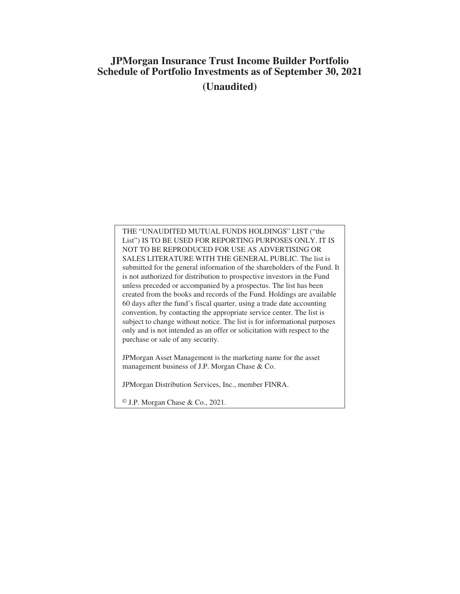# **JPMorgan Insurance Trust Income Builder Portfolio Schedule of Portfolio Investments as of September 30, 2021 (Unaudited)**

THE "UNAUDITED MUTUAL FUNDS HOLDINGS" LIST ("the List") IS TO BE USED FOR REPORTING PURPOSES ONLY. IT IS NOT TO BE REPRODUCED FOR USE AS ADVERTISING OR SALES LITERATURE WITH THE GENERAL PUBLIC. The list is submitted for the general information of the shareholders of the Fund. It is not authorized for distribution to prospective investors in the Fund unless preceded or accompanied by a prospectus. The list has been created from the books and records of the Fund. Holdings are available 60 days after the fund's fiscal quarter, using a trade date accounting convention, by contacting the appropriate service center. The list is subject to change without notice. The list is for informational purposes only and is not intended as an offer or solicitation with respect to the purchase or sale of any security.

JPMorgan Asset Management is the marketing name for the asset management business of J.P. Morgan Chase & Co.

JPMorgan Distribution Services, Inc., member FINRA.

© J.P. Morgan Chase & Co., 2021.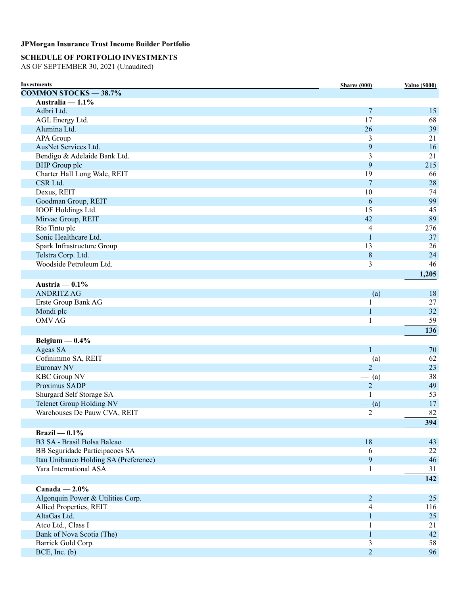# **SCHEDULE OF PORTFOLIO INVESTMENTS**

AS OF SEPTEMBER 30, 2021 (Unaudited)

| <b>Investments</b>                    | Shares (000)    | <b>Value (\$000)</b> |
|---------------------------------------|-----------------|----------------------|
| <b>COMMON STOCKS - 38.7%</b>          |                 |                      |
| Australia $-1.1\%$                    |                 |                      |
| Adbri Ltd.                            | 7               | 15                   |
| AGL Energy Ltd.                       | 17              | 68                   |
| Alumina Ltd.                          | 26              | 39                   |
| APA Group                             | 3               | 21                   |
| AusNet Services Ltd.                  | 9               | 16                   |
| Bendigo & Adelaide Bank Ltd.          | 3               | 21                   |
| <b>BHP</b> Group plc                  | 9               | 215                  |
| Charter Hall Long Wale, REIT          | 19              | 66                   |
| CSR Ltd.                              | $7\phantom{.0}$ | 28                   |
| Dexus, REIT                           | 10              | 74                   |
| Goodman Group, REIT                   | 6               | 99                   |
| IOOF Holdings Ltd.                    | 15              | 45                   |
| Mirvac Group, REIT                    | 42              | 89                   |
| Rio Tinto plc                         | 4               | 276                  |
| Sonic Healthcare Ltd.                 | 1               | 37                   |
| Spark Infrastructure Group            | 13              | 26                   |
| Telstra Corp. Ltd.                    | 8               | 24                   |
| Woodside Petroleum Ltd.               | 3               | 46                   |
|                                       |                 | 1,205                |
| Austria $-0.1\%$                      |                 |                      |
| <b>ANDRITZ AG</b>                     | $-$ (a)         | 18                   |
| Erste Group Bank AG                   | 1               | 27                   |
| Mondi plc                             | 1               | 32                   |
| OMV AG                                | 1               | 59                   |
|                                       |                 |                      |
|                                       |                 | 136                  |
| Belgium $-0.4\%$                      |                 |                      |
| Ageas SA                              | 1               | 70                   |
| Cofinimmo SA, REIT                    | $-$ (a)         | 62                   |
| Euronav NV                            | $\overline{2}$  | 23                   |
| <b>KBC Group NV</b>                   | $-$ (a)         | 38                   |
| Proximus SADP                         | $\overline{2}$  | 49                   |
| Shurgard Self Storage SA              | 1               | 53                   |
| Telenet Group Holding NV              | $-$ (a)         | 17                   |
| Warehouses De Pauw CVA, REIT          | $\overline{c}$  | 82                   |
|                                       |                 | 394                  |
| $Brazil - 0.1%$                       |                 |                      |
| B3 SA - Brasil Bolsa Balcao           | 18              | 43                   |
| BB Seguridade Participacoes SA        | 6               | 22                   |
| Itau Unibanco Holding SA (Preference) | 9               | 46                   |
| Yara International ASA                | 1               | 31                   |
|                                       |                 | 142                  |
| Canada $-2.0%$                        |                 |                      |
| Algonquin Power & Utilities Corp.     | $\overline{2}$  | 25                   |
| Allied Properties, REIT               | 4               | 116                  |
| AltaGas Ltd.                          | 1               | 25                   |
| Atco Ltd., Class I                    | 1               | 21                   |
| Bank of Nova Scotia (The)             | 1               | 42                   |
| Barrick Gold Corp.                    | 3               | 58                   |
| $BCE$ , Inc. (b)                      | $\overline{2}$  | 96                   |
|                                       |                 |                      |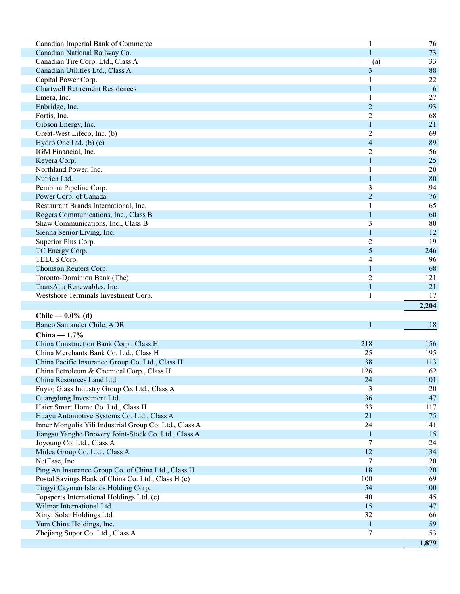| Canadian National Railway Co.                          | 1              | 76          |
|--------------------------------------------------------|----------------|-------------|
|                                                        | $\mathbf{1}$   | 73          |
| Canadian Tire Corp. Ltd., Class A                      | $-$ (a)        | 33          |
| Canadian Utilities Ltd., Class A                       | 3              | 88          |
| Capital Power Corp.                                    | 1              | 22          |
| <b>Chartwell Retirement Residences</b>                 | 1              | 6           |
| Emera, Inc.                                            | 1              | 27          |
| Enbridge, Inc.                                         | $\overline{2}$ | 93          |
| Fortis, Inc.                                           | $\overline{2}$ | 68          |
| Gibson Energy, Inc.                                    | 1              | 21          |
| Great-West Lifeco, Inc. (b)                            | $\overline{2}$ | 69          |
| Hydro One Ltd. (b) (c)                                 | $\overline{4}$ | 89          |
| IGM Financial, Inc.                                    | $\overline{c}$ | 56          |
| Keyera Corp.                                           | 1              | 25          |
| Northland Power, Inc.                                  | 1              | 20          |
| Nutrien Ltd.                                           | 1              | 80          |
| Pembina Pipeline Corp.                                 | 3              | 94          |
| Power Corp. of Canada                                  | $\overline{2}$ | 76          |
| Restaurant Brands International, Inc.                  | 1              | 65          |
| Rogers Communications, Inc., Class B                   | $\mathbf{1}$   | 60          |
| Shaw Communications, Inc., Class B                     | 3              | 80          |
| Sienna Senior Living, Inc.                             | 1              | 12          |
| Superior Plus Corp.                                    | $\overline{2}$ | 19          |
| TC Energy Corp.                                        | 5              | 246         |
| TELUS Corp.                                            | 4              | 96          |
| Thomson Reuters Corp.                                  | 1              | 68          |
| Toronto-Dominion Bank (The)                            | $\overline{2}$ | 121         |
| TransAlta Renewables, Inc.                             | $\mathbf{1}$   | 21          |
| Westshore Terminals Investment Corp.                   | 1              | 17          |
|                                                        |                | 2,204       |
| Chile — $0.0\%$ (d)                                    |                |             |
| Banco Santander Chile, ADR                             | 1              | 18          |
| China $-1.7%$                                          |                |             |
|                                                        |                |             |
|                                                        |                |             |
| China Construction Bank Corp., Class H                 | 218            | 156         |
| China Merchants Bank Co. Ltd., Class H                 | 25             | 195         |
| China Pacific Insurance Group Co. Ltd., Class H        | 38             | 113         |
| China Petroleum & Chemical Corp., Class H              | 126            | 62          |
| China Resources Land Ltd.                              | 24             | 101         |
| Fuyao Glass Industry Group Co. Ltd., Class A           | 3              | 20          |
| Guangdong Investment Ltd.                              | 36             | 47          |
| Haier Smart Home Co. Ltd., Class H                     | 33             | 117         |
| Huayu Automotive Systems Co. Ltd., Class A             | 21             | 75          |
| Inner Mongolia Yili Industrial Group Co. Ltd., Class A | 24             | 141         |
| Jiangsu Yanghe Brewery Joint-Stock Co. Ltd., Class A   | $\mathbf{1}$   | 15          |
| Joyoung Co. Ltd., Class A                              | 7              | 24          |
| Midea Group Co. Ltd., Class A                          | 12             | 134         |
| NetEase, Inc.                                          | 7              | 120         |
| Ping An Insurance Group Co. of China Ltd., Class H     | 18             | 120         |
| Postal Savings Bank of China Co. Ltd., Class H (c)     | 100            | 69          |
| Tingyi Cayman Islands Holding Corp.                    | 54             | 100         |
| Topsports International Holdings Ltd. (c)              | 40             | 45          |
| Wilmar International Ltd.                              | 15             | 47          |
| Xinyi Solar Holdings Ltd.                              | 32             | 66          |
| Yum China Holdings, Inc.                               | $\mathbf{1}$   | 59          |
| Zhejiang Supor Co. Ltd., Class A                       | 7              | 53<br>1,879 |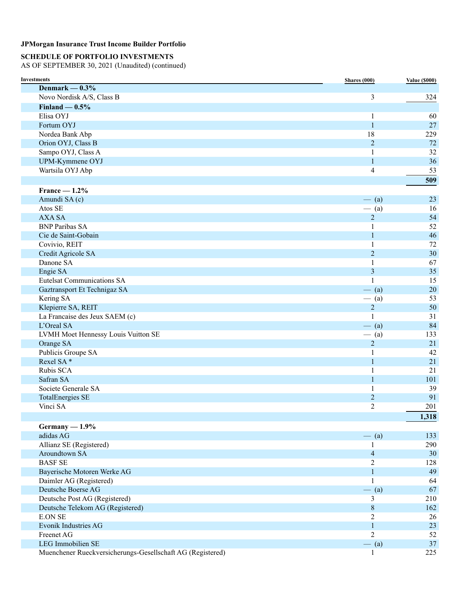### **SCHEDULE OF PORTFOLIO INVESTMENTS**

| <b>Investments</b>                                         | Shares (000)            | <b>Value (\$000)</b> |
|------------------------------------------------------------|-------------------------|----------------------|
| Denmark — $0.3\%$                                          |                         |                      |
| Novo Nordisk A/S, Class B                                  | 3                       | 324                  |
| Finland $-0.5%$                                            |                         |                      |
| Elisa OYJ                                                  | 1                       | 60                   |
| Fortum OYJ                                                 | $\mathbf{1}$            | 27                   |
| Nordea Bank Abp                                            | 18                      | 229                  |
| Orion OYJ, Class B                                         | $\overline{2}$          | 72                   |
| Sampo OYJ, Class A                                         |                         | 32                   |
| UPM-Kymmene OYJ                                            | $\mathbf{1}$            | 36                   |
| Wartsila OYJ Abp                                           | 4                       | 53                   |
|                                                            |                         | 509                  |
| $France - 1.2%$                                            |                         |                      |
| Amundi SA(c)                                               | $-$ (a)                 | 23                   |
| Atos SE                                                    | $-$ (a)                 | 16                   |
| <b>AXA SA</b>                                              | $\overline{c}$          | 54                   |
| <b>BNP Paribas SA</b>                                      | 1                       | 52                   |
| Cie de Saint-Gobain                                        | $\mathbf{1}$            | 46                   |
| Covivio, REIT                                              | 1                       | 72                   |
| Credit Agricole SA                                         | $\overline{2}$          | 30                   |
| Danone SA                                                  | 1                       | 67                   |
| Engie SA                                                   | 3                       | 35                   |
| <b>Eutelsat Communications SA</b>                          |                         | 15                   |
| Gaztransport Et Technigaz SA                               | $-$ (a)                 | $20\,$               |
| Kering SA                                                  | $-$ (a)                 | 53                   |
| Klepierre SA, REIT                                         | $\overline{c}$          | 50                   |
| La Francaise des Jeux SAEM (c)                             | 1                       | 31                   |
| L'Oreal SA                                                 | $-$ (a)                 | 84                   |
| LVMH Moet Hennessy Louis Vuitton SE                        | $-$ (a)                 | 133                  |
| Orange SA                                                  | $\overline{c}$          | 21                   |
| Publicis Groupe SA                                         | 1                       | 42                   |
| Rexel SA*                                                  | $\mathbf{1}$            | 21                   |
| Rubis SCA                                                  | 1                       | 21                   |
| Safran SA                                                  | $\mathbf{1}$            | 101                  |
| Societe Generale SA                                        | 1                       | 39                   |
| <b>TotalEnergies SE</b>                                    | $\overline{c}$          | 91                   |
| Vinci SA                                                   | $\overline{c}$          | 201                  |
|                                                            |                         | 1,318                |
| Germany $-1.9\%$                                           |                         |                      |
| adidas AG                                                  | $-$ (a)                 | 133                  |
| Allianz SE (Registered)                                    | 1                       | 290                  |
| Aroundtown SA                                              | $\overline{4}$          | 30                   |
| <b>BASF SE</b>                                             | $\overline{2}$          | 128                  |
| Bayerische Motoren Werke AG                                | $\mathbf{1}$            | 49                   |
| Daimler AG (Registered)                                    | 1                       | 64                   |
| Deutsche Boerse AG                                         | $-$ (a)                 | 67                   |
| Deutsche Post AG (Registered)                              | $\overline{\mathbf{3}}$ | 210                  |
| Deutsche Telekom AG (Registered)                           | $\,8\,$                 | 162                  |
| <b>E.ON SE</b>                                             | $\overline{2}$          | 26                   |
| <b>Evonik Industries AG</b>                                | $\mathbf{1}$            | 23                   |
| Freenet AG                                                 | $\overline{2}$          | 52                   |
| LEG Immobilien SE                                          | $-$ (a)                 | 37                   |
| Muenchener Rueckversicherungs-Gesellschaft AG (Registered) | 1                       | 225                  |
|                                                            |                         |                      |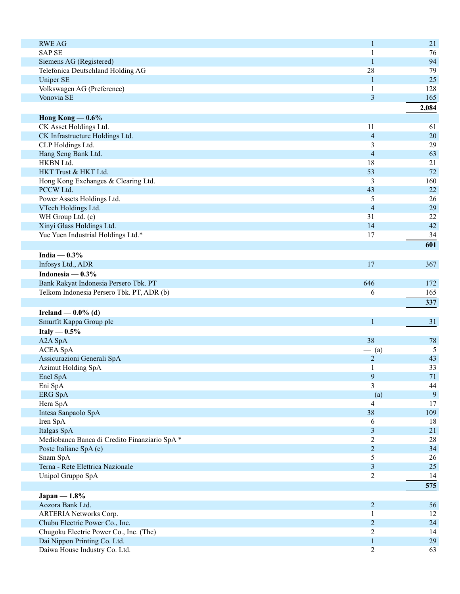| <b>RWE AG</b><br>$\mathbf{1}$<br><b>SAP SE</b><br>1<br>Siemens AG (Registered)<br>$\mathbf{1}$<br>Telefonica Deutschland Holding AG<br>28<br><b>Uniper SE</b><br>$\mathbf{1}$<br>Volkswagen AG (Preference)<br>1<br>Vonovia SE<br>$\overline{3}$<br>165<br>Hong Kong $-0.6\%$<br>CK Asset Holdings Ltd.<br>11<br>61<br>CK Infrastructure Holdings Ltd.<br>$\overline{4}$<br>CLP Holdings Ltd.<br>3<br>Hang Seng Bank Ltd.<br>$\overline{4}$<br>HKBN Ltd.<br>21<br>18<br>72<br>HKT Trust & HKT Ltd.<br>53<br>Hong Kong Exchanges & Clearing Ltd.<br>3<br>22<br>PCCW Ltd.<br>43<br>Power Assets Holdings Ltd.<br>5<br>VTech Holdings Ltd.<br>29<br>$\overline{4}$<br>WH Group Ltd. (c)<br>22<br>31<br>Xinyi Glass Holdings Ltd.<br>42<br>14<br>Yue Yuen Industrial Holdings Ltd.*<br>34<br>17<br>601<br>India $-0.3%$<br>Infosys Ltd., ADR<br>17<br>367<br>Indonesia — $0.3\%$<br>Bank Rakyat Indonesia Persero Tbk. PT<br>646<br>Telkom Indonesia Persero Tbk. PT, ADR (b)<br>6<br>Ireland — $0.0\%$ (d)<br>Smurfit Kappa Group plc<br>$\mathbf{1}$<br>31<br>Italy — $0.5\%$<br>A <sub>2</sub> A <sub>SpA</sub><br>38<br>78<br><b>ACEA SpA</b><br>5<br>$-$ (a)<br>Assicurazioni Generali SpA<br>$\sqrt{2}$<br>43<br>Azimut Holding SpA<br>33<br>$\mathbf{1}$<br>Enel SpA<br>$\mathbf{9}$<br>71<br>3<br>Eni SpA<br>ERG SpA<br>$-$ (a)<br>Hera SpA<br>$\overline{4}$<br>Intesa Sanpaolo SpA<br>38<br>Iren SpA<br>6<br>Italgas SpA<br>$\mathfrak{Z}$<br>Mediobanca Banca di Credito Finanziario SpA <sup>*</sup><br>2<br>$\sqrt{2}$<br>Poste Italiane SpA (c)<br>Snam SpA<br>5<br>Terna - Rete Elettrica Nazionale<br>$\mathfrak{Z}$<br>Unipol Gruppo SpA<br>$\overline{2}$<br>$Japan - 1.8%$<br>Aozora Bank Ltd.<br>$\overline{c}$<br><b>ARTERIA Networks Corp.</b><br>$\mathbf{1}$<br>Chubu Electric Power Co., Inc.<br>$\sqrt{2}$<br>Chugoku Electric Power Co., Inc. (The)<br>$\overline{2}$<br>Dai Nippon Printing Co. Ltd.<br>$\mathbf{1}$<br>$\overline{c}$ |                               |        |
|----------------------------------------------------------------------------------------------------------------------------------------------------------------------------------------------------------------------------------------------------------------------------------------------------------------------------------------------------------------------------------------------------------------------------------------------------------------------------------------------------------------------------------------------------------------------------------------------------------------------------------------------------------------------------------------------------------------------------------------------------------------------------------------------------------------------------------------------------------------------------------------------------------------------------------------------------------------------------------------------------------------------------------------------------------------------------------------------------------------------------------------------------------------------------------------------------------------------------------------------------------------------------------------------------------------------------------------------------------------------------------------------------------------------------------------------------------------------------------------------------------------------------------------------------------------------------------------------------------------------------------------------------------------------------------------------------------------------------------------------------------------------------------------------------------------------------------------------------------------------------------------------------------------------------------------------------------------|-------------------------------|--------|
|                                                                                                                                                                                                                                                                                                                                                                                                                                                                                                                                                                                                                                                                                                                                                                                                                                                                                                                                                                                                                                                                                                                                                                                                                                                                                                                                                                                                                                                                                                                                                                                                                                                                                                                                                                                                                                                                                                                                                                |                               | 21     |
|                                                                                                                                                                                                                                                                                                                                                                                                                                                                                                                                                                                                                                                                                                                                                                                                                                                                                                                                                                                                                                                                                                                                                                                                                                                                                                                                                                                                                                                                                                                                                                                                                                                                                                                                                                                                                                                                                                                                                                |                               | 76     |
|                                                                                                                                                                                                                                                                                                                                                                                                                                                                                                                                                                                                                                                                                                                                                                                                                                                                                                                                                                                                                                                                                                                                                                                                                                                                                                                                                                                                                                                                                                                                                                                                                                                                                                                                                                                                                                                                                                                                                                |                               | 94     |
|                                                                                                                                                                                                                                                                                                                                                                                                                                                                                                                                                                                                                                                                                                                                                                                                                                                                                                                                                                                                                                                                                                                                                                                                                                                                                                                                                                                                                                                                                                                                                                                                                                                                                                                                                                                                                                                                                                                                                                |                               | 79     |
|                                                                                                                                                                                                                                                                                                                                                                                                                                                                                                                                                                                                                                                                                                                                                                                                                                                                                                                                                                                                                                                                                                                                                                                                                                                                                                                                                                                                                                                                                                                                                                                                                                                                                                                                                                                                                                                                                                                                                                |                               | 25     |
|                                                                                                                                                                                                                                                                                                                                                                                                                                                                                                                                                                                                                                                                                                                                                                                                                                                                                                                                                                                                                                                                                                                                                                                                                                                                                                                                                                                                                                                                                                                                                                                                                                                                                                                                                                                                                                                                                                                                                                |                               | 128    |
|                                                                                                                                                                                                                                                                                                                                                                                                                                                                                                                                                                                                                                                                                                                                                                                                                                                                                                                                                                                                                                                                                                                                                                                                                                                                                                                                                                                                                                                                                                                                                                                                                                                                                                                                                                                                                                                                                                                                                                |                               |        |
|                                                                                                                                                                                                                                                                                                                                                                                                                                                                                                                                                                                                                                                                                                                                                                                                                                                                                                                                                                                                                                                                                                                                                                                                                                                                                                                                                                                                                                                                                                                                                                                                                                                                                                                                                                                                                                                                                                                                                                |                               | 2,084  |
|                                                                                                                                                                                                                                                                                                                                                                                                                                                                                                                                                                                                                                                                                                                                                                                                                                                                                                                                                                                                                                                                                                                                                                                                                                                                                                                                                                                                                                                                                                                                                                                                                                                                                                                                                                                                                                                                                                                                                                |                               |        |
|                                                                                                                                                                                                                                                                                                                                                                                                                                                                                                                                                                                                                                                                                                                                                                                                                                                                                                                                                                                                                                                                                                                                                                                                                                                                                                                                                                                                                                                                                                                                                                                                                                                                                                                                                                                                                                                                                                                                                                |                               |        |
|                                                                                                                                                                                                                                                                                                                                                                                                                                                                                                                                                                                                                                                                                                                                                                                                                                                                                                                                                                                                                                                                                                                                                                                                                                                                                                                                                                                                                                                                                                                                                                                                                                                                                                                                                                                                                                                                                                                                                                |                               | 20     |
|                                                                                                                                                                                                                                                                                                                                                                                                                                                                                                                                                                                                                                                                                                                                                                                                                                                                                                                                                                                                                                                                                                                                                                                                                                                                                                                                                                                                                                                                                                                                                                                                                                                                                                                                                                                                                                                                                                                                                                |                               | 29     |
|                                                                                                                                                                                                                                                                                                                                                                                                                                                                                                                                                                                                                                                                                                                                                                                                                                                                                                                                                                                                                                                                                                                                                                                                                                                                                                                                                                                                                                                                                                                                                                                                                                                                                                                                                                                                                                                                                                                                                                |                               | 63     |
|                                                                                                                                                                                                                                                                                                                                                                                                                                                                                                                                                                                                                                                                                                                                                                                                                                                                                                                                                                                                                                                                                                                                                                                                                                                                                                                                                                                                                                                                                                                                                                                                                                                                                                                                                                                                                                                                                                                                                                |                               |        |
|                                                                                                                                                                                                                                                                                                                                                                                                                                                                                                                                                                                                                                                                                                                                                                                                                                                                                                                                                                                                                                                                                                                                                                                                                                                                                                                                                                                                                                                                                                                                                                                                                                                                                                                                                                                                                                                                                                                                                                |                               |        |
|                                                                                                                                                                                                                                                                                                                                                                                                                                                                                                                                                                                                                                                                                                                                                                                                                                                                                                                                                                                                                                                                                                                                                                                                                                                                                                                                                                                                                                                                                                                                                                                                                                                                                                                                                                                                                                                                                                                                                                |                               | 160    |
|                                                                                                                                                                                                                                                                                                                                                                                                                                                                                                                                                                                                                                                                                                                                                                                                                                                                                                                                                                                                                                                                                                                                                                                                                                                                                                                                                                                                                                                                                                                                                                                                                                                                                                                                                                                                                                                                                                                                                                |                               |        |
|                                                                                                                                                                                                                                                                                                                                                                                                                                                                                                                                                                                                                                                                                                                                                                                                                                                                                                                                                                                                                                                                                                                                                                                                                                                                                                                                                                                                                                                                                                                                                                                                                                                                                                                                                                                                                                                                                                                                                                |                               | 26     |
|                                                                                                                                                                                                                                                                                                                                                                                                                                                                                                                                                                                                                                                                                                                                                                                                                                                                                                                                                                                                                                                                                                                                                                                                                                                                                                                                                                                                                                                                                                                                                                                                                                                                                                                                                                                                                                                                                                                                                                |                               |        |
|                                                                                                                                                                                                                                                                                                                                                                                                                                                                                                                                                                                                                                                                                                                                                                                                                                                                                                                                                                                                                                                                                                                                                                                                                                                                                                                                                                                                                                                                                                                                                                                                                                                                                                                                                                                                                                                                                                                                                                |                               |        |
|                                                                                                                                                                                                                                                                                                                                                                                                                                                                                                                                                                                                                                                                                                                                                                                                                                                                                                                                                                                                                                                                                                                                                                                                                                                                                                                                                                                                                                                                                                                                                                                                                                                                                                                                                                                                                                                                                                                                                                |                               |        |
|                                                                                                                                                                                                                                                                                                                                                                                                                                                                                                                                                                                                                                                                                                                                                                                                                                                                                                                                                                                                                                                                                                                                                                                                                                                                                                                                                                                                                                                                                                                                                                                                                                                                                                                                                                                                                                                                                                                                                                |                               |        |
|                                                                                                                                                                                                                                                                                                                                                                                                                                                                                                                                                                                                                                                                                                                                                                                                                                                                                                                                                                                                                                                                                                                                                                                                                                                                                                                                                                                                                                                                                                                                                                                                                                                                                                                                                                                                                                                                                                                                                                |                               |        |
|                                                                                                                                                                                                                                                                                                                                                                                                                                                                                                                                                                                                                                                                                                                                                                                                                                                                                                                                                                                                                                                                                                                                                                                                                                                                                                                                                                                                                                                                                                                                                                                                                                                                                                                                                                                                                                                                                                                                                                |                               |        |
|                                                                                                                                                                                                                                                                                                                                                                                                                                                                                                                                                                                                                                                                                                                                                                                                                                                                                                                                                                                                                                                                                                                                                                                                                                                                                                                                                                                                                                                                                                                                                                                                                                                                                                                                                                                                                                                                                                                                                                |                               |        |
|                                                                                                                                                                                                                                                                                                                                                                                                                                                                                                                                                                                                                                                                                                                                                                                                                                                                                                                                                                                                                                                                                                                                                                                                                                                                                                                                                                                                                                                                                                                                                                                                                                                                                                                                                                                                                                                                                                                                                                |                               |        |
|                                                                                                                                                                                                                                                                                                                                                                                                                                                                                                                                                                                                                                                                                                                                                                                                                                                                                                                                                                                                                                                                                                                                                                                                                                                                                                                                                                                                                                                                                                                                                                                                                                                                                                                                                                                                                                                                                                                                                                |                               | 172    |
|                                                                                                                                                                                                                                                                                                                                                                                                                                                                                                                                                                                                                                                                                                                                                                                                                                                                                                                                                                                                                                                                                                                                                                                                                                                                                                                                                                                                                                                                                                                                                                                                                                                                                                                                                                                                                                                                                                                                                                |                               | 165    |
|                                                                                                                                                                                                                                                                                                                                                                                                                                                                                                                                                                                                                                                                                                                                                                                                                                                                                                                                                                                                                                                                                                                                                                                                                                                                                                                                                                                                                                                                                                                                                                                                                                                                                                                                                                                                                                                                                                                                                                |                               | 337    |
|                                                                                                                                                                                                                                                                                                                                                                                                                                                                                                                                                                                                                                                                                                                                                                                                                                                                                                                                                                                                                                                                                                                                                                                                                                                                                                                                                                                                                                                                                                                                                                                                                                                                                                                                                                                                                                                                                                                                                                |                               |        |
|                                                                                                                                                                                                                                                                                                                                                                                                                                                                                                                                                                                                                                                                                                                                                                                                                                                                                                                                                                                                                                                                                                                                                                                                                                                                                                                                                                                                                                                                                                                                                                                                                                                                                                                                                                                                                                                                                                                                                                |                               |        |
|                                                                                                                                                                                                                                                                                                                                                                                                                                                                                                                                                                                                                                                                                                                                                                                                                                                                                                                                                                                                                                                                                                                                                                                                                                                                                                                                                                                                                                                                                                                                                                                                                                                                                                                                                                                                                                                                                                                                                                |                               |        |
|                                                                                                                                                                                                                                                                                                                                                                                                                                                                                                                                                                                                                                                                                                                                                                                                                                                                                                                                                                                                                                                                                                                                                                                                                                                                                                                                                                                                                                                                                                                                                                                                                                                                                                                                                                                                                                                                                                                                                                |                               |        |
|                                                                                                                                                                                                                                                                                                                                                                                                                                                                                                                                                                                                                                                                                                                                                                                                                                                                                                                                                                                                                                                                                                                                                                                                                                                                                                                                                                                                                                                                                                                                                                                                                                                                                                                                                                                                                                                                                                                                                                |                               |        |
|                                                                                                                                                                                                                                                                                                                                                                                                                                                                                                                                                                                                                                                                                                                                                                                                                                                                                                                                                                                                                                                                                                                                                                                                                                                                                                                                                                                                                                                                                                                                                                                                                                                                                                                                                                                                                                                                                                                                                                |                               |        |
|                                                                                                                                                                                                                                                                                                                                                                                                                                                                                                                                                                                                                                                                                                                                                                                                                                                                                                                                                                                                                                                                                                                                                                                                                                                                                                                                                                                                                                                                                                                                                                                                                                                                                                                                                                                                                                                                                                                                                                |                               |        |
|                                                                                                                                                                                                                                                                                                                                                                                                                                                                                                                                                                                                                                                                                                                                                                                                                                                                                                                                                                                                                                                                                                                                                                                                                                                                                                                                                                                                                                                                                                                                                                                                                                                                                                                                                                                                                                                                                                                                                                |                               |        |
|                                                                                                                                                                                                                                                                                                                                                                                                                                                                                                                                                                                                                                                                                                                                                                                                                                                                                                                                                                                                                                                                                                                                                                                                                                                                                                                                                                                                                                                                                                                                                                                                                                                                                                                                                                                                                                                                                                                                                                |                               | 44     |
|                                                                                                                                                                                                                                                                                                                                                                                                                                                                                                                                                                                                                                                                                                                                                                                                                                                                                                                                                                                                                                                                                                                                                                                                                                                                                                                                                                                                                                                                                                                                                                                                                                                                                                                                                                                                                                                                                                                                                                |                               | 9      |
|                                                                                                                                                                                                                                                                                                                                                                                                                                                                                                                                                                                                                                                                                                                                                                                                                                                                                                                                                                                                                                                                                                                                                                                                                                                                                                                                                                                                                                                                                                                                                                                                                                                                                                                                                                                                                                                                                                                                                                |                               | 17     |
|                                                                                                                                                                                                                                                                                                                                                                                                                                                                                                                                                                                                                                                                                                                                                                                                                                                                                                                                                                                                                                                                                                                                                                                                                                                                                                                                                                                                                                                                                                                                                                                                                                                                                                                                                                                                                                                                                                                                                                |                               | 109    |
|                                                                                                                                                                                                                                                                                                                                                                                                                                                                                                                                                                                                                                                                                                                                                                                                                                                                                                                                                                                                                                                                                                                                                                                                                                                                                                                                                                                                                                                                                                                                                                                                                                                                                                                                                                                                                                                                                                                                                                |                               | 18     |
|                                                                                                                                                                                                                                                                                                                                                                                                                                                                                                                                                                                                                                                                                                                                                                                                                                                                                                                                                                                                                                                                                                                                                                                                                                                                                                                                                                                                                                                                                                                                                                                                                                                                                                                                                                                                                                                                                                                                                                |                               | 21     |
|                                                                                                                                                                                                                                                                                                                                                                                                                                                                                                                                                                                                                                                                                                                                                                                                                                                                                                                                                                                                                                                                                                                                                                                                                                                                                                                                                                                                                                                                                                                                                                                                                                                                                                                                                                                                                                                                                                                                                                |                               | 28     |
|                                                                                                                                                                                                                                                                                                                                                                                                                                                                                                                                                                                                                                                                                                                                                                                                                                                                                                                                                                                                                                                                                                                                                                                                                                                                                                                                                                                                                                                                                                                                                                                                                                                                                                                                                                                                                                                                                                                                                                |                               | 34     |
|                                                                                                                                                                                                                                                                                                                                                                                                                                                                                                                                                                                                                                                                                                                                                                                                                                                                                                                                                                                                                                                                                                                                                                                                                                                                                                                                                                                                                                                                                                                                                                                                                                                                                                                                                                                                                                                                                                                                                                |                               | 26     |
|                                                                                                                                                                                                                                                                                                                                                                                                                                                                                                                                                                                                                                                                                                                                                                                                                                                                                                                                                                                                                                                                                                                                                                                                                                                                                                                                                                                                                                                                                                                                                                                                                                                                                                                                                                                                                                                                                                                                                                |                               | 25     |
|                                                                                                                                                                                                                                                                                                                                                                                                                                                                                                                                                                                                                                                                                                                                                                                                                                                                                                                                                                                                                                                                                                                                                                                                                                                                                                                                                                                                                                                                                                                                                                                                                                                                                                                                                                                                                                                                                                                                                                |                               | 14     |
|                                                                                                                                                                                                                                                                                                                                                                                                                                                                                                                                                                                                                                                                                                                                                                                                                                                                                                                                                                                                                                                                                                                                                                                                                                                                                                                                                                                                                                                                                                                                                                                                                                                                                                                                                                                                                                                                                                                                                                |                               | 575    |
|                                                                                                                                                                                                                                                                                                                                                                                                                                                                                                                                                                                                                                                                                                                                                                                                                                                                                                                                                                                                                                                                                                                                                                                                                                                                                                                                                                                                                                                                                                                                                                                                                                                                                                                                                                                                                                                                                                                                                                |                               |        |
|                                                                                                                                                                                                                                                                                                                                                                                                                                                                                                                                                                                                                                                                                                                                                                                                                                                                                                                                                                                                                                                                                                                                                                                                                                                                                                                                                                                                                                                                                                                                                                                                                                                                                                                                                                                                                                                                                                                                                                |                               | 56     |
|                                                                                                                                                                                                                                                                                                                                                                                                                                                                                                                                                                                                                                                                                                                                                                                                                                                                                                                                                                                                                                                                                                                                                                                                                                                                                                                                                                                                                                                                                                                                                                                                                                                                                                                                                                                                                                                                                                                                                                |                               | 12     |
|                                                                                                                                                                                                                                                                                                                                                                                                                                                                                                                                                                                                                                                                                                                                                                                                                                                                                                                                                                                                                                                                                                                                                                                                                                                                                                                                                                                                                                                                                                                                                                                                                                                                                                                                                                                                                                                                                                                                                                |                               | $24\,$ |
|                                                                                                                                                                                                                                                                                                                                                                                                                                                                                                                                                                                                                                                                                                                                                                                                                                                                                                                                                                                                                                                                                                                                                                                                                                                                                                                                                                                                                                                                                                                                                                                                                                                                                                                                                                                                                                                                                                                                                                |                               | 14     |
|                                                                                                                                                                                                                                                                                                                                                                                                                                                                                                                                                                                                                                                                                                                                                                                                                                                                                                                                                                                                                                                                                                                                                                                                                                                                                                                                                                                                                                                                                                                                                                                                                                                                                                                                                                                                                                                                                                                                                                |                               | 29     |
|                                                                                                                                                                                                                                                                                                                                                                                                                                                                                                                                                                                                                                                                                                                                                                                                                                                                                                                                                                                                                                                                                                                                                                                                                                                                                                                                                                                                                                                                                                                                                                                                                                                                                                                                                                                                                                                                                                                                                                | Daiwa House Industry Co. Ltd. | 63     |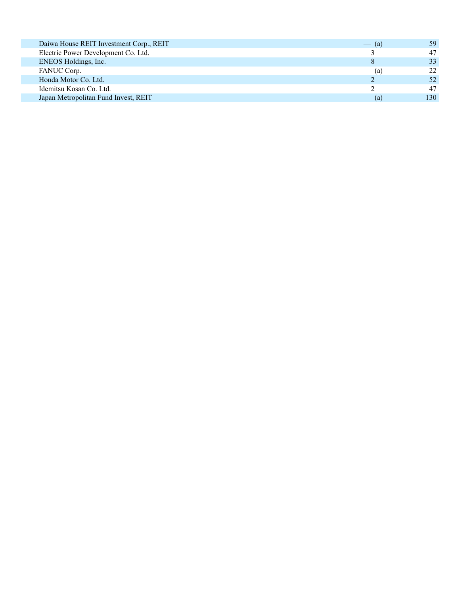| Daiwa House REIT Investment Corp., REIT | $\left( a\right)$<br>$\overline{\phantom{a}}$ | 59  |
|-----------------------------------------|-----------------------------------------------|-----|
| Electric Power Development Co. Ltd.     |                                               | 47  |
| ENEOS Holdings, Inc.                    |                                               | 33  |
| FANUC Corp.                             | $-$ (a)                                       | 22  |
| Honda Motor Co. Ltd.                    |                                               | 52  |
| Idemitsu Kosan Co. Ltd.                 |                                               | 47  |
| Japan Metropolitan Fund Invest, REIT    | (a)<br>$\overline{\phantom{a}}$               | 130 |
|                                         |                                               |     |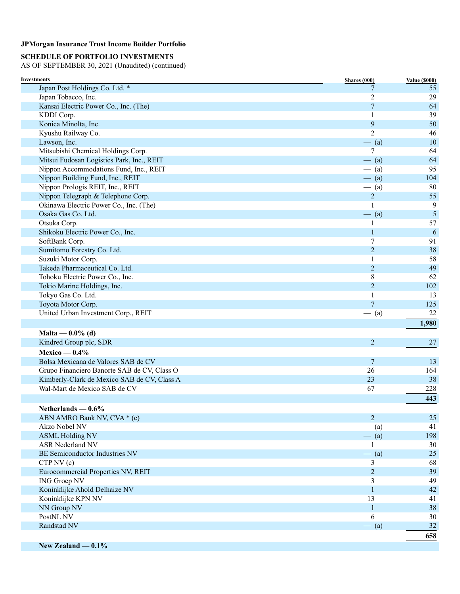## **SCHEDULE OF PORTFOLIO INVESTMENTS**

AS OF SEPTEMBER 30, 2021 (Unaudited) (continued)

| Investments                                 | Shares (000)   | <b>Value (\$000)</b> |
|---------------------------------------------|----------------|----------------------|
| Japan Post Holdings Co. Ltd. *              | 7              | 55                   |
| Japan Tobacco, Inc.                         | 2              | 29                   |
| Kansai Electric Power Co., Inc. (The)       | $\overline{7}$ | 64                   |
| KDDI Corp.                                  | 1              | 39                   |
| Konica Minolta, Inc.                        | 9              | 50                   |
| Kyushu Railway Co.                          | $\overline{2}$ | 46                   |
| Lawson, Inc.                                | $-$ (a)        | 10                   |
| Mitsubishi Chemical Holdings Corp.          | $\tau$         | 64                   |
| Mitsui Fudosan Logistics Park, Inc., REIT   | $-$ (a)        | 64                   |
| Nippon Accommodations Fund, Inc., REIT      | $-$ (a)        | 95                   |
| Nippon Building Fund, Inc., REIT            | $-$ (a)        | 104                  |
| Nippon Prologis REIT, Inc., REIT            | $-$ (a)        | 80                   |
| Nippon Telegraph & Telephone Corp.          | $\overline{c}$ | 55                   |
| Okinawa Electric Power Co., Inc. (The)      | 1              | 9                    |
| Osaka Gas Co. Ltd.                          | $-$ (a)        | $\mathfrak{S}$       |
| Otsuka Corp.                                | 1              | 57                   |
| Shikoku Electric Power Co., Inc.            | $\mathbf{1}$   | $\sqrt{6}$           |
| SoftBank Corp.                              | $\tau$         | 91                   |
| Sumitomo Forestry Co. Ltd.                  | $\overline{2}$ | 38                   |
| Suzuki Motor Corp.                          | $\mathbf{1}$   | 58                   |
| Takeda Pharmaceutical Co. Ltd.              | $\overline{2}$ | 49                   |
| Tohoku Electric Power Co., Inc.             | 8              | 62                   |
| Tokio Marine Holdings, Inc.                 | $\overline{c}$ | 102                  |
| Tokyo Gas Co. Ltd.                          | $\mathbf{1}$   | 13                   |
| Toyota Motor Corp.                          | $\overline{7}$ | 125                  |
| United Urban Investment Corp., REIT         | $-$ (a)        | 22                   |
|                                             |                | 1,980                |
|                                             |                |                      |
| Malta — $0.0\%$ (d)                         |                |                      |
| Kindred Group plc, SDR                      | $\overline{2}$ | 27                   |
| Mexico — $0.4\%$                            |                |                      |
| Bolsa Mexicana de Valores SAB de CV         | $\overline{7}$ | 13                   |
| Grupo Financiero Banorte SAB de CV, Class O | 26             | 164                  |
| Kimberly-Clark de Mexico SAB de CV, Class A | 23             | 38                   |
| Wal-Mart de Mexico SAB de CV                | 67             | 228                  |
|                                             |                | 443                  |
| Netherlands $-0.6%$                         |                |                      |
| ABN AMRO Bank NV, CVA * (c)                 | $\overline{c}$ | 25                   |
| Akzo Nobel NV                               | $-$ (a)        | 41                   |
| <b>ASML Holding NV</b>                      | $-$ (a)        | 198                  |
| <b>ASR Nederland NV</b>                     | $\mathbf{1}$   | 30                   |
| BE Semiconductor Industries NV              | $-$ (a)        | 25                   |
| CTP NV (c)                                  | 3              | 68                   |
| Eurocommercial Properties NV, REIT          | $\sqrt{2}$     | 39                   |
| <b>ING Groep NV</b>                         | 3              | 49                   |
| Koninklijke Ahold Delhaize NV               | $\mathbf{1}$   | 42                   |
| Koninklijke KPN NV                          | 13             | 41                   |
| NN Group NV                                 | $\mathbf{1}$   | 38                   |
| PostNL NV                                   | 6              | 30                   |
| Randstad NV                                 | $-$ (a)        | 32                   |
|                                             |                | 658                  |
|                                             |                |                      |

**New Zealand — 0.1%**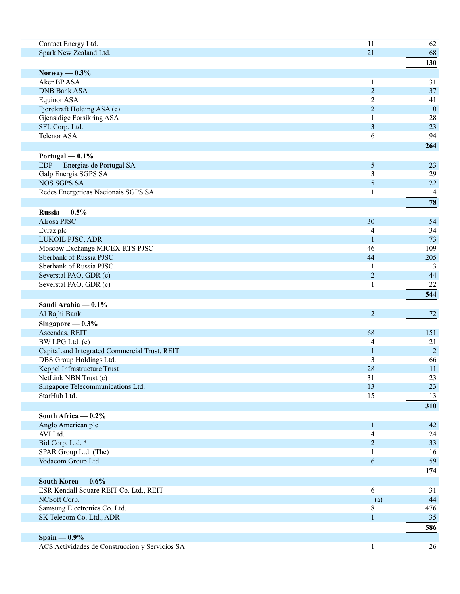| Contact Energy Ltd.                            | 11             | 62                       |
|------------------------------------------------|----------------|--------------------------|
| Spark New Zealand Ltd.                         | 21             | 68                       |
|                                                |                | 130                      |
| Norway — $0.3\%$                               |                |                          |
| Aker BP ASA                                    | 1              | 31                       |
| <b>DNB Bank ASA</b>                            | $\overline{2}$ | 37                       |
| Equinor ASA                                    | $\overline{c}$ | 41                       |
|                                                | $\overline{2}$ | 10                       |
| Fjordkraft Holding ASA (c)                     |                |                          |
| Gjensidige Forsikring ASA                      | $\mathbf{1}$   | 28                       |
| SFL Corp. Ltd.                                 | 3              | 23                       |
| <b>Telenor ASA</b>                             | 6              | 94                       |
|                                                |                | 264                      |
| Portugal $-0.1\%$                              |                |                          |
| EDP — Energias de Portugal SA                  | 5              | 23                       |
| Galp Energia SGPS SA                           | 3              | 29                       |
| <b>NOS SGPS SA</b>                             | 5              | $22\,$                   |
| Redes Energeticas Nacionais SGPS SA            | 1              | $\overline{\mathcal{L}}$ |
|                                                |                | 78                       |
|                                                |                |                          |
| Russia $-0.5%$                                 |                |                          |
| Alrosa PJSC                                    | 30             | 54                       |
| Evraz plc                                      | 4              | 34                       |
| LUKOIL PJSC, ADR                               | $\mathbf{1}$   | 73                       |
| Moscow Exchange MICEX-RTS PJSC                 | 46             | 109                      |
| Sberbank of Russia PJSC                        | 44             | 205                      |
| Sberbank of Russia PJSC                        | 1              | 3                        |
| Severstal PAO, GDR (c)                         | $\overline{c}$ | 44                       |
| Severstal PAO, GDR (c)                         | 1              | 22                       |
|                                                |                | 544                      |
| Saudi Arabia — 0.1%                            |                |                          |
|                                                |                |                          |
| Al Rajhi Bank                                  | $\overline{2}$ | 72                       |
| Singapore $-0.3%$                              |                |                          |
| Ascendas, REIT                                 | 68             | 151                      |
| BW LPG Ltd. (c)                                | 4              | 21                       |
| CapitaLand Integrated Commercial Trust, REIT   | 1              | $\overline{2}$           |
| DBS Group Holdings Ltd.                        | 3              | 66                       |
| Keppel Infrastructure Trust                    | 28             | 11                       |
| NetLink NBN Trust (c)                          | 31             | 23                       |
| Singapore Telecommunications Ltd.              | 13             | 23                       |
| StarHub Ltd.                                   | 15             | 13                       |
|                                                |                | 310                      |
|                                                |                |                          |
| South Africa $-0.2\%$                          |                |                          |
| Anglo American plc                             | 1              | 42                       |
| AVI Ltd.                                       | 4              | 24                       |
| Bid Corp. Ltd. *                               | $\overline{c}$ | 33                       |
| SPAR Group Ltd. (The)                          | 1              | 16                       |
| Vodacom Group Ltd.                             | 6              | 59                       |
|                                                |                | 174                      |
| South Korea - 0.6%                             |                |                          |
| ESR Kendall Square REIT Co. Ltd., REIT         | 6              | 31                       |
| NCSoft Corp.                                   | $-$ (a)        | 44                       |
| Samsung Electronics Co. Ltd.                   | $8\,$          | 476                      |
| SK Telecom Co. Ltd., ADR                       | $\mathbf{1}$   | 35                       |
|                                                |                |                          |
|                                                |                | 586                      |
| $Spain - 0.9\%$                                |                |                          |
| ACS Actividades de Construccion y Servicios SA | 1              | 26                       |
|                                                |                |                          |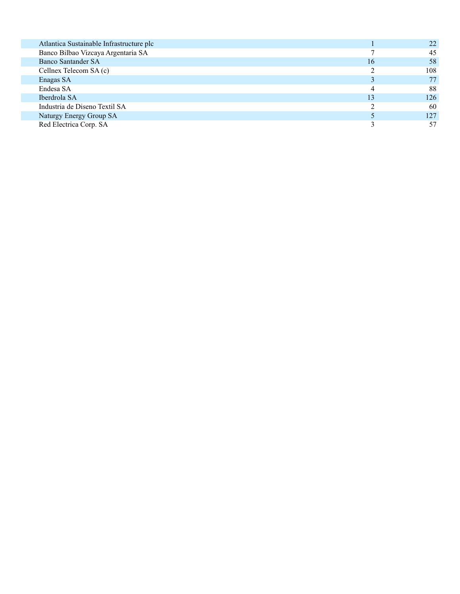| Atlantica Sustainable Infrastructure plc |    | 22  |
|------------------------------------------|----|-----|
| Banco Bilbao Vizcaya Argentaria SA       |    | 45  |
| <b>Banco Santander SA</b>                | 16 | 58  |
| Cellnex Telecom SA (c)                   |    | 108 |
| Enagas SA                                |    | 77  |
| Endesa SA                                |    | 88  |
| Iberdrola SA                             | 13 | 126 |
| Industria de Diseno Textil SA            |    | 60  |
| Naturgy Energy Group SA                  |    | 127 |
| Red Electrica Corp. SA                   |    | 57  |
|                                          |    |     |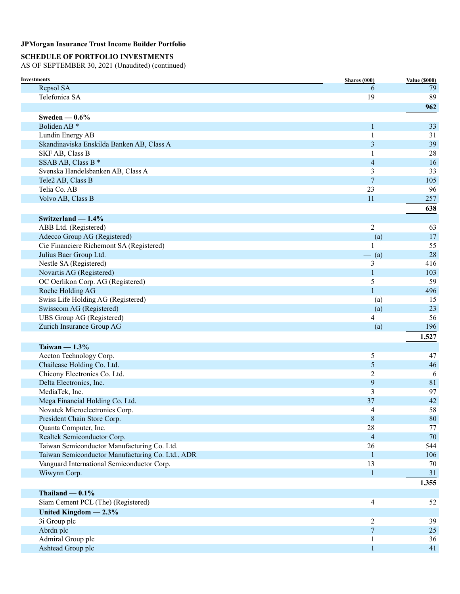# **SCHEDULE OF PORTFOLIO INVESTMENTS**

| Investments                                      | <b>Shares</b> (000)      | <b>Value (\$000)</b> |
|--------------------------------------------------|--------------------------|----------------------|
| Repsol SA                                        | 6                        | 79                   |
| Telefonica SA                                    | 19                       | 89                   |
|                                                  |                          | 962                  |
| Sweden $-0.6%$                                   |                          |                      |
| Boliden AB <sup>*</sup>                          | 1                        | 33                   |
| Lundin Energy AB                                 | 1                        | 31                   |
| Skandinaviska Enskilda Banken AB, Class A        | 3                        | 39                   |
| SKF AB, Class B                                  | 1                        | $28\,$               |
| SSAB AB, Class B *                               | $\overline{4}$           | 16                   |
| Svenska Handelsbanken AB, Class A                | 3                        | 33                   |
| Tele2 AB, Class B                                | $\overline{7}$           | 105                  |
| Telia Co. AB                                     | 23                       | 96                   |
| Volvo AB, Class B                                | 11                       | 257                  |
|                                                  |                          | 638                  |
| Switzerland $-1.4\%$                             |                          |                      |
| ABB Ltd. (Registered)                            | $\overline{2}$           | 63                   |
| Adecco Group AG (Registered)                     | $-$ (a)                  | 17                   |
| Cie Financiere Richemont SA (Registered)         |                          | 55                   |
| Julius Baer Group Ltd.                           | $-$ (a)                  | 28                   |
| Nestle SA (Registered)                           | $\mathfrak{Z}$           | 416                  |
| Novartis AG (Registered)                         | $\mathbf{1}$             | 103                  |
|                                                  |                          | 59                   |
| OC Oerlikon Corp. AG (Registered)                | 5<br>1                   | 496                  |
| Roche Holding AG                                 |                          |                      |
| Swiss Life Holding AG (Registered)               | $-$ (a)                  | 15                   |
| Swisscom AG (Registered)                         | $-$ (a)                  | 23                   |
| UBS Group AG (Registered)                        | $\overline{\mathcal{A}}$ | 56                   |
| Zurich Insurance Group AG                        | $-$ (a)                  | 196                  |
|                                                  |                          | 1,527                |
| Taiwan $-1.3%$                                   |                          |                      |
| Accton Technology Corp.                          | 5                        | 47                   |
| Chailease Holding Co. Ltd.                       | 5                        | 46                   |
| Chicony Electronics Co. Ltd.                     | $\overline{2}$           | 6                    |
| Delta Electronics, Inc.                          | 9                        | 81                   |
| MediaTek, Inc.                                   | 3                        | 97                   |
| Mega Financial Holding Co. Ltd.                  | 37                       | 42                   |
| Novatek Microelectronics Corp.                   | 4                        | 58                   |
| President Chain Store Corp.                      | $8\,$                    | $80\,$               |
| Quanta Computer, Inc.                            | 28                       | 77                   |
| Realtek Semiconductor Corp.                      | $\overline{4}$           | 70                   |
| Taiwan Semiconductor Manufacturing Co. Ltd.      | 26                       | 544                  |
| Taiwan Semiconductor Manufacturing Co. Ltd., ADR | $\mathbf{1}$             | 106                  |
| Vanguard International Semiconductor Corp.       | 13                       | 70                   |
| Wiwynn Corp.                                     | $\mathbf{1}$             | 31                   |
|                                                  |                          | 1,355                |
| Thailand $-0.1\%$                                |                          |                      |
| Siam Cement PCL (The) (Registered)               | $\overline{4}$           | 52                   |
| United Kingdom $-2.3%$                           |                          |                      |
| 3i Group plc                                     | $\overline{c}$           | 39                   |
| Abrdn plc                                        | $\overline{7}$           | 25                   |
| Admiral Group plc                                | 1                        | 36                   |
| Ashtead Group plc                                | $\mathbf{1}$             | 41                   |
|                                                  |                          |                      |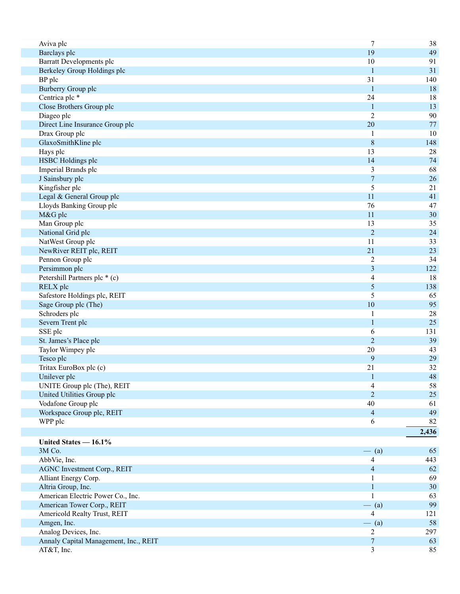| Aviva plc                             | $\overline{7}$   | 38     |
|---------------------------------------|------------------|--------|
| Barclays plc                          | 19               | 49     |
| <b>Barratt Developments plc</b>       | 10               | 91     |
| Berkeley Group Holdings plc           | 1                | 31     |
| BP plc                                | 31               | 140    |
| Burberry Group plc                    | 1                | 18     |
| Centrica plc *                        | 24               | 18     |
| Close Brothers Group plc              | 1                | 13     |
| Diageo plc                            | $\overline{c}$   | 90     |
| Direct Line Insurance Group plc       | 20               | 77     |
| Drax Group plc                        | 1                | 10     |
| GlaxoSmithKline plc                   | $\,$ 8 $\,$      | 148    |
| Hays plc                              | 13               | 28     |
| HSBC Holdings plc                     | 14               | 74     |
| Imperial Brands plc                   | 3                | 68     |
| J Sainsbury plc                       | $\boldsymbol{7}$ | 26     |
| Kingfisher plc                        | 5                | $21\,$ |
| Legal & General Group plc             | 11               | 41     |
| Lloyds Banking Group plc              | 76               | $47\,$ |
| M&G plc                               | 11               | 30     |
| Man Group plc                         | 13               | 35     |
| National Grid plc                     | $\overline{2}$   | 24     |
| NatWest Group plc                     | 11               | 33     |
| NewRiver REIT plc, REIT               | 21               | 23     |
| Pennon Group plc                      | $\overline{c}$   | 34     |
| Persimmon plc                         | 3                | 122    |
| Petershill Partners plc * (c)         | 4                | 18     |
| RELX plc                              | 5                | 138    |
| Safestore Holdings plc, REIT          | 5                | 65     |
| Sage Group plc (The)                  | 10               | 95     |
| Schroders plc                         |                  | 28     |
| Severn Trent plc                      | $\mathbf{1}$     | 25     |
|                                       | 6                | 131    |
| SSE plc<br>St. James's Place plc      | $\overline{2}$   | 39     |
|                                       |                  |        |
| Taylor Wimpey plc                     | 20               | 43     |
| Tesco plc                             | 9                | 29     |
| Tritax EuroBox plc (c)                | 21               | 32     |
| Unilever plc                          | 1                | 48     |
| UNITE Group plc (The), REIT           | 4                | 58     |
| United Utilities Group plc            | $\overline{2}$   | 25     |
| Vodafone Group plc                    | 40               | 61     |
| Workspace Group plc, REIT             | $\overline{4}$   | 49     |
| WPP plc                               | 6                | 82     |
|                                       |                  | 2,436  |
| United States - 16.1%                 |                  |        |
| 3M Co.                                | $-$ (a)          | 65     |
| AbbVie, Inc.                          | $\overline{4}$   | 443    |
| <b>AGNC Investment Corp., REIT</b>    | $\overline{4}$   | 62     |
| Alliant Energy Corp.                  | 1                | 69     |
| Altria Group, Inc.                    | $\mathbf{1}$     | 30     |
| American Electric Power Co., Inc.     |                  | 63     |
| American Tower Corp., REIT            | $-$ (a)          | 99     |
| Americold Realty Trust, REIT          | $\overline{4}$   | 121    |
| Amgen, Inc.                           | $-$ (a)          | 58     |
| Analog Devices, Inc.                  | $\overline{c}$   | 297    |
| Annaly Capital Management, Inc., REIT | $\boldsymbol{7}$ | 63     |
| AT&T, Inc.                            | 3                | 85     |
|                                       |                  |        |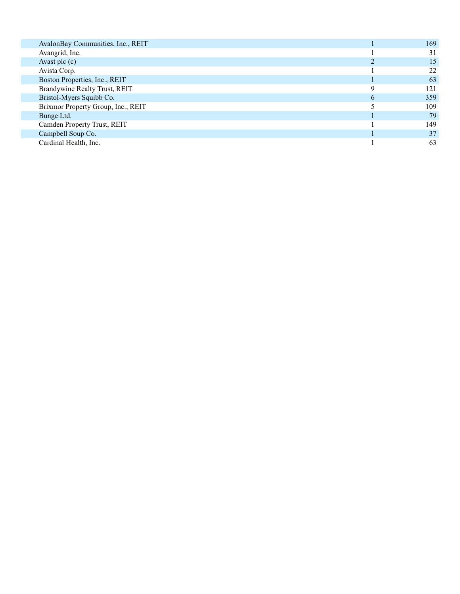| AvalonBay Communities, Inc., REIT  |   | 169 |
|------------------------------------|---|-----|
| Avangrid, Inc.                     |   | 31  |
| Avast plc $(c)$                    |   | 15  |
| Avista Corp.                       |   | 22  |
| Boston Properties, Inc., REIT      |   | 63  |
| Brandywine Realty Trust, REIT      | a | 121 |
| Bristol-Myers Squibb Co.           | b | 359 |
| Brixmor Property Group, Inc., REIT |   | 109 |
| Bunge Ltd.                         |   | 79  |
| Camden Property Trust, REIT        |   | 149 |
| Campbell Soup Co.                  |   | 37  |
| Cardinal Health, Inc.              |   | 63  |
|                                    |   |     |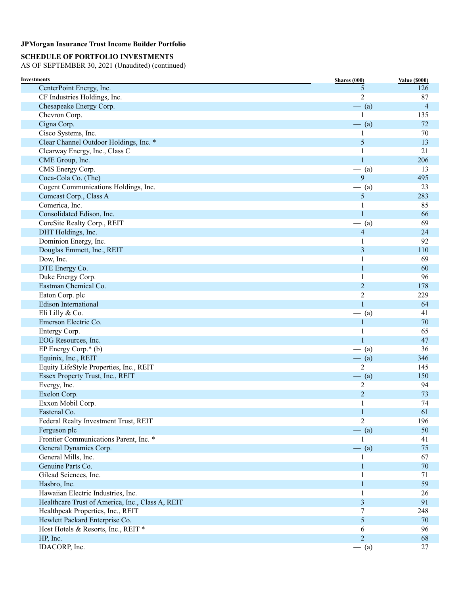### **SCHEDULE OF PORTFOLIO INVESTMENTS**

| <b>Investments</b>                               | Shares (000)   | <b>Value (\$000)</b> |
|--------------------------------------------------|----------------|----------------------|
| CenterPoint Energy, Inc.                         | 5              | 126                  |
| CF Industries Holdings, Inc.                     | $\overline{2}$ | 87                   |
| Chesapeake Energy Corp.                          | $-$ (a)        | 4                    |
| Chevron Corp.                                    | 1              | 135                  |
| Cigna Corp.                                      | $-$ (a)        | 72                   |
| Cisco Systems, Inc.                              | 1              | 70                   |
| Clear Channel Outdoor Holdings, Inc. *           | 5              | 13                   |
| Clearway Energy, Inc., Class C                   | 1              | 21                   |
| CME Group, Inc.                                  | $\mathbf{1}$   | 206                  |
| CMS Energy Corp.                                 | $-$ (a)        | 13                   |
| Coca-Cola Co. (The)                              | 9              | 495                  |
| Cogent Communications Holdings, Inc.             | $-$ (a)        | 23                   |
| Comcast Corp., Class A                           | 5              | 283                  |
| Comerica, Inc.                                   | 1              | 85                   |
| Consolidated Edison, Inc.                        | $\mathbf{1}$   | 66                   |
| CoreSite Realty Corp., REIT                      | $-$ (a)        | 69                   |
| DHT Holdings, Inc.                               | $\overline{4}$ | 24                   |
| Dominion Energy, Inc.                            | 1              | 92                   |
| Douglas Emmett, Inc., REIT                       | 3              | 110                  |
| Dow, Inc.                                        | 1              | 69                   |
| DTE Energy Co.                                   | $\mathbf{1}$   | 60                   |
| Duke Energy Corp.                                | 1              | 96                   |
| Eastman Chemical Co.                             | $\overline{2}$ | 178                  |
| Eaton Corp. plc                                  | $\overline{2}$ | 229                  |
| Edison International                             | $\mathbf{1}$   | 64                   |
| Eli Lilly & Co.                                  | $-$ (a)        | 41                   |
| Emerson Electric Co.                             | $\mathbf{1}$   | 70                   |
| Entergy Corp.                                    | 1              | 65                   |
| EOG Resources, Inc.                              | $\mathbf{1}$   | 47                   |
| EP Energy Corp.* (b)                             | $-$ (a)        | 36                   |
| Equinix, Inc., REIT                              | $-$ (a)        | 346                  |
| Equity LifeStyle Properties, Inc., REIT          | $\overline{2}$ | 145                  |
| Essex Property Trust, Inc., REIT                 | $-$ (a)        | 150                  |
| Evergy, Inc.                                     | 2              | 94                   |
| Exelon Corp.                                     | $\sqrt{2}$     | 73                   |
| Exxon Mobil Corp.                                | $\mathbf{1}$   | 74                   |
| Fastenal Co.                                     | $\mathbf{1}$   | 61                   |
| Federal Realty Investment Trust, REIT            | $\overline{c}$ | 196                  |
| Ferguson plc                                     | $-$ (a)        | 50                   |
| Frontier Communications Parent, Inc. *           |                | 41                   |
| General Dynamics Corp.                           | $-$ (a)        | 75                   |
| General Mills, Inc.                              |                | 67                   |
| Genuine Parts Co.                                | 1              | 70                   |
| Gilead Sciences, Inc.                            |                | 71                   |
| Hasbro, Inc.                                     | 1              | 59                   |
| Hawaiian Electric Industries, Inc.               |                | 26                   |
| Healthcare Trust of America, Inc., Class A, REIT | 3              | 91                   |
| Healthpeak Properties, Inc., REIT                | 7              | 248                  |
| Hewlett Packard Enterprise Co.                   | 5              | 70                   |
| Host Hotels & Resorts, Inc., REIT *              | 6              | 96                   |
| HP, Inc.                                         | $\overline{2}$ | 68                   |
| IDACORP, Inc.                                    | $-$ (a)        | 27                   |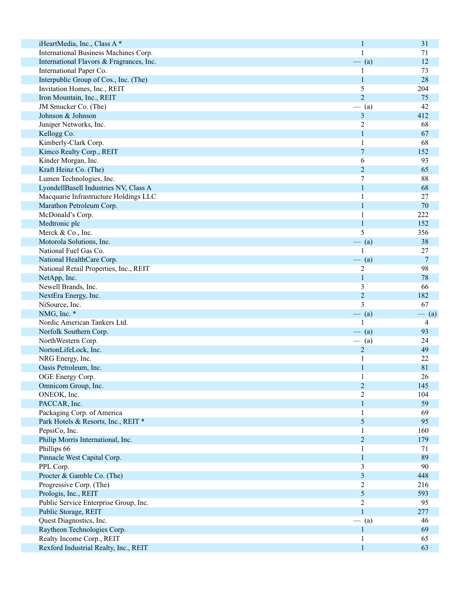| iHeartMedia, Inc., Class A*               | $\mathbf{1}$                   | 31                       |
|-------------------------------------------|--------------------------------|--------------------------|
| International Business Machines Corp.     | 1                              | 71                       |
| International Flavors & Fragrances, Inc.  | $-$ (a)                        | 12                       |
| International Paper Co.                   |                                | 73                       |
| Interpublic Group of Cos., Inc. (The)     | $\mathbf{1}$                   | 28                       |
| Invitation Homes, Inc., REIT              | 5                              | 204                      |
| Iron Mountain, Inc., REIT                 | $\overline{2}$                 | 75                       |
| JM Smucker Co. (The)                      | $-$ (a)                        | 42                       |
| Johnson & Johnson                         | $\mathfrak{Z}$                 | 412                      |
| Juniper Networks, Inc.                    | $\overline{c}$                 | 68                       |
| Kellogg Co.                               | $\mathbf{1}$                   | 67                       |
| Kimberly-Clark Corp.                      | 1                              | 68                       |
| Kimco Realty Corp., REIT                  | $\overline{7}$                 | 152                      |
| Kinder Morgan, Inc.                       | 6                              | 93                       |
| Kraft Heinz Co. (The)                     | $\overline{2}$                 | 65                       |
| Lumen Technologies, Inc.                  | $\boldsymbol{7}$               | 88                       |
| LyondellBasell Industries NV, Class A     | $\mathbf{1}$                   | 68                       |
| Macquarie Infrastructure Holdings LLC     | 1                              | 27                       |
| Marathon Petroleum Corp.                  | $\mathbf{1}$                   | 70                       |
| McDonald's Corp.                          | 1                              | 222                      |
| Medtronic plc                             | $\mathbf{1}$                   | 152                      |
| Merck & Co., Inc.                         | 5                              | 356                      |
| Motorola Solutions, Inc.                  | $-$ (a)                        | 38                       |
| National Fuel Gas Co.                     |                                | 27                       |
| National HealthCare Corp.                 | $-$ (a)                        | $7\phantom{.0}$          |
| National Retail Properties, Inc., REIT    | $\overline{c}$                 | 98                       |
| NetApp, Inc.                              | $\mathbf{1}$                   | 78                       |
| Newell Brands, Inc.                       | 3                              | 66                       |
| NextEra Energy, Inc.                      | $\overline{2}$                 | 182                      |
| NiSource, Inc.                            | 3                              | 67                       |
| NMG, Inc. *                               | $-$ (a)                        | $-$ (a)                  |
| Nordic American Tankers Ltd.              |                                | $\overline{\mathcal{A}}$ |
| Norfolk Southern Corp.                    | $-$ (a)                        | 93                       |
| NorthWestern Corp.                        | $-$ (a)                        | 24                       |
| NortonLifeLock, Inc.                      | $\overline{2}$                 | 49                       |
| NRG Energy, Inc.                          |                                | 22                       |
| Oasis Petroleum, Inc.<br>OGE Energy Corp. | $\mathbf{1}$                   | 81                       |
| Omnicom Group, Inc.                       | 1<br>$\overline{2}$            | 26<br>145                |
|                                           |                                | 104                      |
| ONEOK, Inc.<br>PACCAR, Inc.               | $\overline{c}$<br>$\mathbf{1}$ | 59                       |
| Packaging Corp. of America                | 1                              | 69                       |
| Park Hotels & Resorts, Inc., REIT *       | $\mathfrak{S}$                 | 95                       |
| PepsiCo, Inc.                             | 1                              | 160                      |
| Philip Morris International, Inc.         | $\overline{2}$                 | 179                      |
| Phillips 66                               | 1                              | 71                       |
| Pinnacle West Capital Corp.               | $\mathbf{1}$                   | 89                       |
| PPL Corp.                                 | 3                              | 90                       |
| Procter & Gamble Co. (The)                | $\mathfrak{Z}$                 | 448                      |
| Progressive Corp. (The)                   | $\overline{c}$                 | 216                      |
| Prologis, Inc., REIT                      | $\mathfrak{S}$                 | 593                      |
| Public Service Enterprise Group, Inc.     | $\overline{2}$                 | 95                       |
| Public Storage, REIT                      | $\mathbf{1}$                   | 277                      |
| Quest Diagnostics, Inc.                   | $-$ (a)                        | 46                       |
| Raytheon Technologies Corp.               | $\mathbf{1}$                   | 69                       |
| Realty Income Corp., REIT                 | 1                              | 65                       |
| Rexford Industrial Realty, Inc., REIT     | $\mathbf{1}$                   | 63                       |
|                                           |                                |                          |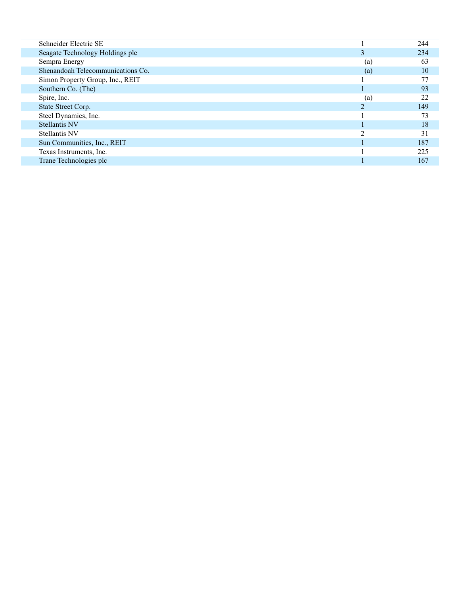| Schneider Electric SE             |         | 244 |
|-----------------------------------|---------|-----|
| Seagate Technology Holdings plc   | 3       | 234 |
| Sempra Energy                     | $-$ (a) | 63  |
| Shenandoah Telecommunications Co. | $-$ (a) | 10  |
| Simon Property Group, Inc., REIT  |         | 77  |
| Southern Co. (The)                |         | 93  |
| Spire, Inc.                       | $-$ (a) | 22  |
| State Street Corp.                |         | 149 |
| Steel Dynamics, Inc.              |         | 73  |
| <b>Stellantis NV</b>              |         | 18  |
| <b>Stellantis NV</b>              |         | 31  |
| Sun Communities, Inc., REIT       |         | 187 |
| Texas Instruments, Inc.           |         | 225 |
| Trane Technologies plc            |         | 167 |
|                                   |         |     |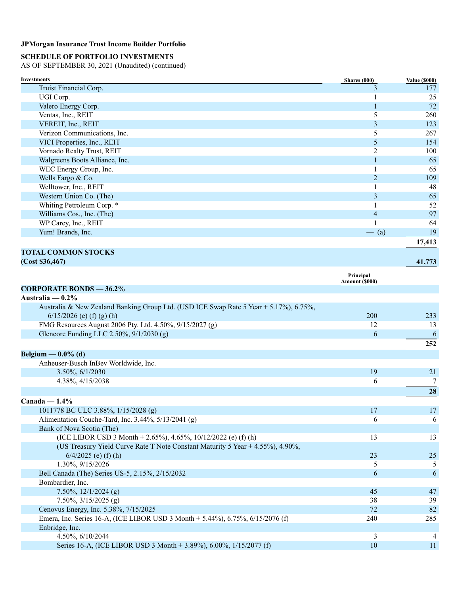#### **SCHEDULE OF PORTFOLIO INVESTMENTS**

Bombardier, Inc.

Enbridge, Inc.

AS OF SEPTEMBER 30, 2021 (Unaudited) (continued)

| <b>Investments</b>                                                                    | Shares (000)                | <b>Value (\$000)</b> |
|---------------------------------------------------------------------------------------|-----------------------------|----------------------|
| Truist Financial Corp.                                                                | 3                           | 177                  |
| UGI Corp.                                                                             | 1                           | 25                   |
| Valero Energy Corp.                                                                   | $\mathbf{1}$                | 72                   |
| Ventas, Inc., REIT                                                                    | 5                           | 260                  |
| VEREIT, Inc., REIT                                                                    | 3                           | 123                  |
| Verizon Communications, Inc.                                                          | 5                           | 267                  |
| VICI Properties, Inc., REIT                                                           | 5                           | 154                  |
| Vornado Realty Trust, REIT                                                            | $\overline{c}$              | 100                  |
| Walgreens Boots Alliance, Inc.                                                        | 1                           | 65                   |
| WEC Energy Group, Inc.                                                                | 1                           | 65                   |
| Wells Fargo & Co.                                                                     | $\overline{2}$              | 109                  |
| Welltower, Inc., REIT                                                                 | 1                           | 48                   |
| Western Union Co. (The)                                                               | 3                           | 65                   |
| Whiting Petroleum Corp. *                                                             | $\mathbf{1}$                | 52                   |
| Williams Cos., Inc. (The)                                                             | $\overline{4}$              | 97                   |
| WP Carey, Inc., REIT                                                                  | 1                           | 64                   |
| Yum! Brands, Inc.                                                                     | $-$ (a)                     | 19                   |
|                                                                                       |                             | 17,413               |
| <b>TOTAL COMMON STOCKS</b>                                                            |                             |                      |
| (Cost \$36,467)                                                                       |                             | 41,773               |
|                                                                                       |                             |                      |
|                                                                                       | Principal<br>Amount (\$000) |                      |
| <b>CORPORATE BONDS - 36.2%</b>                                                        |                             |                      |
| Australia — $0.2\%$                                                                   |                             |                      |
| Australia & New Zealand Banking Group Ltd. (USD ICE Swap Rate 5 Year + 5.17%), 6.75%, |                             |                      |
| $6/15/2026$ (e) (f) (g) (h)                                                           | 200                         | 233                  |
| FMG Resources August 2006 Pty. Ltd. 4.50%, 9/15/2027 (g)                              | 12                          | 13                   |
| Glencore Funding LLC 2.50%, 9/1/2030 (g)                                              | 6                           | 6                    |
|                                                                                       |                             | 252                  |
| Belgium — $0.0\%$ (d)                                                                 |                             |                      |
| Anheuser-Busch InBev Worldwide, Inc.                                                  |                             |                      |
| 3.50%, 6/1/2030                                                                       | 19                          | 21                   |
| 4.38%, 4/15/2038                                                                      | 6                           | 7                    |
|                                                                                       |                             | 28                   |
|                                                                                       |                             |                      |
|                                                                                       |                             |                      |
| Canada $-1.4%$                                                                        |                             |                      |
| 1011778 BC ULC 3.88%, 1/15/2028 (g)                                                   | $17\,$                      |                      |
| Alimentation Couche-Tard, Inc. 3.44%, 5/13/2041 (g)                                   | 6                           |                      |
| Bank of Nova Scotia (The)                                                             |                             |                      |
| (ICE LIBOR USD 3 Month + 2.65%), 4.65%, 10/12/2022 (e) (f) (h)                        | 13                          |                      |
| (US Treasury Yield Curve Rate T Note Constant Maturity 5 Year + 4.55%), 4.90%,        |                             | 17<br>6<br>13        |
| $6/4/2025$ (e) (f) (h)<br>1.30%, 9/15/2026                                            | $23\,$<br>5                 | 25<br>5 <sub>5</sub> |

Bell Canada (The) Series US-5, 2.15%, 2/15/2032 6 6

Emera, Inc. Series 16-A, (ICE LIBOR USD 3 Month + 5.44%), 6.75%, 6/15/2076 (f) 240

Series 16-A, (ICE LIBOR USD 3 Month + 3.89%), 6.00%, 1/15/2077 (f)

7.50%, 12/1/2024 (g) 45<br>
7.50%, 3/15/2025 (g) 47<br>
38 39 7.50%, 3/15/2025 (g) 38 39<br>
vus Energy, Inc. 5.38%, 7/15/2025 Cenovus Energy, Inc. 5.38%, 7/15/2025<br>
Emera, Inc. Series 16-A, (ICE LIBOR USD 3 Month + 5.44%), 6.75%, 6/15/2076 (f) 240 285

4.50%, 6/10/2044<br>Series 16-A, (ICE LIBOR USD 3 Month + 3.89%), 6.00%, 1/15/2077 (f) 10 11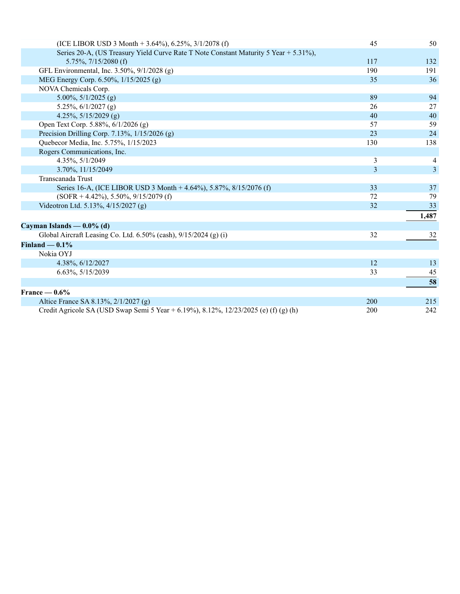| (ICE LIBOR USD 3 Month $+3.64\%$ ), 6.25%, 3/1/2078 (f)                              | 45             | 50    |
|--------------------------------------------------------------------------------------|----------------|-------|
| Series 20-A, (US Treasury Yield Curve Rate T Note Constant Maturity 5 Year + 5.31%), |                |       |
| 5.75%, $7/15/2080$ (f)                                                               | 117            | 132   |
| GFL Environmental, Inc. 3.50%, 9/1/2028 (g)                                          | 190            | 191   |
| MEG Energy Corp. 6.50%, 1/15/2025 (g)                                                | 35             | 36    |
| NOVA Chemicals Corp.                                                                 |                |       |
| 5.00%, $5/1/2025$ (g)                                                                | 89             | 94    |
| 5.25%, $6/1/2027$ (g)                                                                | 26             | 27    |
| 4.25%, $5/15/2029$ (g)                                                               | 40             | 40    |
| Open Text Corp. 5.88%, 6/1/2026 (g)                                                  | 57             | 59    |
| Precision Drilling Corp. 7.13%, 1/15/2026 (g)                                        | 23             | 24    |
| Quebecor Media, Inc. 5.75%, 1/15/2023                                                | 130            | 138   |
| Rogers Communications, Inc.                                                          |                |       |
| 4.35%, 5/1/2049                                                                      | $\mathfrak{Z}$ | 4     |
| 3.70%, 11/15/2049                                                                    | 3              | 3     |
| Transcanada Trust                                                                    |                |       |
| Series 16-A, (ICE LIBOR USD 3 Month + 4.64%), 5.87%, 8/15/2076 (f)                   | 33             | 37    |
| $(SOFR + 4.42\%), 5.50\%, 9/15/2079(f)$                                              | 72             | 79    |
| Videotron Ltd. 5.13%, 4/15/2027 (g)                                                  | 32             | 33    |
|                                                                                      |                | 1,487 |
| Cayman Islands — $0.0\%$ (d)                                                         |                |       |
| Global Aircraft Leasing Co. Ltd. 6.50% (cash), 9/15/2024 (g) (i)                     | 32             | 32    |
| Finland $-0.1%$                                                                      |                |       |
| Nokia OYJ                                                                            |                |       |
| 4.38%, 6/12/2027                                                                     | 12             | 13    |
| 6.63%, 5/15/2039                                                                     | 33             | 45    |
|                                                                                      |                | 58    |
| France $-0.6%$                                                                       |                |       |
| Altice France SA 8.13%, 2/1/2027 (g)                                                 | 200            | 215   |
| Credit Agricole SA (USD Swap Semi 5 Year + 6.19%), 8.12%, 12/23/2025 (e) (f) (g) (h) | 200            | 242   |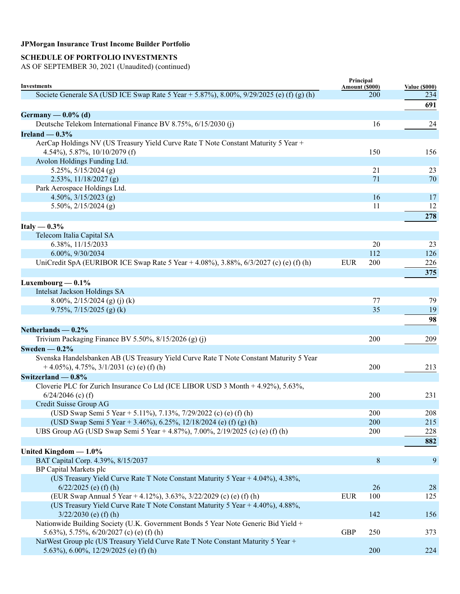# **SCHEDULE OF PORTFOLIO INVESTMENTS**

| <b>Investments</b>                                                                         | Principal<br><b>Amount (\$000)</b> |            | <b>Value (\$000)</b> |
|--------------------------------------------------------------------------------------------|------------------------------------|------------|----------------------|
| Societe Generale SA (USD ICE Swap Rate 5 Year + 5.87%), 8.00%, $9/29/2025$ (e) (f) (g) (h) |                                    | <b>200</b> | 234                  |
|                                                                                            |                                    |            | 691                  |
| Germany — $0.0\%$ (d)                                                                      |                                    |            |                      |
| Deutsche Telekom International Finance BV 8.75%, 6/15/2030 (j)                             |                                    | 16         | 24                   |
| Ireland $-0.3%$                                                                            |                                    |            |                      |
| AerCap Holdings NV (US Treasury Yield Curve Rate T Note Constant Maturity 5 Year +         |                                    |            |                      |
| 4.54%), 5.87%, $10/10/2079$ (f)                                                            |                                    | 150        | 156                  |
| Avolon Holdings Funding Ltd.                                                               |                                    |            |                      |
| $5.25\%, 5/15/2024 (g)$                                                                    |                                    | 21         | 23                   |
| $2.53\%, 11/18/2027$ (g)                                                                   |                                    | 71         | 70                   |
| Park Aerospace Holdings Ltd.                                                               |                                    |            |                      |
| 4.50%, $3/15/2023$ (g)                                                                     |                                    | 16         | 17                   |
| $5.50\%, 2/15/2024$ (g)                                                                    |                                    | 11         | 12                   |
|                                                                                            |                                    |            | 278                  |
| Italy $-0.3\%$                                                                             |                                    |            |                      |
| Telecom Italia Capital SA                                                                  |                                    |            |                      |
| 6.38%, 11/15/2033                                                                          |                                    | 20         | 23                   |
| 6.00%, 9/30/2034                                                                           |                                    | 112        | 126                  |
| UniCredit SpA (EURIBOR ICE Swap Rate 5 Year + 4.08%), 3.88%, 6/3/2027 (c) (e) (f) (h)      | EUR                                | 200        | 226                  |
|                                                                                            |                                    |            | 375                  |
| Luxembourg $-0.1\%$                                                                        |                                    |            |                      |
| Intelsat Jackson Holdings SA                                                               |                                    |            |                      |
| 8.00%, 2/15/2024 (g) (j) (k)                                                               |                                    | 77         | 79                   |
| 9.75%, $7/15/2025$ (g) (k)                                                                 |                                    | 35         | 19                   |
|                                                                                            |                                    |            | 98                   |
| Netherlands $-0.2\%$                                                                       |                                    |            |                      |
| Trivium Packaging Finance BV 5.50%, $8/15/2026$ (g) (j)                                    |                                    | 200        | 209                  |
| Sweden $-0.2\%$                                                                            |                                    |            |                      |
| Svenska Handelsbanken AB (US Treasury Yield Curve Rate T Note Constant Maturity 5 Year     |                                    |            |                      |
| $+4.05\%, 4.75\%, 3/1/2031$ (c) (e) (f) (h)                                                |                                    | 200        | 213                  |
| Switzerland $-0.8\%$                                                                       |                                    |            |                      |
| Cloverie PLC for Zurich Insurance Co Ltd (ICE LIBOR USD 3 Month + 4.92%), 5.63%,           |                                    |            |                      |
| $6/24/2046$ (c) (f)                                                                        |                                    | 200        | 231                  |
| Credit Suisse Group AG                                                                     |                                    |            |                      |
| (USD Swap Semi 5 Year + 5.11%), 7.13%, 7/29/2022 (c) (e) (f) (h)                           |                                    | 200        | 208                  |
| (USD Swap Semi 5 Year + 3.46%), 6.25%, 12/18/2024 (e) (f) (g) (h)                          |                                    | 200        | 215                  |
| UBS Group AG (USD Swap Semi 5 Year + 4.87%), 7.00%, 2/19/2025 (c) (e) (f) (h)              |                                    | 200        | 228                  |
|                                                                                            |                                    |            | 882                  |
| United Kingdom $-1.0\%$                                                                    |                                    |            |                      |
| BAT Capital Corp. 4.39%, 8/15/2037                                                         |                                    | 8          | 9                    |
| BP Capital Markets plc                                                                     |                                    |            |                      |
| (US Treasury Yield Curve Rate T Note Constant Maturity 5 Year + 4.04%), 4.38%,             |                                    |            |                      |
| $6/22/2025$ (e) (f) (h)                                                                    |                                    | 26         | 28                   |
| (EUR Swap Annual 5 Year + 4.12%), 3.63%, 3/22/2029 (c) (e) (f) (h)                         | <b>EUR</b>                         | 100        | 125                  |
| (US Treasury Yield Curve Rate T Note Constant Maturity 5 Year + 4.40%), 4.88%,             |                                    |            |                      |
| $3/22/2030$ (e) (f) (h)                                                                    |                                    | 142        | 156                  |
| Nationwide Building Society (U.K. Government Bonds 5 Year Note Generic Bid Yield +         |                                    |            |                      |
| 5.63%), 5.75%, $6/20/2027$ (c) (e) (f) (h)                                                 | <b>GBP</b>                         | 250        | 373                  |
| NatWest Group plc (US Treasury Yield Curve Rate T Note Constant Maturity 5 Year +          |                                    |            |                      |
| 5.63%), 6.00%, 12/29/2025 (e) (f) (h)                                                      |                                    | 200        | 224                  |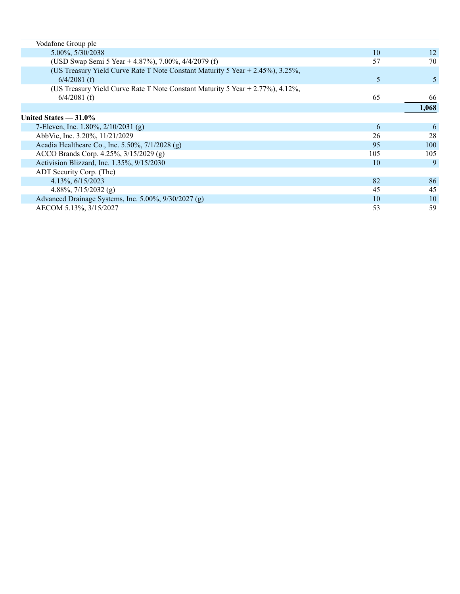| Vodafone Group plc                                                                 |     |       |
|------------------------------------------------------------------------------------|-----|-------|
| $5.00\%$ , $5/30/2038$                                                             | 10  | 12    |
| (USD Swap Semi 5 Year + 4.87%), 7.00%, 4/4/2079 (f)                                | 57  | 70    |
| (US Treasury Yield Curve Rate T Note Constant Maturity 5 Year $+ 2.45\%$ ), 3.25%, |     |       |
| $6/4/2081$ (f)                                                                     | 5   | 5     |
| (US Treasury Yield Curve Rate T Note Constant Maturity 5 Year $+ 2.77\%$ ), 4.12%, |     |       |
| $6/4/2081$ (f)                                                                     | 65  | 66    |
|                                                                                    |     | 1,068 |
| United States $-31.0\%$                                                            |     |       |
| 7-Eleven, Inc. 1.80%, $2/10/2031$ (g)                                              | 6   | 6     |
| AbbVie, Inc. 3.20%, 11/21/2029                                                     | 26  | 28    |
| Acadia Healthcare Co., Inc. 5.50%, 7/1/2028 (g)                                    | 95  | 100   |
| ACCO Brands Corp. 4.25%, 3/15/2029 (g)                                             | 105 | 105   |
| Activision Blizzard, Inc. 1.35%, 9/15/2030                                         | 10  | 9     |
| ADT Security Corp. (The)                                                           |     |       |
| $4.13\%, 6/15/2023$                                                                | 82  | 86    |
| 4.88%, $7/15/2032$ (g)                                                             | 45  | 45    |
| Advanced Drainage Systems, Inc. 5.00%, 9/30/2027 (g)                               | 10  | 10    |
| AECOM 5.13%, 3/15/2027                                                             | 53  | 59    |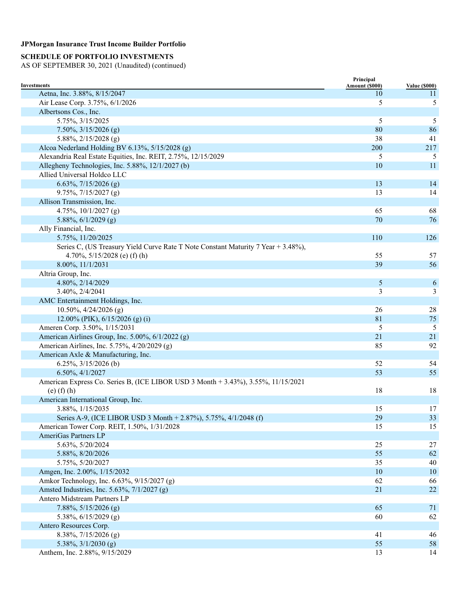## **SCHEDULE OF PORTFOLIO INVESTMENTS**

| Investments                                                                       | Principal<br>Amount (\$000) | <b>Value (\$000)</b> |
|-----------------------------------------------------------------------------------|-----------------------------|----------------------|
| Aetna, Inc. 3.88%, 8/15/2047                                                      | 10                          | 11                   |
| Air Lease Corp. 3.75%, 6/1/2026                                                   | 5                           | 5                    |
| Albertsons Cos., Inc.                                                             |                             |                      |
| 5.75%, 3/15/2025                                                                  | 5                           | 5                    |
| $7.50\%, 3/15/2026$ (g)                                                           | 80                          | 86                   |
|                                                                                   | 38                          | 41                   |
| 5.88%, $2/15/2028$ (g)                                                            |                             |                      |
| Alcoa Nederland Holding BV 6.13%, 5/15/2028 (g)                                   | 200                         | 217                  |
| Alexandria Real Estate Equities, Inc. REIT, 2.75%, 12/15/2029                     | 5                           | 5                    |
| Allegheny Technologies, Inc. 5.88%, 12/1/2027 (b)                                 | 10                          | 11                   |
| Allied Universal Holdco LLC                                                       |                             |                      |
| 6.63%, $7/15/2026$ (g)                                                            | 13                          | 14                   |
| 9.75%, $7/15/2027$ (g)                                                            | 13                          | 14                   |
| Allison Transmission, Inc.                                                        |                             |                      |
| 4.75%, $10/1/2027$ (g)                                                            | 65                          | 68                   |
| 5.88%, $6/1/2029$ (g)                                                             | 70                          | 76                   |
| Ally Financial, Inc.                                                              |                             |                      |
| 5.75%, 11/20/2025                                                                 | 110                         | 126                  |
| Series C, (US Treasury Yield Curve Rate T Note Constant Maturity 7 Year + 3.48%), |                             |                      |
| 4.70%, $5/15/2028$ (e) (f) (h)                                                    | 55                          | 57                   |
| 8.00%, 11/1/2031                                                                  | 39                          | 56                   |
| Altria Group, Inc.                                                                |                             |                      |
| 4.80%, 2/14/2029                                                                  | 5                           | 6                    |
| 3.40%, 2/4/2041                                                                   | 3                           | 3                    |
| AMC Entertainment Holdings, Inc.                                                  |                             |                      |
| $10.50\%, \frac{4}{24/2026}$ (g)                                                  | 26                          | 28                   |
| $12.00\%$ (PIK), 6/15/2026 (g) (i)                                                | 81                          | 75                   |
| Ameren Corp. 3.50%, 1/15/2031                                                     | 5                           | 5                    |
| American Airlines Group, Inc. 5.00%, 6/1/2022 (g)                                 | 21                          | 21                   |
| American Airlines, Inc. 5.75%, 4/20/2029 (g)                                      | 85                          | 92                   |
| American Axle & Manufacturing, Inc.                                               |                             |                      |
| 6.25%, 3/15/2026 (b)                                                              | 52                          | 54                   |
| 6.50%, 4/1/2027                                                                   | 53                          | 55                   |
| American Express Co. Series B, (ICE LIBOR USD 3 Month + 3.43%), 3.55%, 11/15/2021 |                             |                      |
| $(e)$ $(f)$ $(h)$                                                                 | 18                          | 18                   |
| American International Group, Inc.                                                |                             |                      |
| 3.88%, 1/15/2035                                                                  | 15                          | 17                   |
| Series A-9, (ICE LIBOR USD 3 Month + 2.87%), 5.75%, 4/1/2048 (f)                  | 29                          | 33                   |
| American Tower Corp. REIT, 1.50%, 1/31/2028                                       | 15                          | 15                   |
| AmeriGas Partners LP                                                              |                             |                      |
| 5.63%, 5/20/2024                                                                  | 25                          | $27\,$               |
| 5.88%, 8/20/2026                                                                  | 55                          | 62                   |
| 5.75%, 5/20/2027                                                                  | 35                          | 40                   |
| Amgen, Inc. 2.00%, 1/15/2032                                                      | 10                          | 10                   |
| Amkor Technology, Inc. 6.63%, 9/15/2027 (g)                                       | 62                          | 66                   |
| Amsted Industries, Inc. 5.63%, 7/1/2027 (g)                                       | 21                          | 22                   |
| Antero Midstream Partners LP                                                      |                             |                      |
|                                                                                   | 65                          | 71                   |
| 7.88%, 5/15/2026 (g)<br>5.38%, $6/15/2029$ (g)                                    | 60                          | 62                   |
| Antero Resources Corp.                                                            |                             |                      |
| 8.38%, 7/15/2026 (g)                                                              |                             | 46                   |
| 5.38%, $3/1/2030$ (g)                                                             | 41<br>55                    | 58                   |
|                                                                                   |                             |                      |
| Anthem, Inc. 2.88%, 9/15/2029                                                     | 13                          | 14                   |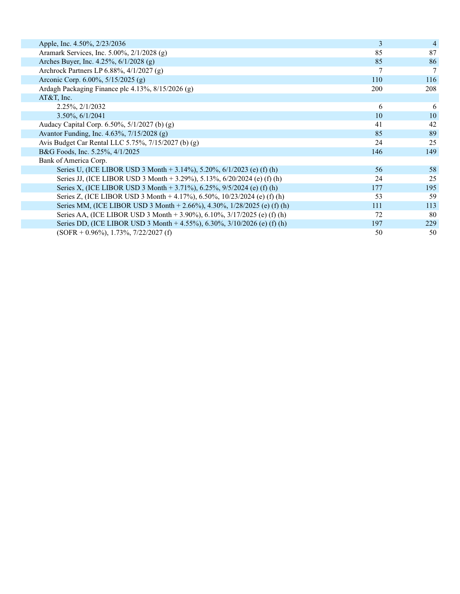| Apple, Inc. 4.50%, 2/23/2036                                             | 3   | $\overline{4}$ |
|--------------------------------------------------------------------------|-----|----------------|
| Aramark Services, Inc. 5.00%, 2/1/2028 (g)                               | 85  | 87             |
| Arches Buyer, Inc. 4.25%, 6/1/2028 (g)                                   | 85  | 86             |
| Archrock Partners LP 6.88%, 4/1/2027 (g)                                 | 7   | $\tau$         |
| Arconic Corp. 6.00%, 5/15/2025 (g)                                       | 110 | 116            |
| Ardagh Packaging Finance plc 4.13%, 8/15/2026 (g)                        | 200 | 208            |
| $AT&T$ , Inc.                                                            |     |                |
| 2.25%, 2/1/2032                                                          | 6   | 6              |
| $3.50\%, 6/1/2041$                                                       | 10  | 10             |
| Audacy Capital Corp. 6.50%, 5/1/2027 (b) (g)                             | 41  | 42             |
| Avantor Funding, Inc. 4.63%, 7/15/2028 (g)                               | 85  | 89             |
| Avis Budget Car Rental LLC 5.75%, 7/15/2027 (b) (g)                      | 24  | 25             |
| B&G Foods, Inc. 5.25%, 4/1/2025                                          | 146 | 149            |
| Bank of America Corp.                                                    |     |                |
| Series U, (ICE LIBOR USD 3 Month + 3.14%), 5.20%, 6/1/2023 (e) (f) (h)   | 56  | 58             |
| Series JJ, (ICE LIBOR USD 3 Month + 3.29%), 5.13%, 6/20/2024 (e) (f) (h) | 24  | 25             |
| Series X, (ICE LIBOR USD 3 Month + 3.71%), 6.25%, 9/5/2024 (e) (f) (h)   | 177 | 195            |
| Series Z, (ICE LIBOR USD 3 Month + 4.17%), 6.50%, 10/23/2024 (e) (f) (h) | 53  | 59             |
| Series MM, (ICE LIBOR USD 3 Month + 2.66%), 4.30%, 1/28/2025 (e) (f) (h) | 111 | 113            |
| Series AA, (ICE LIBOR USD 3 Month + 3.90%), 6.10%, 3/17/2025 (e) (f) (h) | 72  | 80             |
| Series DD, (ICE LIBOR USD 3 Month + 4.55%), 6.30%, 3/10/2026 (e) (f) (h) | 197 | 229            |
| $(SOFR + 0.96\%), 1.73\%, 7/22/2027(f)$                                  | 50  | 50             |
|                                                                          |     |                |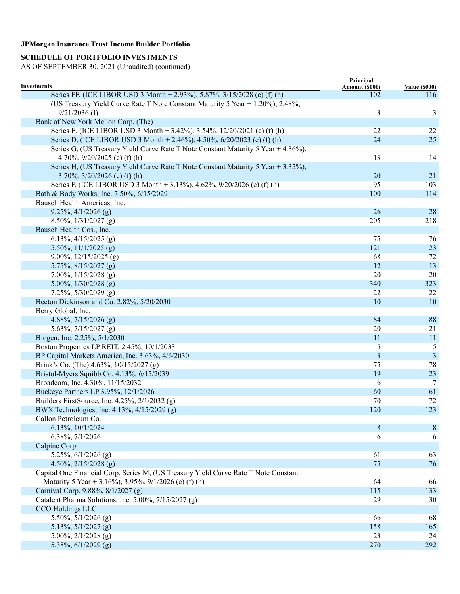# **SCHEDULE OF PORTFOLIO INVESTMENTS**

| <b>Investments</b>                                                                  | Principal<br>Amount (\$000) | <b>Value (\$000)</b> |
|-------------------------------------------------------------------------------------|-----------------------------|----------------------|
| Series FF, (ICE LIBOR USD 3 Month + 2.93%), 5.87%, 3/15/2028 (e) (f) (h)            | 102                         | 116                  |
| (US Treasury Yield Curve Rate T Note Constant Maturity 5 Year + 1.20%), 2.48%,      |                             |                      |
| $9/21/2036$ (f)                                                                     | 3                           | 3                    |
| Bank of New York Mellon Corp. (The)                                                 |                             |                      |
| Series E, (ICE LIBOR USD 3 Month + 3.42%), 3.54%, 12/20/2021 (e) (f) (h)            | 22                          | 22                   |
| Series D, (ICE LIBOR USD 3 Month + 2.46%), 4.50%, 6/20/2023 (e) (f) (h)             | 24                          | 25                   |
| Series G, (US Treasury Yield Curve Rate T Note Constant Maturity 5 Year + 4.36%),   |                             |                      |
| 4.70%, $9/20/2025$ (e) (f) (h)                                                      | 13                          | 14                   |
| Series H, (US Treasury Yield Curve Rate T Note Constant Maturity 5 Year + 3.35%),   |                             |                      |
| 3.70%, $3/20/2026$ (e) (f) (h)                                                      | 20                          | 21                   |
| Series F, (ICE LIBOR USD 3 Month + 3.13%), 4.62%, 9/20/2026 (e) (f) (h)             | 95                          | 103                  |
| Bath & Body Works, Inc. 7.50%, 6/15/2029                                            | 100                         | 114                  |
| Bausch Health Americas, Inc.                                                        |                             |                      |
| $9.25\%, \frac{4}{1/2026}$ (g)                                                      | 26                          | 28                   |
| $8.50\%, \frac{1}{31/2027}$ (g)                                                     | 205                         | 218                  |
| Bausch Health Cos., Inc.                                                            |                             |                      |
| 6.13%, $4/15/2025$ (g)                                                              | 75                          | 76                   |
| 5.50%, $11/1/2025$ (g)                                                              | 121                         | 123                  |
| 9.00%, $12/15/2025$ (g)                                                             | 68                          | 72                   |
| 5.75%, $8/15/2027$ (g)                                                              | 12                          | 13                   |
| 7.00%, $1/15/2028$ (g)                                                              | 20                          | 20                   |
| 5.00%, $1/30/2028$ (g)                                                              | 340                         | 323                  |
| 7.25%, $5/30/2029$ (g)                                                              | 22                          | 22                   |
| Becton Dickinson and Co. 2.82%, 5/20/2030                                           | 10                          | 10                   |
| Berry Global, Inc.                                                                  |                             |                      |
| 4.88%, $7/15/2026$ (g)                                                              | 84                          | 88                   |
| 5.63%, $7/15/2027$ (g)                                                              | 20                          | 21                   |
| Biogen, Inc. 2.25%, 5/1/2030                                                        | 11                          | 11                   |
| Boston Properties LP REIT, 2.45%, 10/1/2033                                         | 5                           | 5                    |
| BP Capital Markets America, Inc. 3.63%, 4/6/2030                                    | $\overline{\mathbf{3}}$     | $\mathfrak{Z}$       |
| Brink's Co. (The) 4.63%, 10/15/2027 (g)                                             | 75                          | 78                   |
| Bristol-Myers Squibb Co. 4.13%, 6/15/2039                                           | 19                          | 23                   |
| Broadcom, Inc. 4.30%, 11/15/2032                                                    | 6                           | 7                    |
| Buckeye Partners LP 3.95%, 12/1/2026                                                | 60                          | 61                   |
| Builders FirstSource, Inc. 4.25%, 2/1/2032 (g)                                      | 70                          | 72                   |
| BWX Technologies, Inc. 4.13%, 4/15/2029 (g)                                         | 120                         | 123                  |
| Callon Petroleum Co.                                                                |                             |                      |
| 6.13%, 10/1/2024                                                                    | 8                           | 8                    |
| 6.38%, 7/1/2026                                                                     | 6                           | 6                    |
| Calpine Corp.                                                                       |                             |                      |
| 5.25%, $6/1/2026$ (g)                                                               | 61                          | 63                   |
| 4.50%, $2/15/2028$ (g)                                                              | 75                          | 76                   |
| Capital One Financial Corp. Series M, (US Treasury Yield Curve Rate T Note Constant |                             |                      |
| Maturity 5 Year + 3.16%), 3.95%, 9/1/2026 (e) (f) (h)                               | 64                          | 66                   |
| Carnival Corp. 9.88%, 8/1/2027 (g)                                                  | 115                         | 133                  |
| Catalent Pharma Solutions, Inc. 5.00%, 7/15/2027 (g)                                | 29                          | 30                   |
| CCO Holdings LLC                                                                    |                             |                      |
| 5.50%, $5/1/2026$ (g)                                                               | 66                          | 68                   |
| 5.13%, $5/1/2027$ (g)                                                               | 158                         | 165                  |
| 5.00%, $2/1/2028$ (g)                                                               | 23                          | 24                   |
| 5.38%, 6/1/2029 (g)                                                                 | 270                         | 292                  |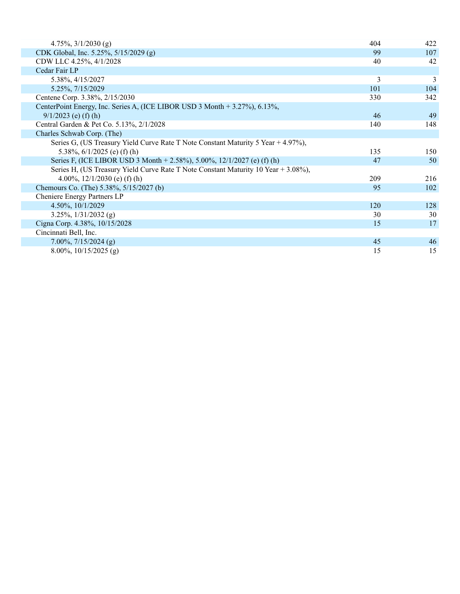| 4.75%, $3/1/2030$ (g)                                                              | 404 | 422 |
|------------------------------------------------------------------------------------|-----|-----|
| CDK Global, Inc. 5.25%, 5/15/2029 (g)                                              | 99  | 107 |
| CDW LLC 4.25%, 4/1/2028                                                            | 40  | 42  |
| Cedar Fair LP                                                                      |     |     |
| 5.38%, 4/15/2027                                                                   | 3   | 3   |
| 5.25%, 7/15/2029                                                                   | 101 | 104 |
| Centene Corp. 3.38%, 2/15/2030                                                     | 330 | 342 |
| CenterPoint Energy, Inc. Series A, (ICE LIBOR USD 3 Month + 3.27%), 6.13%,         |     |     |
| $9/1/2023$ (e) (f) (h)                                                             | 46  | 49  |
| Central Garden & Pet Co. 5.13%, 2/1/2028                                           | 140 | 148 |
| Charles Schwab Corp. (The)                                                         |     |     |
| Series G, (US Treasury Yield Curve Rate T Note Constant Maturity 5 Year + 4.97%),  |     |     |
| 5.38%, $6/1/2025$ (e) (f) (h)                                                      | 135 | 150 |
| Series F, (ICE LIBOR USD 3 Month + 2.58%), 5.00%, 12/1/2027 (e) (f) (h)            | 47  | 50  |
| Series H, (US Treasury Yield Curve Rate T Note Constant Maturity 10 Year + 3.08%), |     |     |
| 4.00%, $12/1/2030$ (e) (f) (h)                                                     | 209 | 216 |
| Chemours Co. (The) 5.38%, 5/15/2027 (b)                                            | 95  | 102 |
| Cheniere Energy Partners LP                                                        |     |     |
| 4.50%, 10/1/2029                                                                   | 120 | 128 |
| $3.25\%, 1/31/2032$ (g)                                                            | 30  | 30  |
| Cigna Corp. 4.38%, 10/15/2028                                                      | 15  | 17  |
| Cincinnati Bell, Inc.                                                              |     |     |
| 7.00%, $7/15/2024$ (g)                                                             | 45  | 46  |
| 8.00%, $10/15/2025$ (g)                                                            | 15  | 15  |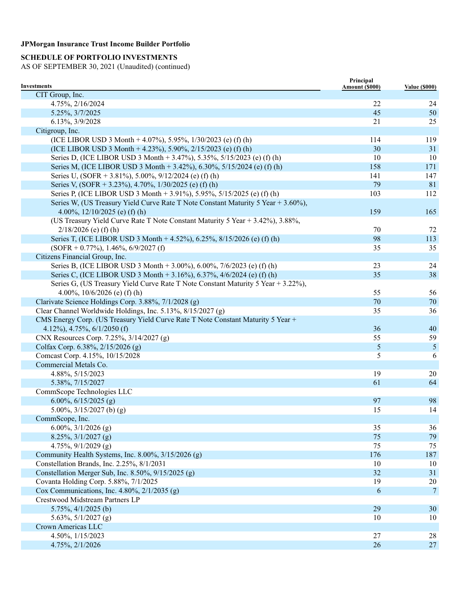# **SCHEDULE OF PORTFOLIO INVESTMENTS**

| <b>Investments</b>                                                                | Principal<br>Amount (\$000) | <b>Value (\$000)</b> |
|-----------------------------------------------------------------------------------|-----------------------------|----------------------|
| CIT Group, Inc.                                                                   |                             |                      |
| 4.75%, 2/16/2024                                                                  | 22                          | 24                   |
| 5.25%, 3/7/2025                                                                   | 45                          | 50                   |
| 6.13%, 3/9/2028                                                                   | 21                          | 25                   |
| Citigroup, Inc.                                                                   |                             |                      |
| (ICE LIBOR USD 3 Month + 4.07%), 5.95%, 1/30/2023 (e) (f) (h)                     | 114                         | 119                  |
| (ICE LIBOR USD 3 Month + 4.23%), 5.90%, 2/15/2023 (e) (f) (h)                     | 30                          | 31                   |
| Series D, (ICE LIBOR USD 3 Month + 3.47%), 5.35%, 5/15/2023 (e) (f) (h)           | 10                          | 10                   |
| Series M, (ICE LIBOR USD 3 Month + 3.42%), 6.30%, 5/15/2024 (e) (f) (h)           | 158                         | 171                  |
| Series U, (SOFR + 3.81%), 5.00%, 9/12/2024 (e) (f) (h)                            | 141                         | 147                  |
| Series V, $(SOR + 3.23\%)$ , 4.70%, 1/30/2025 (e) (f) (h)                         | 79                          | 81                   |
| Series P, (ICE LIBOR USD 3 Month + 3.91%), 5.95%, 5/15/2025 (e) (f) (h)           | 103                         | 112                  |
| Series W, (US Treasury Yield Curve Rate T Note Constant Maturity 5 Year + 3.60%), |                             |                      |
| 4.00%, $12/10/2025$ (e) (f) (h)                                                   | 159                         | 165                  |
| (US Treasury Yield Curve Rate T Note Constant Maturity 5 Year + 3.42%), 3.88%,    |                             |                      |
| $2/18/2026$ (e) (f) (h)                                                           | 70                          | 72                   |
| Series T, (ICE LIBOR USD 3 Month + 4.52%), 6.25%, 8/15/2026 (e) (f) (h)           | 98                          | 113                  |
| $(SOFR + 0.77\%)$ , 1.46%, 6/9/2027 (f)                                           | 35                          | 35                   |
| Citizens Financial Group, Inc.                                                    |                             |                      |
| Series B, (ICE LIBOR USD 3 Month + 3.00%), 6.00%, 7/6/2023 (e) (f) (h)            | 23                          | 24                   |
| Series C, (ICE LIBOR USD 3 Month + 3.16%), 6.37%, 4/6/2024 (e) (f) (h)            | 35                          | 38                   |
| Series G, (US Treasury Yield Curve Rate T Note Constant Maturity 5 Year + 3.22%), |                             |                      |
| 4.00%, $10/6/2026$ (e) (f) (h)                                                    | 55                          | 56                   |
| Clarivate Science Holdings Corp. 3.88%, 7/1/2028 (g)                              | 70                          | 70                   |
| Clear Channel Worldwide Holdings, Inc. 5.13%, 8/15/2027 (g)                       | 35                          | 36                   |
| CMS Energy Corp. (US Treasury Yield Curve Rate T Note Constant Maturity 5 Year +  |                             |                      |
| 4.12%), 4.75%, $6/1/2050$ (f)                                                     | 36                          | 40                   |
| CNX Resources Corp. 7.25%, 3/14/2027 (g)                                          | 55                          | 59                   |
| Colfax Corp. 6.38%, 2/15/2026 (g)                                                 | 5                           | $\mathfrak{S}$       |
| Comcast Corp. 4.15%, 10/15/2028                                                   | 5                           | 6                    |
| Commercial Metals Co.                                                             |                             |                      |
| 4.88%, 5/15/2023                                                                  | 19                          | 20                   |
| 5.38%, 7/15/2027                                                                  | 61                          | 64                   |
| CommScope Technologies LLC                                                        |                             |                      |
| 6.00%, $6/15/2025$ (g)                                                            | 97                          | 98                   |
| 5.00%, $3/15/2027$ (b) (g)                                                        | 15                          | 14                   |
| CommScope, Inc.                                                                   |                             |                      |
| 6.00%, $3/1/2026$ (g)                                                             | 35                          | 36                   |
| $8.25\%, \frac{3}{1/2027}$ (g)                                                    | 75                          | 79                   |
| 4.75%, $9/1/2029$ (g)                                                             | 75                          | 75                   |
| Community Health Systems, Inc. 8.00%, 3/15/2026 (g)                               | 176                         | 187                  |
| Constellation Brands, Inc. 2.25%, 8/1/2031                                        | 10                          | 10                   |
| Constellation Merger Sub, Inc. 8.50%, 9/15/2025 (g)                               | 32                          | 31                   |
| Covanta Holding Corp. 5.88%, 7/1/2025                                             | 19                          | 20                   |
| Cox Communications, Inc. 4.80%, $2/1/2035$ (g)                                    | 6                           | $\overline{7}$       |
| Crestwood Midstream Partners LP                                                   |                             |                      |
| 5.75%, 4/1/2025 (b)                                                               | 29                          | 30                   |
| 5.63%, $5/1/2027$ (g)                                                             | 10                          | 10                   |
| Crown Americas LLC                                                                |                             |                      |
| 4.50%, 1/15/2023                                                                  | 27                          | 28                   |
| 4.75%, 2/1/2026                                                                   | 26                          | 27                   |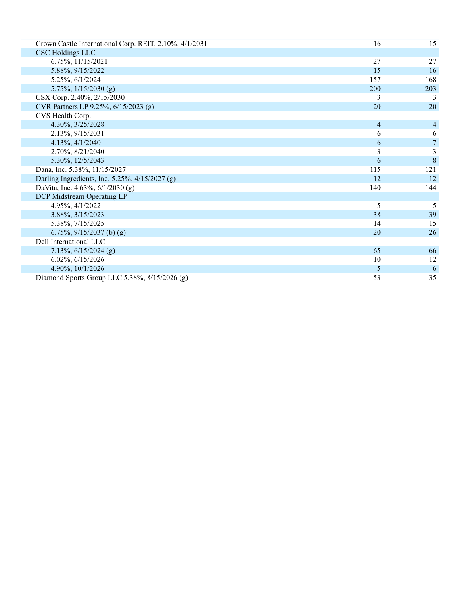| Crown Castle International Corp. REIT, 2.10%, 4/1/2031 | 16             | 15             |
|--------------------------------------------------------|----------------|----------------|
| <b>CSC Holdings LLC</b>                                |                |                |
| 6.75%, 11/15/2021                                      | 27             | 27             |
| 5.88%, 9/15/2022                                       | 15             | 16             |
| 5.25%, 6/1/2024                                        | 157            | 168            |
| 5.75%, $1/15/2030$ (g)                                 | 200            | 203            |
| CSX Corp. 2.40%, 2/15/2030                             | 3              | 3              |
| CVR Partners LP 9.25%, 6/15/2023 (g)                   | 20             | 20             |
| CVS Health Corp.                                       |                |                |
| 4.30%, 3/25/2028                                       | $\overline{4}$ | $\overline{4}$ |
| 2.13%, 9/15/2031                                       | 6              | 6              |
| $4.13\%, \frac{4}{1/2040}$                             | 6              | $\overline{7}$ |
| 2.70%, 8/21/2040                                       | 3              | 3              |
| 5.30%, 12/5/2043                                       | 6              | 8              |
| Dana, Inc. 5.38%, 11/15/2027                           | 115            | 121            |
| Darling Ingredients, Inc. 5.25%, 4/15/2027 (g)         | 12             | 12             |
| DaVita, Inc. 4.63%, $6/1/2030$ (g)                     | 140            | 144            |
| DCP Midstream Operating LP                             |                |                |
| 4.95%, 4/1/2022                                        | 5              |                |
| 3.88%, 3/15/2023                                       | 38             | 39             |
| 5.38%, 7/15/2025                                       | 14             | 15             |
| 6.75%, $9/15/2037$ (b) (g)                             | 20             | 26             |
| Dell International LLC                                 |                |                |
| 7.13%, $6/15/2024$ (g)                                 | 65             | 66             |
| 6.02%, 6/15/2026                                       | 10             | 12             |
| 4.90%, 10/1/2026                                       | 5              | 6              |
| Diamond Sports Group LLC 5.38%, 8/15/2026 (g)          | 53             | 35             |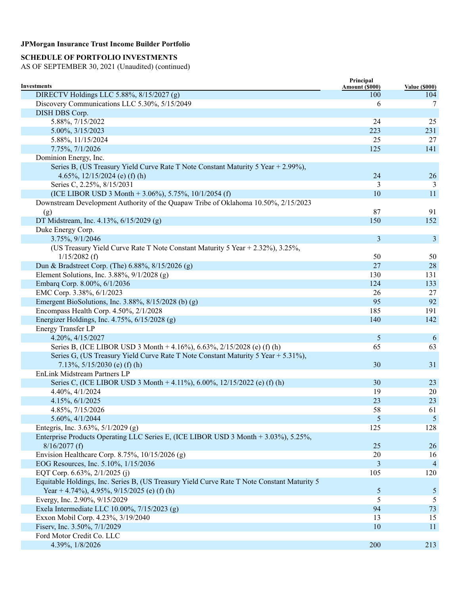# **SCHEDULE OF PORTFOLIO INVESTMENTS**

|                                                                                                                                            | Principal             |                             |
|--------------------------------------------------------------------------------------------------------------------------------------------|-----------------------|-----------------------------|
| Investments<br>DIRECTV Holdings LLC 5.88%, 8/15/2027 (g)                                                                                   | Amount (\$000)<br>100 | <b>Value (\$000)</b><br>104 |
| Discovery Communications LLC 5.30%, 5/15/2049                                                                                              | 6                     | 7                           |
| DISH DBS Corp.                                                                                                                             |                       |                             |
| 5.88%, 7/15/2022                                                                                                                           | 24                    | 25                          |
| 5.00%, 3/15/2023                                                                                                                           | 223                   | 231                         |
| 5.88%, 11/15/2024                                                                                                                          | 25                    | 27                          |
| 7.75%, 7/1/2026                                                                                                                            | 125                   | 141                         |
| Dominion Energy, Inc.                                                                                                                      |                       |                             |
| Series B, (US Treasury Yield Curve Rate T Note Constant Maturity 5 Year + 2.99%),                                                          |                       |                             |
| 4.65%, $12/15/2024$ (e) (f) (h)                                                                                                            | 24                    | 26                          |
| Series C, 2.25%, 8/15/2031                                                                                                                 | 3                     | 3                           |
| (ICE LIBOR USD 3 Month + 3.06%), 5.75%, 10/1/2054 (f)                                                                                      | 10                    | 11                          |
| Downstream Development Authority of the Quapaw Tribe of Oklahoma 10.50%, 2/15/2023                                                         |                       |                             |
| (g)                                                                                                                                        | 87                    | 91                          |
| DT Midstream, Inc. 4.13%, 6/15/2029 (g)                                                                                                    | 150                   | 152                         |
| Duke Energy Corp.                                                                                                                          |                       |                             |
| 3.75%, 9/1/2046                                                                                                                            | 3                     | 3                           |
| (US Treasury Yield Curve Rate T Note Constant Maturity 5 Year + 2.32%), 3.25%,                                                             |                       |                             |
| $1/15/2082$ (f)                                                                                                                            | 50                    | 50                          |
| Dun & Bradstreet Corp. (The) 6.88%, 8/15/2026 (g)                                                                                          | 27                    | 28                          |
| Element Solutions, Inc. 3.88%, 9/1/2028 (g)                                                                                                | 130                   | 131                         |
| Embarq Corp. 8.00%, 6/1/2036                                                                                                               | 124                   | 133                         |
| EMC Corp. 3.38%, 6/1/2023                                                                                                                  | 26                    | 27                          |
| Emergent BioSolutions, Inc. 3.88%, 8/15/2028 (b) (g)                                                                                       | 95                    | 92                          |
| Encompass Health Corp. 4.50%, 2/1/2028                                                                                                     | 185                   | 191                         |
| Energizer Holdings, Inc. 4.75%, 6/15/2028 (g)                                                                                              | 140                   | 142                         |
| Energy Transfer LP                                                                                                                         |                       |                             |
| 4.20%, 4/15/2027                                                                                                                           | 5                     | 6                           |
| Series B, (ICE LIBOR USD 3 Month + 4.16%), 6.63%, 2/15/2028 (e) (f) (h)                                                                    | 65                    | 63                          |
| Series G, (US Treasury Yield Curve Rate T Note Constant Maturity 5 Year + 5.31%),                                                          |                       |                             |
| 7.13%, $5/15/2030$ (e) (f) (h)                                                                                                             | 30                    | 31                          |
| EnLink Midstream Partners LP                                                                                                               |                       |                             |
| Series C, (ICE LIBOR USD 3 Month + 4.11%), 6.00%, 12/15/2022 (e) (f) (h)                                                                   | 30                    | 23                          |
| 4.40%, 4/1/2024                                                                                                                            | 19                    | 20                          |
| 4.15%, 6/1/2025                                                                                                                            | 23                    | 23                          |
| 4.85%, 7/15/2026                                                                                                                           | 58                    | 61                          |
| 5.60%, 4/1/2044                                                                                                                            | $\mathfrak{S}$        | $5\overline{)}$             |
| Entegris, Inc. 3.63%, 5/1/2029 (g)                                                                                                         | 125                   | 128                         |
| Enterprise Products Operating LLC Series E, (ICE LIBOR USD 3 Month + 3.03%), 5.25%,                                                        |                       |                             |
| $8/16/2077$ (f)                                                                                                                            | 25                    | 26                          |
| Envision Healthcare Corp. 8.75%, 10/15/2026 (g)                                                                                            | 20                    | 16                          |
| EOG Resources, Inc. 5.10%, 1/15/2036                                                                                                       | 3                     | $\overline{4}$              |
| EQT Corp. 6.63%, 2/1/2025 (j)                                                                                                              | 105                   | 120                         |
| Equitable Holdings, Inc. Series B, (US Treasury Yield Curve Rate T Note Constant Maturity 5<br>Year + 4.74%), 4.95%, 9/15/2025 (e) (f) (h) | $\mathfrak{S}$        | 5                           |
| Evergy, Inc. 2.90%, 9/15/2029                                                                                                              | 5                     | 5                           |
| Exela Intermediate LLC 10.00%, 7/15/2023 (g)                                                                                               | 94                    | 73                          |
| Exxon Mobil Corp. 4.23%, 3/19/2040                                                                                                         | 13                    | 15                          |
| Fiserv, Inc. 3.50%, 7/1/2029                                                                                                               | 10                    | 11                          |
| Ford Motor Credit Co. LLC                                                                                                                  |                       |                             |
| 4.39%, 1/8/2026                                                                                                                            | 200                   | 213                         |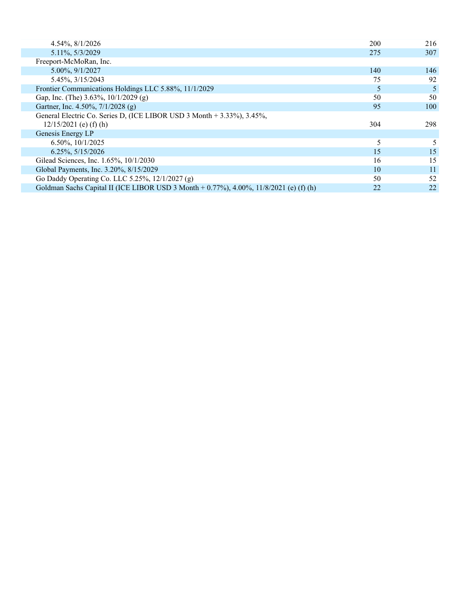| 4.54%, 8/1/2026                                                                        | 200 | 216 |
|----------------------------------------------------------------------------------------|-----|-----|
| 5.11%, 5/3/2029                                                                        | 275 | 307 |
| Freeport-McMoRan, Inc.                                                                 |     |     |
| 5.00%, 9/1/2027                                                                        | 140 | 146 |
| 5.45%, 3/15/2043                                                                       | 75  | 92  |
| Frontier Communications Holdings LLC 5.88%, 11/1/2029                                  | 5   | 5   |
| Gap, Inc. (The) 3.63%, 10/1/2029 (g)                                                   | 50  | 50  |
| Gartner, Inc. 4.50%, 7/1/2028 (g)                                                      | 95  | 100 |
| General Electric Co. Series D, (ICE LIBOR USD 3 Month + 3.33%), 3.45%,                 |     |     |
| $12/15/2021$ (e) (f) (h)                                                               | 304 | 298 |
| Genesis Energy LP                                                                      |     |     |
| $6.50\%$ , $10/1/2025$                                                                 | 5   | 5   |
| 6.25%, 5/15/2026                                                                       | 15  | 15  |
| Gilead Sciences, Inc. 1.65%, 10/1/2030                                                 | 16  | 15  |
| Global Payments, Inc. 3.20%, 8/15/2029                                                 | 10  | 11  |
| Go Daddy Operating Co. LLC 5.25%, 12/1/2027 (g)                                        | 50  | 52  |
| Goldman Sachs Capital II (ICE LIBOR USD 3 Month + 0.77%), 4.00%, 11/8/2021 (e) (f) (h) | 22  | 22  |
|                                                                                        |     |     |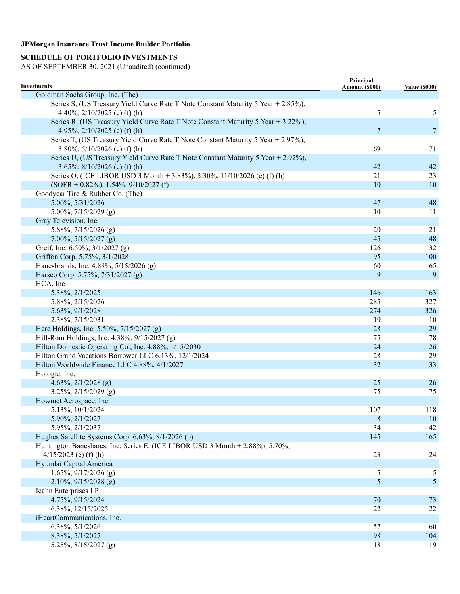# **SCHEDULE OF PORTFOLIO INVESTMENTS**

| <b>Investments</b>                                                                | Principal<br>Amount (\$000) | <b>Value (\$000)</b> |
|-----------------------------------------------------------------------------------|-----------------------------|----------------------|
| Goldman Sachs Group, Inc. (The)                                                   |                             |                      |
| Series S, (US Treasury Yield Curve Rate T Note Constant Maturity 5 Year + 2.85%), |                             |                      |
| 4.40\%, 2/10/2025 (e) (f) (h)                                                     | 5                           | 5                    |
| Series R, (US Treasury Yield Curve Rate T Note Constant Maturity 5 Year + 3.22%), |                             |                      |
| 4.95%, $2/10/2025$ (e) (f) (h)                                                    | $\overline{7}$              | $\overline{7}$       |
| Series T, (US Treasury Yield Curve Rate T Note Constant Maturity 5 Year + 2.97%), |                             |                      |
| 3.80%, $5/10/2026$ (e) (f) (h)                                                    | 69                          | 71                   |
| Series U, (US Treasury Yield Curve Rate T Note Constant Maturity 5 Year + 2.92%), |                             |                      |
| 3.65%, $8/10/2026$ (e) (f) (h)                                                    | 42                          | 42                   |
| Series O, (ICE LIBOR USD 3 Month + 3.83%), 5.30%, 11/10/2026 (e) (f) (h)          | 21                          | 23                   |
| $(SOFR + 0.82\%), 1.54\%, 9/10/2027(f)$                                           | 10                          | 10                   |
| Goodyear Tire & Rubber Co. (The)                                                  |                             |                      |
| 5.00%, 5/31/2026                                                                  | 47                          | 48                   |
| 5.00%, $7/15/2029$ (g)                                                            | 10                          | 11                   |
| Gray Television, Inc.                                                             |                             |                      |
| 5.88%, $7/15/2026$ (g)                                                            | 20                          | 21                   |
| 7.00%, $5/15/2027$ (g)                                                            | 45                          | 48                   |
| Greif, Inc. 6.50%, 3/1/2027 (g)                                                   | 126                         | 132                  |
| Griffon Corp. 5.75%, 3/1/2028                                                     | 95                          | 100                  |
| Hanesbrands, Inc. 4.88%, 5/15/2026 (g)                                            | 60                          | 65                   |
| Harsco Corp. 5.75%, 7/31/2027 (g)                                                 | 9                           | 9                    |
| HCA, Inc.                                                                         |                             |                      |
| 5.38%, 2/1/2025                                                                   | 146                         | 163                  |
| 5.88%, 2/15/2026                                                                  | 285                         | 327                  |
| 5.63%, 9/1/2028                                                                   | 274                         | 326                  |
| 2.38%, 7/15/2031                                                                  | 10                          | 10                   |
| Herc Holdings, Inc. 5.50%, 7/15/2027 (g)                                          | 28                          | 29                   |
| Hill-Rom Holdings, Inc. 4.38%, 9/15/2027 (g)                                      | 75                          | 78                   |
| Hilton Domestic Operating Co., Inc. 4.88%, 1/15/2030                              | 24                          | 26                   |
| Hilton Grand Vacations Borrower LLC 6.13%, 12/1/2024                              | 28                          | 29                   |
| Hilton Worldwide Finance LLC 4.88%, 4/1/2027                                      | 32                          | 33                   |
| Hologic, Inc.                                                                     |                             |                      |
| 4.63%, $2/1/2028$ (g)                                                             | 25                          | <b>26</b>            |
| $3.25\%, 2/15/2029$ (g)                                                           | 75                          | 75                   |
| Howmet Aerospace, Inc.                                                            |                             |                      |
| 5.13%, 10/1/2024                                                                  | 107                         | 118                  |
| 5.90%, 2/1/2027                                                                   | 8                           | 10                   |
| 5.95%, 2/1/2037                                                                   | 34                          | 42                   |
| Hughes Satellite Systems Corp. 6.63%, 8/1/2026 (b)                                | 145                         | 165                  |
| Huntington Bancshares, Inc. Series E, (ICE LIBOR USD 3 Month + 2.88%), 5.70%,     |                             |                      |
| $4/15/2023$ (e) (f) (h)                                                           | 23                          | 24                   |
| Hyundai Capital America                                                           |                             |                      |
| $1.65\%, 9/17/2026$ (g)<br>2.10%, $9/15/2028$ (g)                                 | 5<br>5                      | 5<br>$\mathfrak{S}$  |
| Icahn Enterprises LP                                                              |                             |                      |
| 4.75%, 9/15/2024                                                                  | 70                          | 73                   |
| 6.38%, 12/15/2025                                                                 | 22                          | 22                   |
| iHeartCommunications, Inc.                                                        |                             |                      |
| 6.38%, 5/1/2026                                                                   | 57                          | 60                   |
| 8.38%, 5/1/2027                                                                   | 98                          | 104                  |
| 5.25%, 8/15/2027 (g)                                                              | 18                          | 19                   |
|                                                                                   |                             |                      |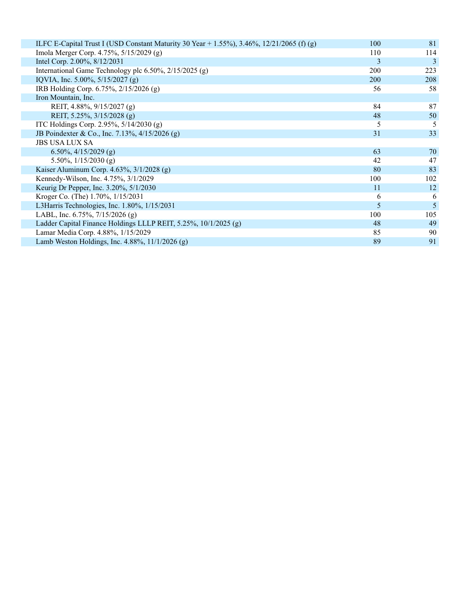| ILFC E-Capital Trust I (USD Constant Maturity 30 Year + 1.55%), 3.46%, 12/21/2065 (f) (g) | 100 | 81  |
|-------------------------------------------------------------------------------------------|-----|-----|
| Imola Merger Corp. 4.75%, 5/15/2029 (g)                                                   | 110 | 114 |
| Intel Corp. 2.00%, 8/12/2031                                                              | 3   | 3   |
| International Game Technology plc 6.50%, 2/15/2025 (g)                                    | 200 | 223 |
| IQVIA, Inc. 5.00%, 5/15/2027 (g)                                                          | 200 | 208 |
| IRB Holding Corp. 6.75%, 2/15/2026 (g)                                                    | 56  | 58  |
| Iron Mountain, Inc.                                                                       |     |     |
| REIT, 4.88%, 9/15/2027 (g)                                                                | 84  | 87  |
| REIT, 5.25%, 3/15/2028 (g)                                                                | 48  | 50  |
| ITC Holdings Corp. 2.95%, 5/14/2030 (g)                                                   | 5   | 5   |
| JB Poindexter & Co., Inc. 7.13%, 4/15/2026 (g)                                            | 31  | 33  |
| <b>JBS USA LUX SA</b>                                                                     |     |     |
| 6.50%, $4/15/2029$ (g)                                                                    | 63  | 70  |
| 5.50%, $1/15/2030$ (g)                                                                    | 42  | 47  |
| Kaiser Aluminum Corp. 4.63%, 3/1/2028 (g)                                                 | 80  | 83  |
| Kennedy-Wilson, Inc. 4.75%, 3/1/2029                                                      | 100 | 102 |
| Keurig Dr Pepper, Inc. 3.20%, 5/1/2030                                                    | 11  | 12  |
| Kroger Co. (The) 1.70%, 1/15/2031                                                         | 6   | 6   |
| L3Harris Technologies, Inc. 1.80%, 1/15/2031                                              | 5   | 5   |
| LABL, Inc. $6.75\%$ , $7/15/2026$ (g)                                                     | 100 | 105 |
| Ladder Capital Finance Holdings LLLP REIT, 5.25%, 10/1/2025 (g)                           | 48  | 49  |
| Lamar Media Corp. 4.88%, 1/15/2029                                                        | 85  | 90  |
| Lamb Weston Holdings, Inc. $4.88\%$ , $11/1/2026$ (g)                                     | 89  | 91  |
|                                                                                           |     |     |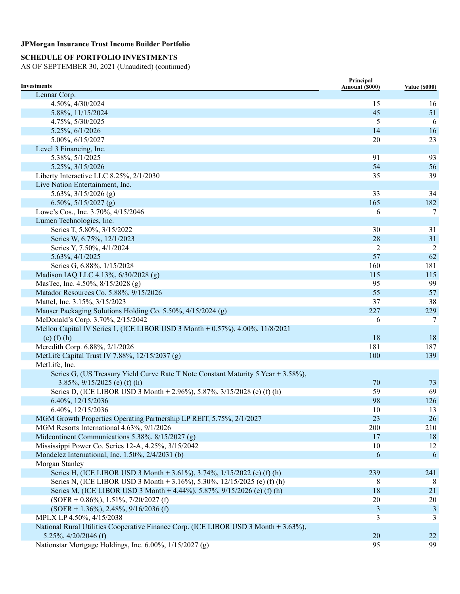# **SCHEDULE OF PORTFOLIO INVESTMENTS**

| Investments                                                                         | Principal<br>Amount (\$000) | <b>Value (\$000)</b> |
|-------------------------------------------------------------------------------------|-----------------------------|----------------------|
| Lennar Corp.                                                                        |                             |                      |
| 4.50%, 4/30/2024                                                                    | 15                          | 16                   |
| 5.88%, 11/15/2024                                                                   | 45                          | 51                   |
| 4.75%, 5/30/2025                                                                    | 5                           | 6                    |
| 5.25%, 6/1/2026                                                                     | 14                          | <b>16</b>            |
| 5.00%, 6/15/2027                                                                    | 20                          | 23                   |
| Level 3 Financing, Inc.                                                             |                             |                      |
| 5.38%, 5/1/2025                                                                     | 91                          | 93                   |
| 5.25%, 3/15/2026                                                                    | 54                          | 56                   |
| Liberty Interactive LLC 8.25%, 2/1/2030                                             | 35                          | 39                   |
| Live Nation Entertainment, Inc.                                                     |                             |                      |
| 5.63%, $3/15/2026$ (g)                                                              | 33                          | 34                   |
| 6.50%, $5/15/2027$ (g)                                                              | 165                         | 182                  |
| Lowe's Cos., Inc. 3.70%, 4/15/2046                                                  | 6                           | 7                    |
| Lumen Technologies, Inc.                                                            |                             |                      |
| Series T, 5.80%, 3/15/2022                                                          | 30                          | 31                   |
| Series W, 6.75%, 12/1/2023                                                          | 28                          | 31                   |
| Series Y, 7.50%, 4/1/2024                                                           | 2                           | 2                    |
| 5.63%, 4/1/2025                                                                     | 57                          | 62                   |
| Series G, 6.88%, 1/15/2028                                                          | 160                         | 181                  |
| Madison IAQ LLC 4.13%, 6/30/2028 (g)                                                | 115                         | 115                  |
| MasTec, Inc. 4.50%, 8/15/2028 (g)                                                   | 95                          | 99                   |
| Matador Resources Co. 5.88%, 9/15/2026                                              | 55                          | 57                   |
| Mattel, Inc. 3.15%, 3/15/2023                                                       | 37                          | 38                   |
| Mauser Packaging Solutions Holding Co. 5.50%, 4/15/2024 (g)                         | 227                         | 229                  |
| McDonald's Corp. 3.70%, 2/15/2042                                                   | 6                           | 7                    |
| Mellon Capital IV Series 1, (ICE LIBOR USD 3 Month $+$ 0.57%), 4.00%, 11/8/2021     |                             |                      |
| $(e)$ $(f)$ $(h)$                                                                   | 18                          | 18                   |
| Meredith Corp. 6.88%, 2/1/2026                                                      | 181                         | 187                  |
| MetLife Capital Trust IV 7.88%, 12/15/2037 (g)                                      | 100                         | 139                  |
| MetLife, Inc.                                                                       |                             |                      |
| Series G, (US Treasury Yield Curve Rate T Note Constant Maturity 5 Year + 3.58%),   |                             |                      |
| 3.85%, $9/15/2025$ (e) (f) (h)                                                      | 70                          | 73                   |
| Series D, (ICE LIBOR USD 3 Month + 2.96%), 5.87%, 3/15/2028 (e) (f) (h)             | 59                          | 69                   |
| 6.40%, 12/15/2036                                                                   | 98                          | 126                  |
| 6.40%, 12/15/2036                                                                   | 10                          | 13                   |
| MGM Growth Properties Operating Partnership LP REIT, 5.75%, 2/1/2027                | 23                          | 26                   |
| MGM Resorts International 4.63%, 9/1/2026                                           | 200                         | 210                  |
| Midcontinent Communications 5.38%, 8/15/2027 (g)                                    | 17                          | 18                   |
| Mississippi Power Co. Series 12-A, 4.25%, 3/15/2042                                 | 10                          | 12                   |
| Mondelez International, Inc. 1.50%, 2/4/2031 (b)                                    | 6                           | 6                    |
| Morgan Stanley                                                                      |                             |                      |
| Series H, (ICE LIBOR USD 3 Month + 3.61%), 3.74%, 1/15/2022 (e) (f) (h)             | 239                         | 241                  |
| Series N, (ICE LIBOR USD 3 Month + 3.16%), 5.30%, 12/15/2025 (e) (f) (h)            | 8                           | 8                    |
| Series M, (ICE LIBOR USD 3 Month + 4.44%), 5.87%, 9/15/2026 (e) (f) (h)             | 18                          | 21                   |
| $(SOFR + 0.86\%)$ , 1.51%, 7/20/2027 (f)                                            | 20                          | 20                   |
| $(SOFR + 1.36\%), 2.48\%, 9/16/2036(f)$                                             | 3                           | 3                    |
| MPLX LP 4.50%, 4/15/2038                                                            | 3                           | 3                    |
| National Rural Utilities Cooperative Finance Corp. (ICE LIBOR USD 3 Month + 3.63%), |                             |                      |
| 5.25%, $4/20/2046$ (f)                                                              | 20                          | 22                   |
| Nationstar Mortgage Holdings, Inc. 6.00%, 1/15/2027 (g)                             | 95                          | 99                   |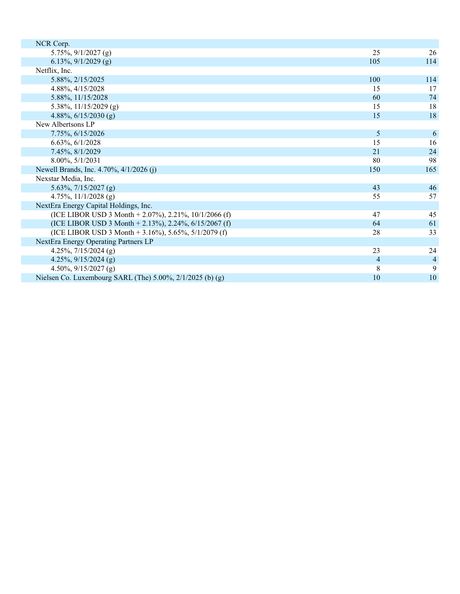| NCR Corp.                                                 |                |                |
|-----------------------------------------------------------|----------------|----------------|
| 5.75%, $9/1/2027$ (g)                                     | 25             | 26             |
| 6.13%, $9/1/2029$ (g)                                     | 105            | 114            |
| Netflix, Inc.                                             |                |                |
| 5.88%, 2/15/2025                                          | 100            | 114            |
| 4.88%, 4/15/2028                                          | 15             | 17             |
| 5.88%, 11/15/2028                                         | 60             | 74             |
| 5.38%, $11/15/2029$ (g)                                   | 15             | 18             |
| 4.88%, $6/15/2030$ (g)                                    | 15             | 18             |
| New Albertsons LP                                         |                |                |
| 7.75%, 6/15/2026                                          | 5              | 6              |
| 6.63%, 6/1/2028                                           | 15             | 16             |
| 7.45%, 8/1/2029                                           | 21             | 24             |
| 8.00%, 5/1/2031                                           | 80             | 98             |
| Newell Brands, Inc. 4.70%, 4/1/2026 (j)                   | 150            | 165            |
| Nexstar Media, Inc.                                       |                |                |
| 5.63%, $7/15/2027$ (g)                                    | 43             | 46             |
| 4.75%, $11/1/2028$ (g)                                    | 55             | 57             |
| NextEra Energy Capital Holdings, Inc.                     |                |                |
| (ICE LIBOR USD 3 Month + 2.07%), 2.21%, 10/1/2066 (f)     | 47             | 45             |
| (ICE LIBOR USD 3 Month + 2.13%), 2.24%, $6/15/2067$ (f)   | 64             | 61             |
| (ICE LIBOR USD 3 Month + 3.16%), 5.65%, 5/1/2079 (f)      | 28             | 33             |
| NextEra Energy Operating Partners LP                      |                |                |
| 4.25%, $7/15/2024$ (g)                                    | 23             | 24             |
| 4.25%, $9/15/2024$ (g)                                    | $\overline{4}$ | $\overline{4}$ |
| 4.50%, $9/15/2027$ (g)                                    | 8              | 9              |
| Nielsen Co. Luxembourg SARL (The) 5.00%, 2/1/2025 (b) (g) | 10             | 10             |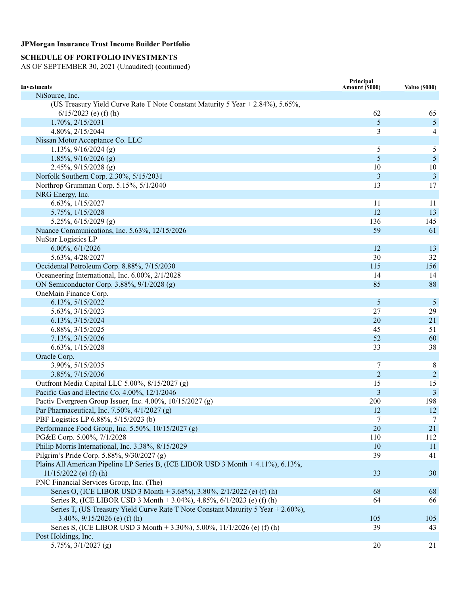# **SCHEDULE OF PORTFOLIO INVESTMENTS**

| <b>Investments</b>                                                                                        | Principal<br>Amount (\$000) | <b>Value (\$000)</b> |
|-----------------------------------------------------------------------------------------------------------|-----------------------------|----------------------|
| NiSource, Inc.                                                                                            |                             |                      |
| (US Treasury Yield Curve Rate T Note Constant Maturity 5 Year + 2.84%), 5.65%,<br>$6/15/2023$ (e) (f) (h) | 62                          | 65                   |
| 1.70%, 2/15/2031                                                                                          | 5                           | 5                    |
| 4.80%, 2/15/2044                                                                                          | 3                           | 4                    |
| Nissan Motor Acceptance Co. LLC                                                                           |                             |                      |
| $1.13\%, 9/16/2024 (g)$                                                                                   | 5                           | 5                    |
| $1.85\%, 9/16/2026$ (g)                                                                                   | 5                           | 5                    |
| 2.45%, $9/15/2028$ (g)                                                                                    | 10                          | 10                   |
| Norfolk Southern Corp. 2.30%, 5/15/2031                                                                   | 3                           | 3                    |
| Northrop Grumman Corp. 5.15%, 5/1/2040                                                                    | 13                          | 17                   |
| NRG Energy, Inc.                                                                                          |                             |                      |
| 6.63%, 1/15/2027                                                                                          | 11                          | 11                   |
| 5.75%, 1/15/2028                                                                                          | 12                          | 13                   |
| 5.25%, $6/15/2029$ (g)                                                                                    | 136                         | 145                  |
| Nuance Communications, Inc. 5.63%, 12/15/2026                                                             | 59                          | 61                   |
| NuStar Logistics LP                                                                                       |                             |                      |
| 6.00%, 6/1/2026                                                                                           | 12                          | 13                   |
| 5.63%, 4/28/2027                                                                                          | 30                          | 32                   |
| Occidental Petroleum Corp. 8.88%, 7/15/2030                                                               | 115                         | 156                  |
| Oceaneering International, Inc. 6.00%, 2/1/2028                                                           | 14                          | 14                   |
| ON Semiconductor Corp. 3.88%, 9/1/2028 (g)                                                                | 85                          | 88                   |
| OneMain Finance Corp.                                                                                     |                             |                      |
| 6.13%, 5/15/2022                                                                                          | 5                           | 5                    |
| 5.63%, 3/15/2023                                                                                          | 27                          | 29                   |
| 6.13%, 3/15/2024                                                                                          | 20                          | 21                   |
| 6.88%, 3/15/2025                                                                                          | 45                          | 51                   |
| 7.13%, 3/15/2026                                                                                          | 52                          | 60                   |
| 6.63%, 1/15/2028                                                                                          | 33                          | 38                   |
| Oracle Corp.                                                                                              |                             |                      |
| 3.90%, 5/15/2035                                                                                          | 7                           | 8                    |
| 3.85%, 7/15/2036                                                                                          | $\overline{2}$              | 2                    |
| Outfront Media Capital LLC 5.00%, 8/15/2027 (g)                                                           | 15                          | 15                   |
| Pacific Gas and Electric Co. 4.00%, 12/1/2046                                                             | 3                           | 3                    |
| Pactiv Evergreen Group Issuer, Inc. 4.00%, 10/15/2027 (g)                                                 | 200                         | 198                  |
| Par Pharmaceutical, Inc. 7.50%, 4/1/2027 (g)                                                              | 12                          | 12                   |
| PBF Logistics LP 6.88%, 5/15/2023 (b)                                                                     | $\tau$                      | $\tau$               |
| Performance Food Group, Inc. 5.50%, 10/15/2027 (g)                                                        | 20                          | 21                   |
| PG&E Corp. 5.00%, 7/1/2028                                                                                | 110                         | 112                  |
| Philip Morris International, Inc. 3.38%, 8/15/2029                                                        | 10                          | 11                   |
| Pilgrim's Pride Corp. 5.88%, 9/30/2027 (g)                                                                | 39                          | 41                   |
| Plains All American Pipeline LP Series B, (ICE LIBOR USD 3 Month + 4.11%), 6.13%,                         |                             |                      |
| $11/15/2022$ (e) (f) (h)                                                                                  | 33                          | 30                   |
| PNC Financial Services Group, Inc. (The)                                                                  |                             |                      |
| Series O, (ICE LIBOR USD 3 Month + 3.68%), 3.80%, 2/1/2022 (e) (f) (h)                                    | 68                          | 68                   |
| Series R, (ICE LIBOR USD 3 Month + 3.04%), 4.85%, 6/1/2023 (e) (f) (h)                                    | 64                          | 66                   |
| Series T, (US Treasury Yield Curve Rate T Note Constant Maturity 5 Year + 2.60%),                         |                             |                      |
| 3.40%, $9/15/2026$ (e) (f) (h)                                                                            | 105                         | 105                  |
| Series S, (ICE LIBOR USD 3 Month + 3.30%), 5.00%, 11/1/2026 (e) (f) (h)                                   | 39                          | 43                   |
| Post Holdings, Inc.                                                                                       |                             |                      |
| 5.75%, 3/1/2027 (g)                                                                                       | 20                          | 21                   |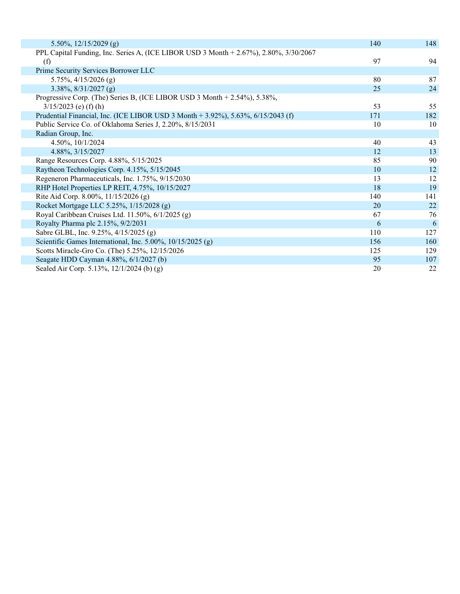| 5.50%, $12/15/2029$ (g)                                                               | 140 | 148 |
|---------------------------------------------------------------------------------------|-----|-----|
| PPL Capital Funding, Inc. Series A, (ICE LIBOR USD 3 Month + 2.67%), 2.80%, 3/30/2067 |     |     |
| (f)                                                                                   | 97  | 94  |
| Prime Security Services Borrower LLC                                                  |     |     |
| 5.75%, $4/15/2026$ (g)                                                                | 80  | 87  |
| $3.38\%, 8/31/2027$ (g)                                                               | 25  | 24  |
| Progressive Corp. (The) Series B, (ICE LIBOR USD 3 Month + 2.54%), 5.38%,             |     |     |
| $3/15/2023$ (e) (f) (h)                                                               | 53  | 55  |
| Prudential Financial, Inc. (ICE LIBOR USD 3 Month + 3.92%), 5.63%, 6/15/2043 (f)      | 171 | 182 |
| Public Service Co. of Oklahoma Series J, 2.20%, 8/15/2031                             | 10  | 10  |
| Radian Group, Inc.                                                                    |     |     |
| 4.50%, 10/1/2024                                                                      | 40  | 43  |
| 4.88%, 3/15/2027                                                                      | 12  | 13  |
| Range Resources Corp. 4.88%, 5/15/2025                                                | 85  | 90  |
| Raytheon Technologies Corp. 4.15%, 5/15/2045                                          | 10  | 12  |
| Regeneron Pharmaceuticals, Inc. 1.75%, 9/15/2030                                      | 13  | 12  |
| RHP Hotel Properties LP REIT, 4.75%, 10/15/2027                                       | 18  | 19  |
| Rite Aid Corp. 8.00%, 11/15/2026 (g)                                                  | 140 | 141 |
| Rocket Mortgage LLC 5.25%, 1/15/2028 (g)                                              | 20  | 22  |
| Royal Caribbean Cruises Ltd. 11.50%, 6/1/2025 (g)                                     | 67  | 76  |
| Royalty Pharma plc 2.15%, 9/2/2031                                                    | 6   | 6   |
| Sabre GLBL, Inc. 9.25%, 4/15/2025 (g)                                                 | 110 | 127 |
| Scientific Games International, Inc. 5.00%, 10/15/2025 (g)                            | 156 | 160 |
| Scotts Miracle-Gro Co. (The) 5.25%, 12/15/2026                                        | 125 | 129 |
| Seagate HDD Cayman 4.88%, 6/1/2027 (b)                                                | 95  | 107 |
| Sealed Air Corp. 5.13%, 12/1/2024 (b) (g)                                             | 20  | 22  |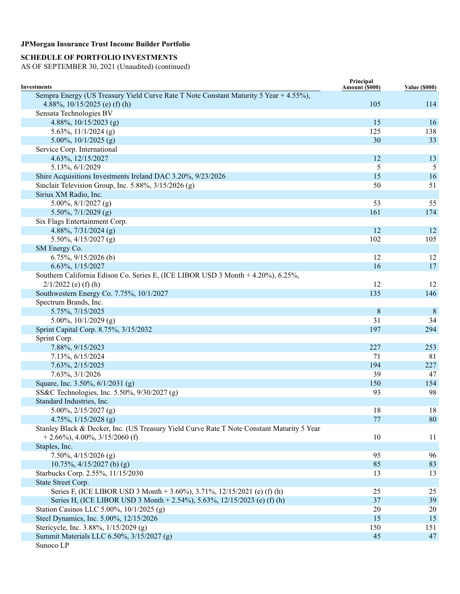# **SCHEDULE OF PORTFOLIO INVESTMENTS**

| 4.88%, $10/15/2025$ (e) (f) (h)<br>105<br>114<br>Sensata Technologies BV<br>4.88%, $10/15/2023$ (g)<br>15<br>16<br>5.63%, $11/1/2024$ (g)<br>125<br>138<br>5.00%, $10/1/2025$ (g)<br>30<br>33<br>Service Corp. International<br>4.63%, 12/15/2027<br>12<br>13<br>5.13%, 6/1/2029<br>5<br>5<br>15<br>Shire Acquisitions Investments Ireland DAC 3.20%, 9/23/2026<br>16<br>Sinclair Television Group, Inc. 5.88%, 3/15/2026 (g)<br>50<br>51<br>Sirius XM Radio, Inc.<br>5.00%, $8/1/2027$ (g)<br>53<br>55<br>161<br>5.50%, $7/1/2029$ (g)<br>174<br>Six Flags Entertainment Corp.<br>4.88%, $7/31/2024$ (g)<br>12<br>12<br>102<br>5.50%, $4/15/2027$ (g)<br>105<br>SM Energy Co.<br>12<br>6.75%, $9/15/2026$ (b)<br>12<br>16<br>17<br>6.63%, 1/15/2027<br>Southern California Edison Co. Series E, (ICE LIBOR USD 3 Month + 4.20%), 6.25%,<br>$2/1/2022$ (e) (f) (h)<br>12<br>12<br>135<br>Southwestern Energy Co. 7.75%, 10/1/2027<br>146<br>Spectrum Brands, Inc.<br>5.75%, 7/15/2025<br>8<br>8<br>5.00%, $10/1/2029$ (g)<br>31<br>34<br>197<br>294<br>Sprint Capital Corp. 8.75%, 3/15/2032<br>Sprint Corp.<br>7.88%, 9/15/2023<br>227<br>253<br>7.13%, 6/15/2024<br>71<br>81<br>7.63%, 2/15/2025<br>194<br>227<br>7.63%, 3/1/2026<br>39<br>47<br>Square, Inc. 3.50%, 6/1/2031 (g)<br>150<br>154<br>93<br>98<br>SS&C Technologies, Inc. 5.50%, 9/30/2027 (g)<br>Standard Industries, Inc.<br>18<br>18<br>5.00%, $2/15/2027$ (g)<br>4.75%, $1/15/2028$ (g)<br>77<br>80<br>Stanley Black & Decker, Inc. (US Treasury Yield Curve Rate T Note Constant Maturity 5 Year<br>$+2.66\%$ , 4.00%, 3/15/2060 (f)<br>10<br>11<br>Staples, Inc.<br>7.50%, $4/15/2026$ (g)<br>95<br>96<br>$10.75\%, \frac{4}{15}{2027}$ (b) (g)<br>85<br>83<br>13<br>Starbucks Corp. 2.55%, 11/15/2030<br>13<br>State Street Corp.<br>Series F, (ICE LIBOR USD 3 Month + 3.60%), 3.71%, 12/15/2021 (e) (f) (h)<br>25<br>25<br>37<br>39<br>Series H, (ICE LIBOR USD 3 Month + 2.54%), 5.63%, 12/15/2023 (e) (f) (h)<br>Station Casinos LLC 5.00%, 10/1/2025 (g)<br>20<br>20<br>Steel Dynamics, Inc. 5.00%, 12/15/2026<br>15<br>15<br>Stericycle, Inc. 3.88%, 1/15/2029 (g)<br>150<br>151 | Summit Materials LLC 6.50%, 3/15/2027 (g)<br>45<br>47 | <b>Investments</b>                                                                    | Principal<br>Amount (\$000) | <b>Value (\$000)</b> |
|--------------------------------------------------------------------------------------------------------------------------------------------------------------------------------------------------------------------------------------------------------------------------------------------------------------------------------------------------------------------------------------------------------------------------------------------------------------------------------------------------------------------------------------------------------------------------------------------------------------------------------------------------------------------------------------------------------------------------------------------------------------------------------------------------------------------------------------------------------------------------------------------------------------------------------------------------------------------------------------------------------------------------------------------------------------------------------------------------------------------------------------------------------------------------------------------------------------------------------------------------------------------------------------------------------------------------------------------------------------------------------------------------------------------------------------------------------------------------------------------------------------------------------------------------------------------------------------------------------------------------------------------------------------------------------------------------------------------------------------------------------------------------------------------------------------------------------------------------------------------------------------------------------------------------------------------------------------------------------------------------------------------------------------------------------------------------------------------------------------------------------------------------------------|-------------------------------------------------------|---------------------------------------------------------------------------------------|-----------------------------|----------------------|
|                                                                                                                                                                                                                                                                                                                                                                                                                                                                                                                                                                                                                                                                                                                                                                                                                                                                                                                                                                                                                                                                                                                                                                                                                                                                                                                                                                                                                                                                                                                                                                                                                                                                                                                                                                                                                                                                                                                                                                                                                                                                                                                                                              |                                                       | Sempra Energy (US Treasury Yield Curve Rate T Note Constant Maturity 5 Year + 4.55%), |                             |                      |
|                                                                                                                                                                                                                                                                                                                                                                                                                                                                                                                                                                                                                                                                                                                                                                                                                                                                                                                                                                                                                                                                                                                                                                                                                                                                                                                                                                                                                                                                                                                                                                                                                                                                                                                                                                                                                                                                                                                                                                                                                                                                                                                                                              |                                                       |                                                                                       |                             |                      |
|                                                                                                                                                                                                                                                                                                                                                                                                                                                                                                                                                                                                                                                                                                                                                                                                                                                                                                                                                                                                                                                                                                                                                                                                                                                                                                                                                                                                                                                                                                                                                                                                                                                                                                                                                                                                                                                                                                                                                                                                                                                                                                                                                              |                                                       |                                                                                       |                             |                      |
|                                                                                                                                                                                                                                                                                                                                                                                                                                                                                                                                                                                                                                                                                                                                                                                                                                                                                                                                                                                                                                                                                                                                                                                                                                                                                                                                                                                                                                                                                                                                                                                                                                                                                                                                                                                                                                                                                                                                                                                                                                                                                                                                                              |                                                       |                                                                                       |                             |                      |
|                                                                                                                                                                                                                                                                                                                                                                                                                                                                                                                                                                                                                                                                                                                                                                                                                                                                                                                                                                                                                                                                                                                                                                                                                                                                                                                                                                                                                                                                                                                                                                                                                                                                                                                                                                                                                                                                                                                                                                                                                                                                                                                                                              |                                                       |                                                                                       |                             |                      |
|                                                                                                                                                                                                                                                                                                                                                                                                                                                                                                                                                                                                                                                                                                                                                                                                                                                                                                                                                                                                                                                                                                                                                                                                                                                                                                                                                                                                                                                                                                                                                                                                                                                                                                                                                                                                                                                                                                                                                                                                                                                                                                                                                              |                                                       |                                                                                       |                             |                      |
|                                                                                                                                                                                                                                                                                                                                                                                                                                                                                                                                                                                                                                                                                                                                                                                                                                                                                                                                                                                                                                                                                                                                                                                                                                                                                                                                                                                                                                                                                                                                                                                                                                                                                                                                                                                                                                                                                                                                                                                                                                                                                                                                                              |                                                       |                                                                                       |                             |                      |
|                                                                                                                                                                                                                                                                                                                                                                                                                                                                                                                                                                                                                                                                                                                                                                                                                                                                                                                                                                                                                                                                                                                                                                                                                                                                                                                                                                                                                                                                                                                                                                                                                                                                                                                                                                                                                                                                                                                                                                                                                                                                                                                                                              |                                                       |                                                                                       |                             |                      |
|                                                                                                                                                                                                                                                                                                                                                                                                                                                                                                                                                                                                                                                                                                                                                                                                                                                                                                                                                                                                                                                                                                                                                                                                                                                                                                                                                                                                                                                                                                                                                                                                                                                                                                                                                                                                                                                                                                                                                                                                                                                                                                                                                              |                                                       |                                                                                       |                             |                      |
|                                                                                                                                                                                                                                                                                                                                                                                                                                                                                                                                                                                                                                                                                                                                                                                                                                                                                                                                                                                                                                                                                                                                                                                                                                                                                                                                                                                                                                                                                                                                                                                                                                                                                                                                                                                                                                                                                                                                                                                                                                                                                                                                                              |                                                       |                                                                                       |                             |                      |
|                                                                                                                                                                                                                                                                                                                                                                                                                                                                                                                                                                                                                                                                                                                                                                                                                                                                                                                                                                                                                                                                                                                                                                                                                                                                                                                                                                                                                                                                                                                                                                                                                                                                                                                                                                                                                                                                                                                                                                                                                                                                                                                                                              |                                                       |                                                                                       |                             |                      |
|                                                                                                                                                                                                                                                                                                                                                                                                                                                                                                                                                                                                                                                                                                                                                                                                                                                                                                                                                                                                                                                                                                                                                                                                                                                                                                                                                                                                                                                                                                                                                                                                                                                                                                                                                                                                                                                                                                                                                                                                                                                                                                                                                              |                                                       |                                                                                       |                             |                      |
|                                                                                                                                                                                                                                                                                                                                                                                                                                                                                                                                                                                                                                                                                                                                                                                                                                                                                                                                                                                                                                                                                                                                                                                                                                                                                                                                                                                                                                                                                                                                                                                                                                                                                                                                                                                                                                                                                                                                                                                                                                                                                                                                                              |                                                       |                                                                                       |                             |                      |
|                                                                                                                                                                                                                                                                                                                                                                                                                                                                                                                                                                                                                                                                                                                                                                                                                                                                                                                                                                                                                                                                                                                                                                                                                                                                                                                                                                                                                                                                                                                                                                                                                                                                                                                                                                                                                                                                                                                                                                                                                                                                                                                                                              |                                                       |                                                                                       |                             |                      |
|                                                                                                                                                                                                                                                                                                                                                                                                                                                                                                                                                                                                                                                                                                                                                                                                                                                                                                                                                                                                                                                                                                                                                                                                                                                                                                                                                                                                                                                                                                                                                                                                                                                                                                                                                                                                                                                                                                                                                                                                                                                                                                                                                              |                                                       |                                                                                       |                             |                      |
|                                                                                                                                                                                                                                                                                                                                                                                                                                                                                                                                                                                                                                                                                                                                                                                                                                                                                                                                                                                                                                                                                                                                                                                                                                                                                                                                                                                                                                                                                                                                                                                                                                                                                                                                                                                                                                                                                                                                                                                                                                                                                                                                                              |                                                       |                                                                                       |                             |                      |
|                                                                                                                                                                                                                                                                                                                                                                                                                                                                                                                                                                                                                                                                                                                                                                                                                                                                                                                                                                                                                                                                                                                                                                                                                                                                                                                                                                                                                                                                                                                                                                                                                                                                                                                                                                                                                                                                                                                                                                                                                                                                                                                                                              |                                                       |                                                                                       |                             |                      |
|                                                                                                                                                                                                                                                                                                                                                                                                                                                                                                                                                                                                                                                                                                                                                                                                                                                                                                                                                                                                                                                                                                                                                                                                                                                                                                                                                                                                                                                                                                                                                                                                                                                                                                                                                                                                                                                                                                                                                                                                                                                                                                                                                              |                                                       |                                                                                       |                             |                      |
|                                                                                                                                                                                                                                                                                                                                                                                                                                                                                                                                                                                                                                                                                                                                                                                                                                                                                                                                                                                                                                                                                                                                                                                                                                                                                                                                                                                                                                                                                                                                                                                                                                                                                                                                                                                                                                                                                                                                                                                                                                                                                                                                                              |                                                       |                                                                                       |                             |                      |
|                                                                                                                                                                                                                                                                                                                                                                                                                                                                                                                                                                                                                                                                                                                                                                                                                                                                                                                                                                                                                                                                                                                                                                                                                                                                                                                                                                                                                                                                                                                                                                                                                                                                                                                                                                                                                                                                                                                                                                                                                                                                                                                                                              |                                                       |                                                                                       |                             |                      |
|                                                                                                                                                                                                                                                                                                                                                                                                                                                                                                                                                                                                                                                                                                                                                                                                                                                                                                                                                                                                                                                                                                                                                                                                                                                                                                                                                                                                                                                                                                                                                                                                                                                                                                                                                                                                                                                                                                                                                                                                                                                                                                                                                              |                                                       |                                                                                       |                             |                      |
|                                                                                                                                                                                                                                                                                                                                                                                                                                                                                                                                                                                                                                                                                                                                                                                                                                                                                                                                                                                                                                                                                                                                                                                                                                                                                                                                                                                                                                                                                                                                                                                                                                                                                                                                                                                                                                                                                                                                                                                                                                                                                                                                                              |                                                       |                                                                                       |                             |                      |
|                                                                                                                                                                                                                                                                                                                                                                                                                                                                                                                                                                                                                                                                                                                                                                                                                                                                                                                                                                                                                                                                                                                                                                                                                                                                                                                                                                                                                                                                                                                                                                                                                                                                                                                                                                                                                                                                                                                                                                                                                                                                                                                                                              |                                                       |                                                                                       |                             |                      |
|                                                                                                                                                                                                                                                                                                                                                                                                                                                                                                                                                                                                                                                                                                                                                                                                                                                                                                                                                                                                                                                                                                                                                                                                                                                                                                                                                                                                                                                                                                                                                                                                                                                                                                                                                                                                                                                                                                                                                                                                                                                                                                                                                              |                                                       |                                                                                       |                             |                      |
|                                                                                                                                                                                                                                                                                                                                                                                                                                                                                                                                                                                                                                                                                                                                                                                                                                                                                                                                                                                                                                                                                                                                                                                                                                                                                                                                                                                                                                                                                                                                                                                                                                                                                                                                                                                                                                                                                                                                                                                                                                                                                                                                                              |                                                       |                                                                                       |                             |                      |
|                                                                                                                                                                                                                                                                                                                                                                                                                                                                                                                                                                                                                                                                                                                                                                                                                                                                                                                                                                                                                                                                                                                                                                                                                                                                                                                                                                                                                                                                                                                                                                                                                                                                                                                                                                                                                                                                                                                                                                                                                                                                                                                                                              |                                                       |                                                                                       |                             |                      |
|                                                                                                                                                                                                                                                                                                                                                                                                                                                                                                                                                                                                                                                                                                                                                                                                                                                                                                                                                                                                                                                                                                                                                                                                                                                                                                                                                                                                                                                                                                                                                                                                                                                                                                                                                                                                                                                                                                                                                                                                                                                                                                                                                              |                                                       |                                                                                       |                             |                      |
|                                                                                                                                                                                                                                                                                                                                                                                                                                                                                                                                                                                                                                                                                                                                                                                                                                                                                                                                                                                                                                                                                                                                                                                                                                                                                                                                                                                                                                                                                                                                                                                                                                                                                                                                                                                                                                                                                                                                                                                                                                                                                                                                                              |                                                       |                                                                                       |                             |                      |
|                                                                                                                                                                                                                                                                                                                                                                                                                                                                                                                                                                                                                                                                                                                                                                                                                                                                                                                                                                                                                                                                                                                                                                                                                                                                                                                                                                                                                                                                                                                                                                                                                                                                                                                                                                                                                                                                                                                                                                                                                                                                                                                                                              |                                                       |                                                                                       |                             |                      |
|                                                                                                                                                                                                                                                                                                                                                                                                                                                                                                                                                                                                                                                                                                                                                                                                                                                                                                                                                                                                                                                                                                                                                                                                                                                                                                                                                                                                                                                                                                                                                                                                                                                                                                                                                                                                                                                                                                                                                                                                                                                                                                                                                              |                                                       |                                                                                       |                             |                      |
|                                                                                                                                                                                                                                                                                                                                                                                                                                                                                                                                                                                                                                                                                                                                                                                                                                                                                                                                                                                                                                                                                                                                                                                                                                                                                                                                                                                                                                                                                                                                                                                                                                                                                                                                                                                                                                                                                                                                                                                                                                                                                                                                                              |                                                       |                                                                                       |                             |                      |
|                                                                                                                                                                                                                                                                                                                                                                                                                                                                                                                                                                                                                                                                                                                                                                                                                                                                                                                                                                                                                                                                                                                                                                                                                                                                                                                                                                                                                                                                                                                                                                                                                                                                                                                                                                                                                                                                                                                                                                                                                                                                                                                                                              |                                                       |                                                                                       |                             |                      |
|                                                                                                                                                                                                                                                                                                                                                                                                                                                                                                                                                                                                                                                                                                                                                                                                                                                                                                                                                                                                                                                                                                                                                                                                                                                                                                                                                                                                                                                                                                                                                                                                                                                                                                                                                                                                                                                                                                                                                                                                                                                                                                                                                              |                                                       |                                                                                       |                             |                      |
|                                                                                                                                                                                                                                                                                                                                                                                                                                                                                                                                                                                                                                                                                                                                                                                                                                                                                                                                                                                                                                                                                                                                                                                                                                                                                                                                                                                                                                                                                                                                                                                                                                                                                                                                                                                                                                                                                                                                                                                                                                                                                                                                                              |                                                       |                                                                                       |                             |                      |
|                                                                                                                                                                                                                                                                                                                                                                                                                                                                                                                                                                                                                                                                                                                                                                                                                                                                                                                                                                                                                                                                                                                                                                                                                                                                                                                                                                                                                                                                                                                                                                                                                                                                                                                                                                                                                                                                                                                                                                                                                                                                                                                                                              |                                                       |                                                                                       |                             |                      |
|                                                                                                                                                                                                                                                                                                                                                                                                                                                                                                                                                                                                                                                                                                                                                                                                                                                                                                                                                                                                                                                                                                                                                                                                                                                                                                                                                                                                                                                                                                                                                                                                                                                                                                                                                                                                                                                                                                                                                                                                                                                                                                                                                              |                                                       |                                                                                       |                             |                      |
|                                                                                                                                                                                                                                                                                                                                                                                                                                                                                                                                                                                                                                                                                                                                                                                                                                                                                                                                                                                                                                                                                                                                                                                                                                                                                                                                                                                                                                                                                                                                                                                                                                                                                                                                                                                                                                                                                                                                                                                                                                                                                                                                                              |                                                       |                                                                                       |                             |                      |
|                                                                                                                                                                                                                                                                                                                                                                                                                                                                                                                                                                                                                                                                                                                                                                                                                                                                                                                                                                                                                                                                                                                                                                                                                                                                                                                                                                                                                                                                                                                                                                                                                                                                                                                                                                                                                                                                                                                                                                                                                                                                                                                                                              |                                                       |                                                                                       |                             |                      |
|                                                                                                                                                                                                                                                                                                                                                                                                                                                                                                                                                                                                                                                                                                                                                                                                                                                                                                                                                                                                                                                                                                                                                                                                                                                                                                                                                                                                                                                                                                                                                                                                                                                                                                                                                                                                                                                                                                                                                                                                                                                                                                                                                              |                                                       |                                                                                       |                             |                      |
|                                                                                                                                                                                                                                                                                                                                                                                                                                                                                                                                                                                                                                                                                                                                                                                                                                                                                                                                                                                                                                                                                                                                                                                                                                                                                                                                                                                                                                                                                                                                                                                                                                                                                                                                                                                                                                                                                                                                                                                                                                                                                                                                                              |                                                       |                                                                                       |                             |                      |
|                                                                                                                                                                                                                                                                                                                                                                                                                                                                                                                                                                                                                                                                                                                                                                                                                                                                                                                                                                                                                                                                                                                                                                                                                                                                                                                                                                                                                                                                                                                                                                                                                                                                                                                                                                                                                                                                                                                                                                                                                                                                                                                                                              |                                                       |                                                                                       |                             |                      |
|                                                                                                                                                                                                                                                                                                                                                                                                                                                                                                                                                                                                                                                                                                                                                                                                                                                                                                                                                                                                                                                                                                                                                                                                                                                                                                                                                                                                                                                                                                                                                                                                                                                                                                                                                                                                                                                                                                                                                                                                                                                                                                                                                              |                                                       |                                                                                       |                             |                      |
|                                                                                                                                                                                                                                                                                                                                                                                                                                                                                                                                                                                                                                                                                                                                                                                                                                                                                                                                                                                                                                                                                                                                                                                                                                                                                                                                                                                                                                                                                                                                                                                                                                                                                                                                                                                                                                                                                                                                                                                                                                                                                                                                                              |                                                       |                                                                                       |                             |                      |
|                                                                                                                                                                                                                                                                                                                                                                                                                                                                                                                                                                                                                                                                                                                                                                                                                                                                                                                                                                                                                                                                                                                                                                                                                                                                                                                                                                                                                                                                                                                                                                                                                                                                                                                                                                                                                                                                                                                                                                                                                                                                                                                                                              |                                                       |                                                                                       |                             |                      |
|                                                                                                                                                                                                                                                                                                                                                                                                                                                                                                                                                                                                                                                                                                                                                                                                                                                                                                                                                                                                                                                                                                                                                                                                                                                                                                                                                                                                                                                                                                                                                                                                                                                                                                                                                                                                                                                                                                                                                                                                                                                                                                                                                              |                                                       |                                                                                       |                             |                      |
|                                                                                                                                                                                                                                                                                                                                                                                                                                                                                                                                                                                                                                                                                                                                                                                                                                                                                                                                                                                                                                                                                                                                                                                                                                                                                                                                                                                                                                                                                                                                                                                                                                                                                                                                                                                                                                                                                                                                                                                                                                                                                                                                                              |                                                       |                                                                                       |                             |                      |
|                                                                                                                                                                                                                                                                                                                                                                                                                                                                                                                                                                                                                                                                                                                                                                                                                                                                                                                                                                                                                                                                                                                                                                                                                                                                                                                                                                                                                                                                                                                                                                                                                                                                                                                                                                                                                                                                                                                                                                                                                                                                                                                                                              |                                                       |                                                                                       |                             |                      |
|                                                                                                                                                                                                                                                                                                                                                                                                                                                                                                                                                                                                                                                                                                                                                                                                                                                                                                                                                                                                                                                                                                                                                                                                                                                                                                                                                                                                                                                                                                                                                                                                                                                                                                                                                                                                                                                                                                                                                                                                                                                                                                                                                              |                                                       |                                                                                       |                             |                      |
|                                                                                                                                                                                                                                                                                                                                                                                                                                                                                                                                                                                                                                                                                                                                                                                                                                                                                                                                                                                                                                                                                                                                                                                                                                                                                                                                                                                                                                                                                                                                                                                                                                                                                                                                                                                                                                                                                                                                                                                                                                                                                                                                                              |                                                       |                                                                                       |                             |                      |
|                                                                                                                                                                                                                                                                                                                                                                                                                                                                                                                                                                                                                                                                                                                                                                                                                                                                                                                                                                                                                                                                                                                                                                                                                                                                                                                                                                                                                                                                                                                                                                                                                                                                                                                                                                                                                                                                                                                                                                                                                                                                                                                                                              |                                                       |                                                                                       |                             |                      |
|                                                                                                                                                                                                                                                                                                                                                                                                                                                                                                                                                                                                                                                                                                                                                                                                                                                                                                                                                                                                                                                                                                                                                                                                                                                                                                                                                                                                                                                                                                                                                                                                                                                                                                                                                                                                                                                                                                                                                                                                                                                                                                                                                              |                                                       | Sunoco LP                                                                             |                             |                      |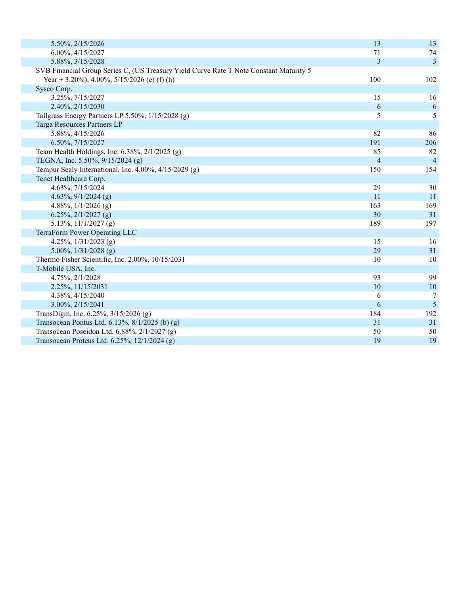| 5.50%, 2/15/2026                                                                       | 13             | 13             |
|----------------------------------------------------------------------------------------|----------------|----------------|
| 6.00%, 4/15/2027                                                                       | 71             | 74             |
| 5.88%, 3/15/2028                                                                       | 3              | 3              |
| SVB Financial Group Series C, (US Treasury Yield Curve Rate T Note Constant Maturity 5 |                |                |
| Year + 3.20%), 4.00%, $5/15/2026$ (e) (f) (h)                                          | 100            | 102            |
| Sysco Corp.                                                                            |                |                |
| 3.25%, 7/15/2027                                                                       | 15             | 16             |
| 2.40%, 2/15/2030                                                                       | 6              | 6              |
| Tallgrass Energy Partners LP 5.50%, 1/15/2028 (g)                                      | 5              | 5              |
| Targa Resources Partners LP                                                            |                |                |
| 5.88%, 4/15/2026                                                                       | 82             | 86             |
| 6.50%, 7/15/2027                                                                       | 191            | 206            |
| Team Health Holdings, Inc. 6.38%, 2/1/2025 (g)                                         | 85             | 82             |
| TEGNA, Inc. 5.50%, 9/15/2024 (g)                                                       | $\overline{4}$ | $\overline{4}$ |
| Tempur Sealy International, Inc. 4.00%, 4/15/2029 (g)                                  | 150            | 154            |
| Tenet Healthcare Corp.                                                                 |                |                |
| 4.63%, 7/15/2024                                                                       | 29             | 30             |
| 4.63%, $9/1/2024$ (g)                                                                  | 11             | 11             |
| 4.88%, $1/1/2026$ (g)                                                                  | 163            | 169            |
| 6.25%, $2/1/2027$ (g)                                                                  | 30             | 31             |
| 5.13%, $11/1/2027$ (g)                                                                 | 189            | 197            |
| TerraForm Power Operating LLC                                                          |                |                |
| 4.25%, 1/31/2023 (g)                                                                   | 15             | 16             |
| 5.00%, $1/31/2028$ (g)                                                                 | 29             | 31             |
| Thermo Fisher Scientific, Inc. 2.00%, 10/15/2031                                       | 10             | 10             |
| T-Mobile USA, Inc.                                                                     |                |                |
| 4.75%, 2/1/2028                                                                        | 93             | 99             |
| 2.25%, 11/15/2031                                                                      | 10             | 10             |
| 4.38%, 4/15/2040                                                                       | 6              | 7              |
| 3.00%, 2/15/2041                                                                       | 6              | 5              |
| TransDigm, Inc. 6.25%, 3/15/2026 (g)                                                   | 184            | 192            |
| Transocean Pontus Ltd. 6.13%, 8/1/2025 (b) (g)                                         | 31             | 31             |
| Transocean Poseidon Ltd. 6.88%, 2/1/2027 (g)                                           | 50             | 50             |
| Transocean Proteus Ltd. 6.25%, 12/1/2024 (g)                                           | 19             | 19             |
|                                                                                        |                |                |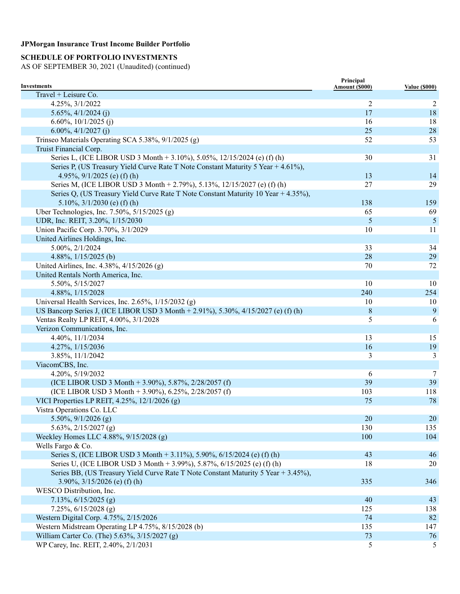# **SCHEDULE OF PORTFOLIO INVESTMENTS**

| <b>Investments</b>                                                                 | Principal<br>Amount (\$000) | <b>Value (\$000)</b> |
|------------------------------------------------------------------------------------|-----------------------------|----------------------|
| Travel + Leisure Co.                                                               |                             |                      |
| 4.25%, 3/1/2022                                                                    | $\overline{c}$              | $\overline{2}$       |
| $5.65\%, \frac{4}{1/2024}$ (j)                                                     | 17                          | 18                   |
| 6.60%, $10/1/2025$ (j)                                                             | 16                          | 18                   |
| 6.00%, $4/1/2027$ (j)                                                              | 25                          | 28                   |
| Trinseo Materials Operating SCA 5.38%, 9/1/2025 (g)                                | 52                          | 53                   |
| Truist Financial Corp.                                                             |                             |                      |
| Series L, (ICE LIBOR USD 3 Month + 3.10%), 5.05%, 12/15/2024 (e) (f) (h)           | 30                          | 31                   |
| Series P, (US Treasury Yield Curve Rate T Note Constant Maturity 5 Year + 4.61%),  |                             |                      |
| 4.95%, $9/1/2025$ (e) (f) (h)                                                      | 13                          | 14                   |
| Series M, (ICE LIBOR USD 3 Month + 2.79%), 5.13%, 12/15/2027 (e) (f) (h)           | 27                          | 29                   |
| Series Q, (US Treasury Yield Curve Rate T Note Constant Maturity 10 Year + 4.35%), |                             |                      |
| 5.10%, $3/1/2030$ (e) (f) (h)                                                      | 138                         | 159                  |
| Uber Technologies, Inc. 7.50%, 5/15/2025 (g)                                       | 65                          | 69                   |
| UDR, Inc. REIT, 3.20%, 1/15/2030                                                   | 5                           | 5                    |
| Union Pacific Corp. 3.70%, 3/1/2029                                                | 10                          | 11                   |
| United Airlines Holdings, Inc.                                                     |                             |                      |
| 5.00%, 2/1/2024                                                                    | 33                          | 34                   |
| 4.88%, 1/15/2025 (b)                                                               | 28                          | 29                   |
| United Airlines, Inc. 4.38%, 4/15/2026 (g)                                         | 70                          | 72                   |
| United Rentals North America, Inc.                                                 |                             |                      |
| 5.50%, 5/15/2027                                                                   | 10                          | 10                   |
| 4.88%, 1/15/2028                                                                   | 240                         | 254                  |
| Universal Health Services, Inc. 2.65%, 1/15/2032 (g)                               | 10                          | 10                   |
| US Bancorp Series J, (ICE LIBOR USD 3 Month + 2.91%), 5.30%, 4/15/2027 (e) (f) (h) | 8                           | 9                    |
| Ventas Realty LP REIT, 4.00%, 3/1/2028                                             | 5                           | 6                    |
| Verizon Communications, Inc.                                                       |                             |                      |
| 4.40%, 11/1/2034                                                                   | 13                          | 15                   |
| 4.27%, 1/15/2036                                                                   | 16                          | 19                   |
| 3.85%, 11/1/2042                                                                   | 3                           | 3                    |
| ViacomCBS, Inc.                                                                    |                             |                      |
| 4.20%, 5/19/2032                                                                   | 6                           | 7                    |
| (ICE LIBOR USD 3 Month + 3.90%), 5.87%, 2/28/2057 (f)                              | 39                          | 39                   |
| (ICE LIBOR USD 3 Month + 3.90%), 6.25%, 2/28/2057 (f)                              | 103                         | 118                  |
| VICI Properties LP REIT, 4.25%, 12/1/2026 (g)                                      | 75                          | 78                   |
| Vistra Operations Co. LLC                                                          |                             |                      |
| 5.50%, $9/1/2026$ (g)                                                              | 20                          | 20                   |
| 5.63%, $2/15/2027$ (g)                                                             | 130                         | 135                  |
| Weekley Homes LLC 4.88%, 9/15/2028 (g)                                             | 100                         | 104                  |
| Wells Fargo & Co.                                                                  |                             |                      |
| Series S, (ICE LIBOR USD 3 Month + 3.11%), 5.90%, 6/15/2024 (e) (f) (h)            | 43                          | 46                   |
| Series U, (ICE LIBOR USD 3 Month + 3.99%), 5.87%, 6/15/2025 (e) (f) (h)            | 18                          | 20                   |
| Series BB, (US Treasury Yield Curve Rate T Note Constant Maturity 5 Year + 3.45%), |                             |                      |
| 3.90%, $3/15/2026$ (e) (f) (h)                                                     | 335                         | 346                  |
| WESCO Distribution, Inc.                                                           |                             |                      |
| 7.13%, $6/15/2025$ (g)                                                             | 40                          | 43                   |
| 7.25%, $6/15/2028$ (g)                                                             | 125                         | 138                  |
| Western Digital Corp. 4.75%, 2/15/2026                                             | 74                          | 82                   |
| Western Midstream Operating LP 4.75%, 8/15/2028 (b)                                | 135                         | 147                  |
| William Carter Co. (The) 5.63%, 3/15/2027 (g)                                      | 73                          | 76                   |
| WP Carey, Inc. REIT, 2.40%, 2/1/2031                                               | 5                           | 5                    |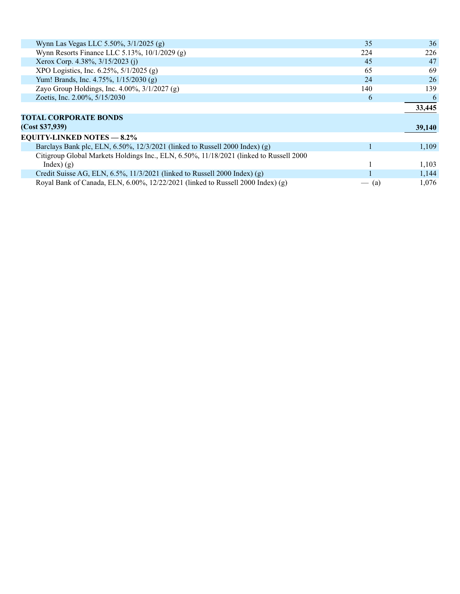| Wynn Las Vegas LLC 5.50%, 3/1/2025 (g)                                                 | 35                       | 36     |
|----------------------------------------------------------------------------------------|--------------------------|--------|
| Wynn Resorts Finance LLC 5.13%, $10/1/2029$ (g)                                        | 224                      | 226    |
| Xerox Corp. 4.38%, 3/15/2023 (j)                                                       | 45                       | 47     |
| XPO Logistics, Inc. 6.25%, 5/1/2025 (g)                                                | 65                       | 69     |
| Yum! Brands, Inc. $4.75\%$ , $1/15/2030$ (g)                                           | 24                       | 26     |
| Zayo Group Holdings, Inc. $4.00\%$ , $3/1/2027$ (g)                                    | 140                      | 139    |
| Zoetis, Inc. 2.00%, 5/15/2030                                                          | 6                        | 6      |
|                                                                                        |                          | 33,445 |
| <b>TOTAL CORPORATE BONDS</b>                                                           |                          |        |
| (Cost \$37,939)                                                                        |                          | 39,140 |
| <b>EQUITY-LINKED NOTES — 8.2%</b>                                                      |                          |        |
| Barclays Bank plc, ELN, 6.50%, 12/3/2021 (linked to Russell 2000 Index) (g)            |                          | 1,109  |
| Citigroup Global Markets Holdings Inc., ELN, 6.50%, 11/18/2021 (linked to Russell 2000 |                          |        |
| Index) $(g)$                                                                           |                          | 1,103  |
| Credit Suisse AG, ELN, 6.5%, 11/3/2021 (linked to Russell 2000 Index) (g)              |                          | 1,144  |
| Royal Bank of Canada, ELN, $6.00\%$ , $12/22/2021$ (linked to Russell 2000 Index) (g)  | (a)<br>$\hspace{0.05cm}$ | 1,076  |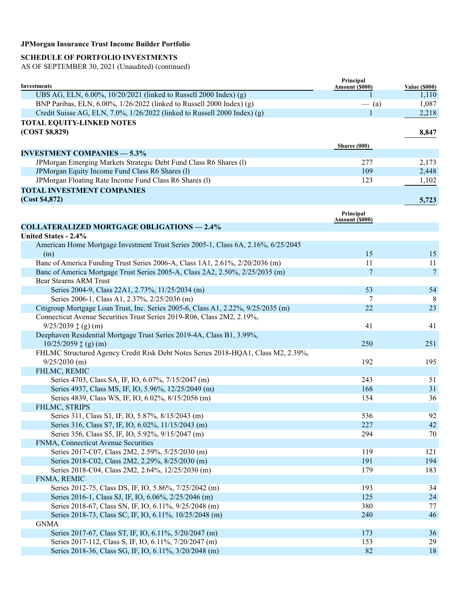# **SCHEDULE OF PORTFOLIO INVESTMENTS**

| <b>Investments</b><br>Amount (\$000)<br><b>Value (\$000)</b><br>UBS AG, ELN, 6.00%, 10/20/2021 (linked to Russell 2000 Index) (g)<br>1,110<br>BNP Paribas, ELN, 6.00%, 1/26/2022 (linked to Russell 2000 Index) (g)<br>1,087<br>$-$ (a)<br>Credit Suisse AG, ELN, 7.0%, 1/26/2022 (linked to Russell 2000 Index) (g)<br>2,218<br><b>TOTAL EQUITY-LINKED NOTES</b><br>(COST \$8,829)<br>8,847<br>Shares $(000)$<br><b>INVESTMENT COMPANIES - 5.3%</b><br>JPMorgan Emerging Markets Strategic Debt Fund Class R6 Shares (1)<br>2,173<br>277<br>JPMorgan Equity Income Fund Class R6 Shares (1)<br>109<br>2,448<br>JPMorgan Floating Rate Income Fund Class R6 Shares (1)<br>123<br>1,102<br><b>TOTAL INVESTMENT COMPANIES</b><br>(Cost \$4,872)<br>5,723<br>Principal<br>Amount (\$000)<br><b>COLLATERALIZED MORTGAGE OBLIGATIONS - 2.4%</b><br>United States - 2.4%<br>American Home Mortgage Investment Trust Series 2005-1, Class 6A, 2.16%, 6/25/2045<br>15<br>15<br>(m)<br>Banc of America Funding Trust Series 2006-A, Class 1A1, 2.61%, 2/20/2036 (m)<br>11<br>11<br>$\overline{7}$<br>7<br>Banc of America Mortgage Trust Series 2005-A, Class 2A2, 2.50%, 2/25/2035 (m)<br>Bear Stearns ARM Trust<br>Series 2004-9, Class 22A1, 2.73%, 11/25/2034 (m)<br>53<br>54<br>Series 2006-1, Class A1, 2.37%, 2/25/2036 (m)<br>7<br>8<br>Citigroup Mortgage Loan Trust, Inc. Series 2005-6, Class A1, 2.22%, 9/25/2035 (m)<br>22<br>23<br>Connecticut Avenue Securities Trust Series 2019-R06, Class 2M2, 2.19%,<br>41<br>$9/25/2039 \ddagger (g) (m)$<br>41<br>Deephaven Residential Mortgage Trust Series 2019-4A, Class B1, 3.99%,<br>$10/25/2059 \ddagger (g)$ (m)<br>250<br>251<br>FHLMC Structured Agency Credit Risk Debt Notes Series 2018-HQA1, Class M2, 2.39%,<br>$9/25/2030$ (m)<br>192<br>195<br>FHLMC, REMIC<br>Series 4703, Class SA, IF, IO, 6.07%, 7/15/2047 (m)<br>243<br>51<br>Series 4937, Class MS, IF, IO, 5.96%, 12/25/2049 (m)<br>168<br>31<br>36<br>Series 4839, Class WS, IF, IO, 6.02%, 8/15/2056 (m)<br>154<br>FHLMC, STRIPS<br>Series 311, Class S1, IF, IO, 5.87%, 8/15/2043 (m)<br>536<br>42<br>Series 316, Class S7, IF, IO, 6.02%, 11/15/2043 (m)<br>227<br>Series 356, Class S5, IF, IO, 5.92%, 9/15/2047 (m)<br>294<br>70<br>FNMA, Connecticut Avenue Securities<br>119<br>Series 2017-C07, Class 2M2, 2.59%, 5/25/2030 (m)<br>121<br>191<br>194<br>Series 2018-C02, Class 2M2, 2.29%, 8/25/2030 (m)<br>Series 2018-C04, Class 2M2, 2.64%, 12/25/2030 (m)<br>179<br>183<br>FNMA, REMIC<br>Series 2012-75, Class DS, IF, IO, 5.86%, 7/25/2042 (m)<br>193<br>34<br>Series 2016-1, Class SJ, IF, IO, 6.06%, 2/25/2046 (m)<br>125<br>24<br>Series 2018-67, Class SN, IF, IO, 6.11%, 9/25/2048 (m)<br>380<br>77<br>Series 2018-73, Class SC, IF, IO, 6.11%, 10/25/2048 (m)<br>240<br>46<br><b>GNMA</b><br>Series 2017-67, Class ST, IF, IO, 6.11%, 5/20/2047 (m)<br>173<br>36<br>29<br>Series 2017-112, Class S, IF, IO, 6.11%, 7/20/2047 (m)<br>153<br>Series 2018-36, Class SG, IF, IO, 6.11%, 3/20/2048 (m)<br>82<br>18 | Principal |  |
|--------------------------------------------------------------------------------------------------------------------------------------------------------------------------------------------------------------------------------------------------------------------------------------------------------------------------------------------------------------------------------------------------------------------------------------------------------------------------------------------------------------------------------------------------------------------------------------------------------------------------------------------------------------------------------------------------------------------------------------------------------------------------------------------------------------------------------------------------------------------------------------------------------------------------------------------------------------------------------------------------------------------------------------------------------------------------------------------------------------------------------------------------------------------------------------------------------------------------------------------------------------------------------------------------------------------------------------------------------------------------------------------------------------------------------------------------------------------------------------------------------------------------------------------------------------------------------------------------------------------------------------------------------------------------------------------------------------------------------------------------------------------------------------------------------------------------------------------------------------------------------------------------------------------------------------------------------------------------------------------------------------------------------------------------------------------------------------------------------------------------------------------------------------------------------------------------------------------------------------------------------------------------------------------------------------------------------------------------------------------------------------------------------------------------------------------------------------------------------------------------------------------------------------------------------------------------------------------------------------------------------------------------------------------------------------------------------------------------------------------------------------------------------------------------------------------------------------------------------------------------------------------------------------------------------------------------------------------------------------------------------------------------------------------------------|-----------|--|
|                                                                                                                                                                                                                                                                                                                                                                                                                                                                                                                                                                                                                                                                                                                                                                                                                                                                                                                                                                                                                                                                                                                                                                                                                                                                                                                                                                                                                                                                                                                                                                                                                                                                                                                                                                                                                                                                                                                                                                                                                                                                                                                                                                                                                                                                                                                                                                                                                                                                                                                                                                                                                                                                                                                                                                                                                                                                                                                                                                                                                                                        |           |  |
| 92                                                                                                                                                                                                                                                                                                                                                                                                                                                                                                                                                                                                                                                                                                                                                                                                                                                                                                                                                                                                                                                                                                                                                                                                                                                                                                                                                                                                                                                                                                                                                                                                                                                                                                                                                                                                                                                                                                                                                                                                                                                                                                                                                                                                                                                                                                                                                                                                                                                                                                                                                                                                                                                                                                                                                                                                                                                                                                                                                                                                                                                     |           |  |
|                                                                                                                                                                                                                                                                                                                                                                                                                                                                                                                                                                                                                                                                                                                                                                                                                                                                                                                                                                                                                                                                                                                                                                                                                                                                                                                                                                                                                                                                                                                                                                                                                                                                                                                                                                                                                                                                                                                                                                                                                                                                                                                                                                                                                                                                                                                                                                                                                                                                                                                                                                                                                                                                                                                                                                                                                                                                                                                                                                                                                                                        |           |  |
|                                                                                                                                                                                                                                                                                                                                                                                                                                                                                                                                                                                                                                                                                                                                                                                                                                                                                                                                                                                                                                                                                                                                                                                                                                                                                                                                                                                                                                                                                                                                                                                                                                                                                                                                                                                                                                                                                                                                                                                                                                                                                                                                                                                                                                                                                                                                                                                                                                                                                                                                                                                                                                                                                                                                                                                                                                                                                                                                                                                                                                                        |           |  |
|                                                                                                                                                                                                                                                                                                                                                                                                                                                                                                                                                                                                                                                                                                                                                                                                                                                                                                                                                                                                                                                                                                                                                                                                                                                                                                                                                                                                                                                                                                                                                                                                                                                                                                                                                                                                                                                                                                                                                                                                                                                                                                                                                                                                                                                                                                                                                                                                                                                                                                                                                                                                                                                                                                                                                                                                                                                                                                                                                                                                                                                        |           |  |
|                                                                                                                                                                                                                                                                                                                                                                                                                                                                                                                                                                                                                                                                                                                                                                                                                                                                                                                                                                                                                                                                                                                                                                                                                                                                                                                                                                                                                                                                                                                                                                                                                                                                                                                                                                                                                                                                                                                                                                                                                                                                                                                                                                                                                                                                                                                                                                                                                                                                                                                                                                                                                                                                                                                                                                                                                                                                                                                                                                                                                                                        |           |  |
|                                                                                                                                                                                                                                                                                                                                                                                                                                                                                                                                                                                                                                                                                                                                                                                                                                                                                                                                                                                                                                                                                                                                                                                                                                                                                                                                                                                                                                                                                                                                                                                                                                                                                                                                                                                                                                                                                                                                                                                                                                                                                                                                                                                                                                                                                                                                                                                                                                                                                                                                                                                                                                                                                                                                                                                                                                                                                                                                                                                                                                                        |           |  |
|                                                                                                                                                                                                                                                                                                                                                                                                                                                                                                                                                                                                                                                                                                                                                                                                                                                                                                                                                                                                                                                                                                                                                                                                                                                                                                                                                                                                                                                                                                                                                                                                                                                                                                                                                                                                                                                                                                                                                                                                                                                                                                                                                                                                                                                                                                                                                                                                                                                                                                                                                                                                                                                                                                                                                                                                                                                                                                                                                                                                                                                        |           |  |
|                                                                                                                                                                                                                                                                                                                                                                                                                                                                                                                                                                                                                                                                                                                                                                                                                                                                                                                                                                                                                                                                                                                                                                                                                                                                                                                                                                                                                                                                                                                                                                                                                                                                                                                                                                                                                                                                                                                                                                                                                                                                                                                                                                                                                                                                                                                                                                                                                                                                                                                                                                                                                                                                                                                                                                                                                                                                                                                                                                                                                                                        |           |  |
|                                                                                                                                                                                                                                                                                                                                                                                                                                                                                                                                                                                                                                                                                                                                                                                                                                                                                                                                                                                                                                                                                                                                                                                                                                                                                                                                                                                                                                                                                                                                                                                                                                                                                                                                                                                                                                                                                                                                                                                                                                                                                                                                                                                                                                                                                                                                                                                                                                                                                                                                                                                                                                                                                                                                                                                                                                                                                                                                                                                                                                                        |           |  |
|                                                                                                                                                                                                                                                                                                                                                                                                                                                                                                                                                                                                                                                                                                                                                                                                                                                                                                                                                                                                                                                                                                                                                                                                                                                                                                                                                                                                                                                                                                                                                                                                                                                                                                                                                                                                                                                                                                                                                                                                                                                                                                                                                                                                                                                                                                                                                                                                                                                                                                                                                                                                                                                                                                                                                                                                                                                                                                                                                                                                                                                        |           |  |
|                                                                                                                                                                                                                                                                                                                                                                                                                                                                                                                                                                                                                                                                                                                                                                                                                                                                                                                                                                                                                                                                                                                                                                                                                                                                                                                                                                                                                                                                                                                                                                                                                                                                                                                                                                                                                                                                                                                                                                                                                                                                                                                                                                                                                                                                                                                                                                                                                                                                                                                                                                                                                                                                                                                                                                                                                                                                                                                                                                                                                                                        |           |  |
|                                                                                                                                                                                                                                                                                                                                                                                                                                                                                                                                                                                                                                                                                                                                                                                                                                                                                                                                                                                                                                                                                                                                                                                                                                                                                                                                                                                                                                                                                                                                                                                                                                                                                                                                                                                                                                                                                                                                                                                                                                                                                                                                                                                                                                                                                                                                                                                                                                                                                                                                                                                                                                                                                                                                                                                                                                                                                                                                                                                                                                                        |           |  |
|                                                                                                                                                                                                                                                                                                                                                                                                                                                                                                                                                                                                                                                                                                                                                                                                                                                                                                                                                                                                                                                                                                                                                                                                                                                                                                                                                                                                                                                                                                                                                                                                                                                                                                                                                                                                                                                                                                                                                                                                                                                                                                                                                                                                                                                                                                                                                                                                                                                                                                                                                                                                                                                                                                                                                                                                                                                                                                                                                                                                                                                        |           |  |
|                                                                                                                                                                                                                                                                                                                                                                                                                                                                                                                                                                                                                                                                                                                                                                                                                                                                                                                                                                                                                                                                                                                                                                                                                                                                                                                                                                                                                                                                                                                                                                                                                                                                                                                                                                                                                                                                                                                                                                                                                                                                                                                                                                                                                                                                                                                                                                                                                                                                                                                                                                                                                                                                                                                                                                                                                                                                                                                                                                                                                                                        |           |  |
|                                                                                                                                                                                                                                                                                                                                                                                                                                                                                                                                                                                                                                                                                                                                                                                                                                                                                                                                                                                                                                                                                                                                                                                                                                                                                                                                                                                                                                                                                                                                                                                                                                                                                                                                                                                                                                                                                                                                                                                                                                                                                                                                                                                                                                                                                                                                                                                                                                                                                                                                                                                                                                                                                                                                                                                                                                                                                                                                                                                                                                                        |           |  |
|                                                                                                                                                                                                                                                                                                                                                                                                                                                                                                                                                                                                                                                                                                                                                                                                                                                                                                                                                                                                                                                                                                                                                                                                                                                                                                                                                                                                                                                                                                                                                                                                                                                                                                                                                                                                                                                                                                                                                                                                                                                                                                                                                                                                                                                                                                                                                                                                                                                                                                                                                                                                                                                                                                                                                                                                                                                                                                                                                                                                                                                        |           |  |
|                                                                                                                                                                                                                                                                                                                                                                                                                                                                                                                                                                                                                                                                                                                                                                                                                                                                                                                                                                                                                                                                                                                                                                                                                                                                                                                                                                                                                                                                                                                                                                                                                                                                                                                                                                                                                                                                                                                                                                                                                                                                                                                                                                                                                                                                                                                                                                                                                                                                                                                                                                                                                                                                                                                                                                                                                                                                                                                                                                                                                                                        |           |  |
|                                                                                                                                                                                                                                                                                                                                                                                                                                                                                                                                                                                                                                                                                                                                                                                                                                                                                                                                                                                                                                                                                                                                                                                                                                                                                                                                                                                                                                                                                                                                                                                                                                                                                                                                                                                                                                                                                                                                                                                                                                                                                                                                                                                                                                                                                                                                                                                                                                                                                                                                                                                                                                                                                                                                                                                                                                                                                                                                                                                                                                                        |           |  |
|                                                                                                                                                                                                                                                                                                                                                                                                                                                                                                                                                                                                                                                                                                                                                                                                                                                                                                                                                                                                                                                                                                                                                                                                                                                                                                                                                                                                                                                                                                                                                                                                                                                                                                                                                                                                                                                                                                                                                                                                                                                                                                                                                                                                                                                                                                                                                                                                                                                                                                                                                                                                                                                                                                                                                                                                                                                                                                                                                                                                                                                        |           |  |
|                                                                                                                                                                                                                                                                                                                                                                                                                                                                                                                                                                                                                                                                                                                                                                                                                                                                                                                                                                                                                                                                                                                                                                                                                                                                                                                                                                                                                                                                                                                                                                                                                                                                                                                                                                                                                                                                                                                                                                                                                                                                                                                                                                                                                                                                                                                                                                                                                                                                                                                                                                                                                                                                                                                                                                                                                                                                                                                                                                                                                                                        |           |  |
|                                                                                                                                                                                                                                                                                                                                                                                                                                                                                                                                                                                                                                                                                                                                                                                                                                                                                                                                                                                                                                                                                                                                                                                                                                                                                                                                                                                                                                                                                                                                                                                                                                                                                                                                                                                                                                                                                                                                                                                                                                                                                                                                                                                                                                                                                                                                                                                                                                                                                                                                                                                                                                                                                                                                                                                                                                                                                                                                                                                                                                                        |           |  |
|                                                                                                                                                                                                                                                                                                                                                                                                                                                                                                                                                                                                                                                                                                                                                                                                                                                                                                                                                                                                                                                                                                                                                                                                                                                                                                                                                                                                                                                                                                                                                                                                                                                                                                                                                                                                                                                                                                                                                                                                                                                                                                                                                                                                                                                                                                                                                                                                                                                                                                                                                                                                                                                                                                                                                                                                                                                                                                                                                                                                                                                        |           |  |
|                                                                                                                                                                                                                                                                                                                                                                                                                                                                                                                                                                                                                                                                                                                                                                                                                                                                                                                                                                                                                                                                                                                                                                                                                                                                                                                                                                                                                                                                                                                                                                                                                                                                                                                                                                                                                                                                                                                                                                                                                                                                                                                                                                                                                                                                                                                                                                                                                                                                                                                                                                                                                                                                                                                                                                                                                                                                                                                                                                                                                                                        |           |  |
|                                                                                                                                                                                                                                                                                                                                                                                                                                                                                                                                                                                                                                                                                                                                                                                                                                                                                                                                                                                                                                                                                                                                                                                                                                                                                                                                                                                                                                                                                                                                                                                                                                                                                                                                                                                                                                                                                                                                                                                                                                                                                                                                                                                                                                                                                                                                                                                                                                                                                                                                                                                                                                                                                                                                                                                                                                                                                                                                                                                                                                                        |           |  |
|                                                                                                                                                                                                                                                                                                                                                                                                                                                                                                                                                                                                                                                                                                                                                                                                                                                                                                                                                                                                                                                                                                                                                                                                                                                                                                                                                                                                                                                                                                                                                                                                                                                                                                                                                                                                                                                                                                                                                                                                                                                                                                                                                                                                                                                                                                                                                                                                                                                                                                                                                                                                                                                                                                                                                                                                                                                                                                                                                                                                                                                        |           |  |
|                                                                                                                                                                                                                                                                                                                                                                                                                                                                                                                                                                                                                                                                                                                                                                                                                                                                                                                                                                                                                                                                                                                                                                                                                                                                                                                                                                                                                                                                                                                                                                                                                                                                                                                                                                                                                                                                                                                                                                                                                                                                                                                                                                                                                                                                                                                                                                                                                                                                                                                                                                                                                                                                                                                                                                                                                                                                                                                                                                                                                                                        |           |  |
|                                                                                                                                                                                                                                                                                                                                                                                                                                                                                                                                                                                                                                                                                                                                                                                                                                                                                                                                                                                                                                                                                                                                                                                                                                                                                                                                                                                                                                                                                                                                                                                                                                                                                                                                                                                                                                                                                                                                                                                                                                                                                                                                                                                                                                                                                                                                                                                                                                                                                                                                                                                                                                                                                                                                                                                                                                                                                                                                                                                                                                                        |           |  |
|                                                                                                                                                                                                                                                                                                                                                                                                                                                                                                                                                                                                                                                                                                                                                                                                                                                                                                                                                                                                                                                                                                                                                                                                                                                                                                                                                                                                                                                                                                                                                                                                                                                                                                                                                                                                                                                                                                                                                                                                                                                                                                                                                                                                                                                                                                                                                                                                                                                                                                                                                                                                                                                                                                                                                                                                                                                                                                                                                                                                                                                        |           |  |
|                                                                                                                                                                                                                                                                                                                                                                                                                                                                                                                                                                                                                                                                                                                                                                                                                                                                                                                                                                                                                                                                                                                                                                                                                                                                                                                                                                                                                                                                                                                                                                                                                                                                                                                                                                                                                                                                                                                                                                                                                                                                                                                                                                                                                                                                                                                                                                                                                                                                                                                                                                                                                                                                                                                                                                                                                                                                                                                                                                                                                                                        |           |  |
|                                                                                                                                                                                                                                                                                                                                                                                                                                                                                                                                                                                                                                                                                                                                                                                                                                                                                                                                                                                                                                                                                                                                                                                                                                                                                                                                                                                                                                                                                                                                                                                                                                                                                                                                                                                                                                                                                                                                                                                                                                                                                                                                                                                                                                                                                                                                                                                                                                                                                                                                                                                                                                                                                                                                                                                                                                                                                                                                                                                                                                                        |           |  |
|                                                                                                                                                                                                                                                                                                                                                                                                                                                                                                                                                                                                                                                                                                                                                                                                                                                                                                                                                                                                                                                                                                                                                                                                                                                                                                                                                                                                                                                                                                                                                                                                                                                                                                                                                                                                                                                                                                                                                                                                                                                                                                                                                                                                                                                                                                                                                                                                                                                                                                                                                                                                                                                                                                                                                                                                                                                                                                                                                                                                                                                        |           |  |
|                                                                                                                                                                                                                                                                                                                                                                                                                                                                                                                                                                                                                                                                                                                                                                                                                                                                                                                                                                                                                                                                                                                                                                                                                                                                                                                                                                                                                                                                                                                                                                                                                                                                                                                                                                                                                                                                                                                                                                                                                                                                                                                                                                                                                                                                                                                                                                                                                                                                                                                                                                                                                                                                                                                                                                                                                                                                                                                                                                                                                                                        |           |  |
|                                                                                                                                                                                                                                                                                                                                                                                                                                                                                                                                                                                                                                                                                                                                                                                                                                                                                                                                                                                                                                                                                                                                                                                                                                                                                                                                                                                                                                                                                                                                                                                                                                                                                                                                                                                                                                                                                                                                                                                                                                                                                                                                                                                                                                                                                                                                                                                                                                                                                                                                                                                                                                                                                                                                                                                                                                                                                                                                                                                                                                                        |           |  |
|                                                                                                                                                                                                                                                                                                                                                                                                                                                                                                                                                                                                                                                                                                                                                                                                                                                                                                                                                                                                                                                                                                                                                                                                                                                                                                                                                                                                                                                                                                                                                                                                                                                                                                                                                                                                                                                                                                                                                                                                                                                                                                                                                                                                                                                                                                                                                                                                                                                                                                                                                                                                                                                                                                                                                                                                                                                                                                                                                                                                                                                        |           |  |
|                                                                                                                                                                                                                                                                                                                                                                                                                                                                                                                                                                                                                                                                                                                                                                                                                                                                                                                                                                                                                                                                                                                                                                                                                                                                                                                                                                                                                                                                                                                                                                                                                                                                                                                                                                                                                                                                                                                                                                                                                                                                                                                                                                                                                                                                                                                                                                                                                                                                                                                                                                                                                                                                                                                                                                                                                                                                                                                                                                                                                                                        |           |  |
|                                                                                                                                                                                                                                                                                                                                                                                                                                                                                                                                                                                                                                                                                                                                                                                                                                                                                                                                                                                                                                                                                                                                                                                                                                                                                                                                                                                                                                                                                                                                                                                                                                                                                                                                                                                                                                                                                                                                                                                                                                                                                                                                                                                                                                                                                                                                                                                                                                                                                                                                                                                                                                                                                                                                                                                                                                                                                                                                                                                                                                                        |           |  |
|                                                                                                                                                                                                                                                                                                                                                                                                                                                                                                                                                                                                                                                                                                                                                                                                                                                                                                                                                                                                                                                                                                                                                                                                                                                                                                                                                                                                                                                                                                                                                                                                                                                                                                                                                                                                                                                                                                                                                                                                                                                                                                                                                                                                                                                                                                                                                                                                                                                                                                                                                                                                                                                                                                                                                                                                                                                                                                                                                                                                                                                        |           |  |
|                                                                                                                                                                                                                                                                                                                                                                                                                                                                                                                                                                                                                                                                                                                                                                                                                                                                                                                                                                                                                                                                                                                                                                                                                                                                                                                                                                                                                                                                                                                                                                                                                                                                                                                                                                                                                                                                                                                                                                                                                                                                                                                                                                                                                                                                                                                                                                                                                                                                                                                                                                                                                                                                                                                                                                                                                                                                                                                                                                                                                                                        |           |  |
|                                                                                                                                                                                                                                                                                                                                                                                                                                                                                                                                                                                                                                                                                                                                                                                                                                                                                                                                                                                                                                                                                                                                                                                                                                                                                                                                                                                                                                                                                                                                                                                                                                                                                                                                                                                                                                                                                                                                                                                                                                                                                                                                                                                                                                                                                                                                                                                                                                                                                                                                                                                                                                                                                                                                                                                                                                                                                                                                                                                                                                                        |           |  |
|                                                                                                                                                                                                                                                                                                                                                                                                                                                                                                                                                                                                                                                                                                                                                                                                                                                                                                                                                                                                                                                                                                                                                                                                                                                                                                                                                                                                                                                                                                                                                                                                                                                                                                                                                                                                                                                                                                                                                                                                                                                                                                                                                                                                                                                                                                                                                                                                                                                                                                                                                                                                                                                                                                                                                                                                                                                                                                                                                                                                                                                        |           |  |
|                                                                                                                                                                                                                                                                                                                                                                                                                                                                                                                                                                                                                                                                                                                                                                                                                                                                                                                                                                                                                                                                                                                                                                                                                                                                                                                                                                                                                                                                                                                                                                                                                                                                                                                                                                                                                                                                                                                                                                                                                                                                                                                                                                                                                                                                                                                                                                                                                                                                                                                                                                                                                                                                                                                                                                                                                                                                                                                                                                                                                                                        |           |  |
|                                                                                                                                                                                                                                                                                                                                                                                                                                                                                                                                                                                                                                                                                                                                                                                                                                                                                                                                                                                                                                                                                                                                                                                                                                                                                                                                                                                                                                                                                                                                                                                                                                                                                                                                                                                                                                                                                                                                                                                                                                                                                                                                                                                                                                                                                                                                                                                                                                                                                                                                                                                                                                                                                                                                                                                                                                                                                                                                                                                                                                                        |           |  |
|                                                                                                                                                                                                                                                                                                                                                                                                                                                                                                                                                                                                                                                                                                                                                                                                                                                                                                                                                                                                                                                                                                                                                                                                                                                                                                                                                                                                                                                                                                                                                                                                                                                                                                                                                                                                                                                                                                                                                                                                                                                                                                                                                                                                                                                                                                                                                                                                                                                                                                                                                                                                                                                                                                                                                                                                                                                                                                                                                                                                                                                        |           |  |
|                                                                                                                                                                                                                                                                                                                                                                                                                                                                                                                                                                                                                                                                                                                                                                                                                                                                                                                                                                                                                                                                                                                                                                                                                                                                                                                                                                                                                                                                                                                                                                                                                                                                                                                                                                                                                                                                                                                                                                                                                                                                                                                                                                                                                                                                                                                                                                                                                                                                                                                                                                                                                                                                                                                                                                                                                                                                                                                                                                                                                                                        |           |  |
|                                                                                                                                                                                                                                                                                                                                                                                                                                                                                                                                                                                                                                                                                                                                                                                                                                                                                                                                                                                                                                                                                                                                                                                                                                                                                                                                                                                                                                                                                                                                                                                                                                                                                                                                                                                                                                                                                                                                                                                                                                                                                                                                                                                                                                                                                                                                                                                                                                                                                                                                                                                                                                                                                                                                                                                                                                                                                                                                                                                                                                                        |           |  |
|                                                                                                                                                                                                                                                                                                                                                                                                                                                                                                                                                                                                                                                                                                                                                                                                                                                                                                                                                                                                                                                                                                                                                                                                                                                                                                                                                                                                                                                                                                                                                                                                                                                                                                                                                                                                                                                                                                                                                                                                                                                                                                                                                                                                                                                                                                                                                                                                                                                                                                                                                                                                                                                                                                                                                                                                                                                                                                                                                                                                                                                        |           |  |
|                                                                                                                                                                                                                                                                                                                                                                                                                                                                                                                                                                                                                                                                                                                                                                                                                                                                                                                                                                                                                                                                                                                                                                                                                                                                                                                                                                                                                                                                                                                                                                                                                                                                                                                                                                                                                                                                                                                                                                                                                                                                                                                                                                                                                                                                                                                                                                                                                                                                                                                                                                                                                                                                                                                                                                                                                                                                                                                                                                                                                                                        |           |  |
|                                                                                                                                                                                                                                                                                                                                                                                                                                                                                                                                                                                                                                                                                                                                                                                                                                                                                                                                                                                                                                                                                                                                                                                                                                                                                                                                                                                                                                                                                                                                                                                                                                                                                                                                                                                                                                                                                                                                                                                                                                                                                                                                                                                                                                                                                                                                                                                                                                                                                                                                                                                                                                                                                                                                                                                                                                                                                                                                                                                                                                                        |           |  |
|                                                                                                                                                                                                                                                                                                                                                                                                                                                                                                                                                                                                                                                                                                                                                                                                                                                                                                                                                                                                                                                                                                                                                                                                                                                                                                                                                                                                                                                                                                                                                                                                                                                                                                                                                                                                                                                                                                                                                                                                                                                                                                                                                                                                                                                                                                                                                                                                                                                                                                                                                                                                                                                                                                                                                                                                                                                                                                                                                                                                                                                        |           |  |
|                                                                                                                                                                                                                                                                                                                                                                                                                                                                                                                                                                                                                                                                                                                                                                                                                                                                                                                                                                                                                                                                                                                                                                                                                                                                                                                                                                                                                                                                                                                                                                                                                                                                                                                                                                                                                                                                                                                                                                                                                                                                                                                                                                                                                                                                                                                                                                                                                                                                                                                                                                                                                                                                                                                                                                                                                                                                                                                                                                                                                                                        |           |  |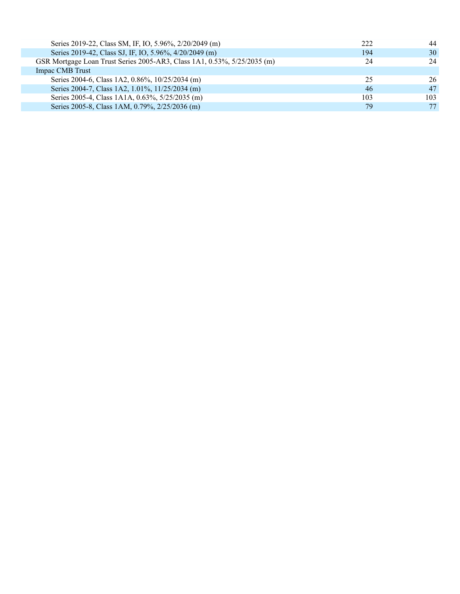| Series 2019-22, Class SM, IF, IO, 5.96%, 2/20/2049 (m)                   | 222 | 44  |
|--------------------------------------------------------------------------|-----|-----|
| Series 2019-42, Class SJ, IF, IO, 5.96%, 4/20/2049 (m)                   | 194 | 30  |
| GSR Mortgage Loan Trust Series 2005-AR3, Class 1A1, 0.53%, 5/25/2035 (m) | 24  | 24  |
| Impac CMB Trust                                                          |     |     |
| Series 2004-6, Class 1A2, 0.86%, 10/25/2034 (m)                          | 25  | 26  |
| Series 2004-7, Class 1A2, 1.01%, 11/25/2034 (m)                          | 46  | 47  |
| Series 2005-4, Class 1A1A, 0.63%, 5/25/2035 (m)                          | 103 | 103 |
| Series 2005-8, Class 1AM, 0.79%, 2/25/2036 (m)                           | 79  | 77  |
|                                                                          |     |     |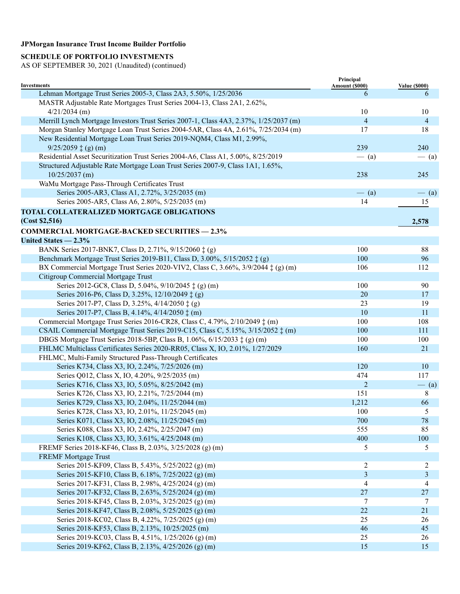## **SCHEDULE OF PORTFOLIO INVESTMENTS**

| <b>Investments</b>                                                                    | Principal<br>Amount (\$000) | <b>Value (\$000)</b> |
|---------------------------------------------------------------------------------------|-----------------------------|----------------------|
| Lehman Mortgage Trust Series 2005-3, Class 2A3, 5.50%, 1/25/2036                      | 6                           | 6                    |
| MASTR Adjustable Rate Mortgages Trust Series 2004-13, Class 2A1, 2.62%,               |                             |                      |
| $4/21/2034$ (m)                                                                       | 10                          | 10                   |
| Merrill Lynch Mortgage Investors Trust Series 2007-1, Class 4A3, 2.37%, 1/25/2037 (m) | $\overline{4}$              | $\overline{4}$       |
| Morgan Stanley Mortgage Loan Trust Series 2004-5AR, Class 4A, 2.61%, 7/25/2034 (m)    | 17                          | 18                   |
| New Residential Mortgage Loan Trust Series 2019-NQM4, Class M1, 2.99%,                |                             |                      |
| $9/25/2059 \ddagger (g) (m)$                                                          | 239                         | 240                  |
| Residential Asset Securitization Trust Series 2004-A6, Class A1, 5.00%, 8/25/2019     | $-$ (a)                     | $-$ (a)              |
| Structured Adjustable Rate Mortgage Loan Trust Series 2007-9, Class 1A1, 1.65%,       |                             |                      |
| $10/25/2037$ (m)                                                                      | 238                         | 245                  |
| WaMu Mortgage Pass-Through Certificates Trust                                         |                             |                      |
| Series 2005-AR3, Class A1, 2.72%, 3/25/2035 (m)                                       | $-$ (a)                     | $-$ (a)              |
| Series 2005-AR5, Class A6, 2.80%, 5/25/2035 (m)                                       | 14                          | 15                   |
| TOTAL COLLATERALIZED MORTGAGE OBLIGATIONS                                             |                             |                      |
| (Cost \$2,516)                                                                        |                             | 2,578                |
| <b>COMMERCIAL MORTGAGE-BACKED SECURITIES - 2.3%</b>                                   |                             |                      |
| United States $-2.3%$                                                                 |                             |                      |
| BANK Series 2017-BNK7, Class D, 2.71%, 9/15/2060 $\ddagger$ (g)                       | 100                         | 88                   |
| Benchmark Mortgage Trust Series 2019-B11, Class D, 3.00%, 5/15/2052 ‡ (g)             | 100                         | 96                   |
| BX Commercial Mortgage Trust Series 2020-VIV2, Class C, 3.66%, 3/9/2044 ‡ (g) (m)     | 106                         | 112                  |
| Citigroup Commercial Mortgage Trust                                                   |                             |                      |
| Series 2012-GC8, Class D, 5.04%, 9/10/2045 ‡ (g) (m)                                  | 100                         | 90                   |
| Series 2016-P6, Class D, 3.25%, 12/10/2049 ‡ (g)                                      | 20                          | 17                   |
| Series 2017-P7, Class D, 3.25%, 4/14/2050 ‡ (g)                                       | 23                          | 19                   |
| Series 2017-P7, Class B, 4.14%, 4/14/2050 ‡ (m)                                       | 10                          | 11                   |
| Commercial Mortgage Trust Series 2016-CR28, Class C, 4.79%, 2/10/2049 $\dagger$ (m)   | 100                         | 108                  |
| CSAIL Commercial Mortgage Trust Series 2019-C15, Class C, 5.15%, 3/15/2052 ‡ (m)      | 100                         | 111                  |
| DBGS Mortgage Trust Series 2018-5BP, Class B, 1.06%, 6/15/2033 ‡ (g) (m)              | 100                         | 100                  |
| FHLMC Multiclass Certificates Series 2020-RR05, Class X, IO, 2.01%, 1/27/2029         | 160                         | 21                   |
| FHLMC, Multi-Family Structured Pass-Through Certificates                              |                             |                      |
| Series K734, Class X3, IO, 2.24%, 7/25/2026 (m)                                       | 120                         | 10                   |
| Series Q012, Class X, IO, 4.20%, 9/25/2035 (m)                                        | 474                         | 117                  |
| Series K716, Class X3, IO, 5.05%, 8/25/2042 (m)                                       | 2                           | $-$ (a)              |
| Series K726, Class X3, IO, 2.21%, 7/25/2044 (m)                                       | 151                         | 8                    |
| Series K729, Class X3, IO, 2.04%, 11/25/2044 (m)                                      | 1,212                       | 66                   |
| Series K728, Class X3, IO, 2.01%, 11/25/2045 (m)                                      | 100                         | 5                    |
| Series K071, Class X3, IO, 2.08%, 11/25/2045 (m)                                      | 700                         | 78                   |
| Series K088, Class X3, IO, 2.42%, 2/25/2047 (m)                                       | 555                         | 85                   |
| Series K108, Class X3, IO, 3.61%, 4/25/2048 (m)                                       | 400                         | 100                  |
| FREMF Series 2018-KF46, Class B, 2.03%, 3/25/2028 (g) (m)                             | 5                           | 5                    |
| <b>FREMF</b> Mortgage Trust                                                           |                             |                      |
| Series 2015-KF09, Class B, 5.43%, 5/25/2022 (g) (m)                                   | 2                           | 2                    |
| Series 2015-KF10, Class B, 6.18%, 7/25/2022 (g) (m)                                   | 3                           | 3                    |
| Series 2017-KF31, Class B, 2.98%, 4/25/2024 (g) (m)                                   | 4                           | 4                    |
| Series 2017-KF32, Class B, 2.63%, 5/25/2024 (g) (m)                                   | $27\,$                      | 27                   |
| Series 2018-KF45, Class B, 2.03%, 3/25/2025 (g) (m)                                   | 7                           | 7                    |
| Series 2018-KF47, Class B, 2.08%, 5/25/2025 (g) (m)                                   | 22                          | 21                   |
| Series 2018-KC02, Class B, 4.22%, 7/25/2025 (g) (m)                                   | 25                          | 26                   |
| Series 2018-KF53, Class B, 2.13%, 10/25/2025 (m)                                      | 46                          | 45                   |
| Series 2019-KC03, Class B, 4.51%, 1/25/2026 (g) (m)                                   | 25                          | 26                   |
| Series 2019-KF62, Class B, 2.13%, 4/25/2026 (g) (m)                                   | 15                          | 15                   |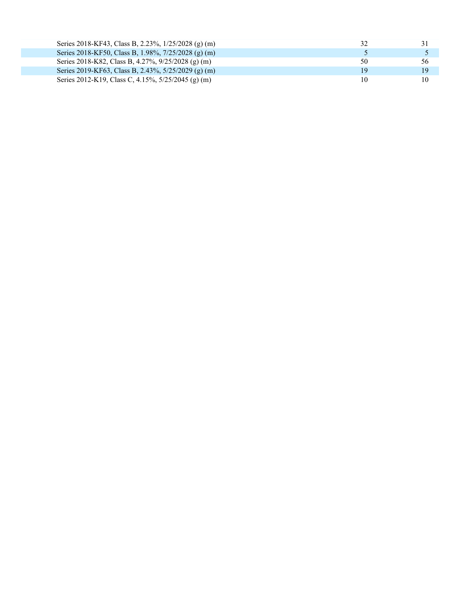| Series 2018-KF43, Class B, 2.23%, 1/25/2028 (g) (m) | 32 |    |
|-----------------------------------------------------|----|----|
| Series 2018-KF50, Class B, 1.98%, 7/25/2028 (g) (m) |    |    |
| Series 2018-K82, Class B, 4.27%, 9/25/2028 (g) (m)  | 50 | 56 |
| Series 2019-KF63, Class B, 2.43%, 5/25/2029 (g) (m) | 19 | 19 |
| Series 2012-K19, Class C, 4.15%, 5/25/2045 (g) (m)  | 10 | 10 |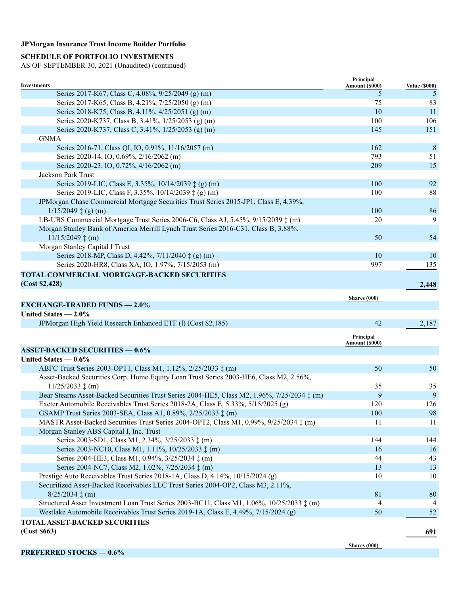### **SCHEDULE OF PORTFOLIO INVESTMENTS**

AS OF SEPTEMBER 30, 2021 (Unaudited) (continued)

| <b>Investments</b>                                                                                  | Principal<br>Amount (\$000) | <b>Value (\$000)</b> |
|-----------------------------------------------------------------------------------------------------|-----------------------------|----------------------|
| Series 2017-K67, Class C, 4.08%, 9/25/2049 (g) (m)                                                  | 5                           | 5                    |
| Series 2017-K65, Class B, 4.21%, 7/25/2050 (g) (m)                                                  | 75                          | 83                   |
| Series 2018-K75, Class B, 4.11%, 4/25/2051 (g) (m)                                                  | 10                          | 11                   |
| Series 2020-K737, Class B, 3.41%, 1/25/2053 (g) (m)                                                 | 100                         | 106                  |
| Series 2020-K737, Class C, 3.41%, 1/25/2053 (g) (m)                                                 | 145                         | 151                  |
| <b>GNMA</b>                                                                                         |                             |                      |
| Series 2016-71, Class QI, IO, 0.91%, 11/16/2057 (m)                                                 | 162                         | $8\phantom{.}8$      |
| Series 2020-14, IO, 0.69%, 2/16/2062 (m)                                                            | 793                         | 51                   |
| Series 2020-23, IO, 0.72%, 4/16/2062 (m)                                                            | 209                         | 15                   |
| Jackson Park Trust                                                                                  |                             |                      |
| Series 2019-LIC, Class E, 3.35%, 10/14/2039 ‡ (g) (m)                                               | 100                         | 92                   |
| Series 2019-LIC, Class F, 3.35%, 10/14/2039 ‡ (g) (m)                                               | 100                         | 88                   |
| JPMorgan Chase Commercial Mortgage Securities Trust Series 2015-JP1, Class E, 4.39%,                |                             |                      |
| $1/15/2049 \ddagger (g) (m)$                                                                        | 100                         | 86                   |
| LB-UBS Commercial Mortgage Trust Series 2006-C6, Class AJ, 5.45%, 9/15/2039 $\ddagger$ (m)          | 20                          | 9                    |
| Morgan Stanley Bank of America Merrill Lynch Trust Series 2016-C31, Class B, 3.88%,                 |                             |                      |
| $11/15/2049 \ddagger (m)$                                                                           | 50                          | 54                   |
| Morgan Stanley Capital I Trust                                                                      |                             |                      |
| Series 2018-MP, Class D, 4.42%, 7/11/2040 $\ddagger$ (g) (m)                                        | 10                          | 10                   |
| Series 2020-HR8, Class XA, IO, 1.97%, 7/15/2053 (m)                                                 | 997                         | 135                  |
| <b>TOTAL COMMERCIAL MORTGAGE-BACKED SECURITIES</b>                                                  |                             |                      |
| (Cost \$2,428)                                                                                      |                             | 2,448                |
|                                                                                                     |                             |                      |
| <b>EXCHANGE-TRADED FUNDS - 2.0%</b>                                                                 | Shares (000)                |                      |
| United States - 2.0%                                                                                |                             |                      |
| JPMorgan High Yield Research Enhanced ETF (1) (Cost \$2,185)                                        | 42                          | 2,187                |
|                                                                                                     |                             |                      |
|                                                                                                     | Principal<br>Amount (\$000) |                      |
| <b>ASSET-BACKED SECURITIES - 0.6%</b>                                                               |                             |                      |
| United States $-0.6\%$                                                                              |                             |                      |
| ABFC Trust Series 2003-OPT1, Class M1, 1.12%, 2/25/2033 ‡ (m)                                       | 50                          | 50                   |
| Asset-Backed Securities Corp. Home Equity Loan Trust Series 2003-HE6, Class M2, 2.56%,              |                             |                      |
| $11/25/2033 \t{+}$ (m)                                                                              | 35                          | 35                   |
| Bear Stearns Asset-Backed Securities Trust Series 2004-HE5, Class M2, 1.96%, 7/25/2034 ‡ (m)        | 9                           | 9                    |
| Exeter Automobile Receivables Trust Series 2018-2A, Class E, 5.33%, 5/15/2025 (g)                   | 120                         | 126                  |
| GSAMP Trust Series 2003-SEA, Class A1, 0.89%, 2/25/2033 ‡ (m)                                       | 100                         | 98                   |
| MASTR Asset-Backed Securities Trust Series 2004-OPT2, Class M1, 0.99%, 9/25/2034 $\ddagger$ (m)     | 11                          | 11                   |
| Morgan Stanley ABS Capital I, Inc. Trust                                                            |                             |                      |
| Series 2003-SD1, Class M1, 2.34%, 3/25/2033 ‡ (m)                                                   | 144                         | 144                  |
| Series 2003-NC10, Class M1, 1.11%, 10/25/2033 ‡ (m)                                                 | 16                          | 16                   |
| Series 2004-HE3, Class M1, 0.94%, 3/25/2034 $\ddagger$ (m)                                          | 44                          | 43                   |
| Series 2004-NC7, Class M2, 1.02%, 7/25/2034 $\ddagger$ (m)                                          | 13                          | 13                   |
| Prestige Auto Receivables Trust Series 2018-1A, Class D, 4.14%, 10/15/2024 (g)                      | 10                          | 10                   |
| Securitized Asset-Backed Receivables LLC Trust Series 2004-OP2, Class M3, 2.11%,                    |                             |                      |
| $8/25/2034 \ddagger (m)$                                                                            | 81                          | 80                   |
| Structured Asset Investment Loan Trust Series 2003-BC11, Class M1, 1.06%, 10/25/2033 $\ddagger$ (m) | 4                           | 4                    |
| Westlake Automobile Receivables Trust Series 2019-1A, Class E, 4.49%, 7/15/2024 (g)                 | 50                          | 52                   |
| <b>TOTAL ASSET-BACKED SECURITIES</b>                                                                |                             |                      |
| (Cost \$663)                                                                                        |                             | 691                  |
|                                                                                                     | <b>Change (000)</b>         |                      |

**Shares (000)**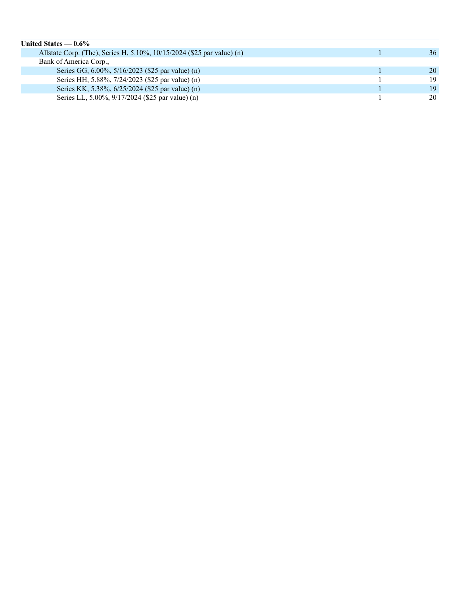| United States $-0.6\%$                                                 |    |
|------------------------------------------------------------------------|----|
| Allstate Corp. (The), Series H, 5.10%, 10/15/2024 (\$25 par value) (n) | 36 |
| Bank of America Corp.,                                                 |    |
| Series GG, 6.00%, 5/16/2023 (\$25 par value) (n)                       | 20 |
| Series HH, 5.88%, 7/24/2023 (\$25 par value) (n)                       | 19 |
| Series KK, 5.38%, 6/25/2024 (\$25 par value) (n)                       | 19 |
| Series LL, 5.00%, 9/17/2024 (\$25 par value) (n)                       | 20 |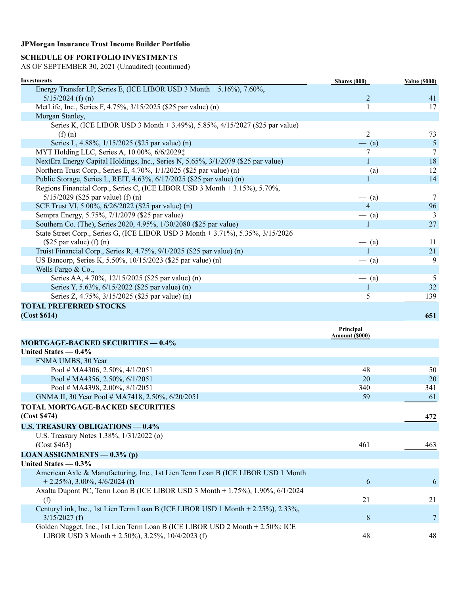### **SCHEDULE OF PORTFOLIO INVESTMENTS**

| <b>Investments</b>                                                                | Shares $(000)$                     | <b>Value (\$000)</b> |
|-----------------------------------------------------------------------------------|------------------------------------|----------------------|
| Energy Transfer LP, Series E, (ICE LIBOR USD 3 Month + 5.16%), 7.60%,             |                                    |                      |
| $5/15/2024$ (f) (n)                                                               | $\overline{2}$                     | 41                   |
| MetLife, Inc., Series F, 4.75%, 3/15/2025 (\$25 par value) (n)                    | 1                                  | 17                   |
| Morgan Stanley,                                                                   |                                    |                      |
| Series K, (ICE LIBOR USD 3 Month + 3.49%), 5.85%, 4/15/2027 (\$25 par value)      |                                    |                      |
| (f)(n)                                                                            | $\overline{2}$                     | 73                   |
| Series L, 4.88%, 1/15/2025 (\$25 par value) (n)                                   | $-$ (a)                            | $\mathfrak{S}$       |
| MYT Holding LLC, Series A, 10.00%, 6/6/2029‡                                      | $\tau$                             | $7\overline{ }$      |
| NextEra Energy Capital Holdings, Inc., Series N, 5.65%, 3/1/2079 (\$25 par value) | $\mathbf{1}$                       | 18                   |
| Northern Trust Corp., Series E, 4.70%, 1/1/2025 (\$25 par value) (n)              | $-$ (a)                            | 12                   |
| Public Storage, Series L, REIT, 4.63%, 6/17/2025 (\$25 par value) (n)             |                                    | 14                   |
| Regions Financial Corp., Series C, (ICE LIBOR USD 3 Month + 3.15%), 5.70%,        |                                    |                      |
| $5/15/2029$ (\$25 par value) (f) (n)                                              | $-$ (a)                            | $\overline{7}$       |
| SCE Trust VI, 5.00%, 6/26/2022 (\$25 par value) (n)                               | $\overline{4}$                     | 96                   |
| Sempra Energy, 5.75%, 7/1/2079 (\$25 par value)                                   | $-$ (a)                            | 3                    |
| Southern Co. (The), Series 2020, 4.95%, 1/30/2080 (\$25 par value)                | 1                                  | 27                   |
| State Street Corp., Series G, (ICE LIBOR USD 3 Month + 3.71%), 5.35%, 3/15/2026   |                                    |                      |
| $(\$25$ par value) $(f)(n)$                                                       | $-$ (a)                            | 11                   |
| Truist Financial Corp., Series R, 4.75%, 9/1/2025 (\$25 par value) (n)            | $\mathbf{1}$                       | 21                   |
| US Bancorp, Series K, 5.50%, 10/15/2023 (\$25 par value) (n)                      | $-$ (a)                            | 9                    |
| Wells Fargo & Co.,                                                                |                                    |                      |
| Series AA, 4.70%, 12/15/2025 (\$25 par value) (n)                                 | $-$ (a)                            | 5                    |
| Series Y, 5.63%, 6/15/2022 (\$25 par value) (n)                                   | -1                                 | 32                   |
| Series Z, 4.75%, 3/15/2025 (\$25 par value) (n)                                   | 5                                  | 139                  |
| <b>TOTAL PREFERRED STOCKS</b>                                                     |                                    |                      |
| (Cost \$614)                                                                      |                                    | 651                  |
|                                                                                   |                                    |                      |
|                                                                                   | Principal<br><b>Amount (\$000)</b> |                      |
| <b>MORTGAGE-BACKED SECURITIES - 0.4%</b>                                          |                                    |                      |
| United States $-0.4\%$                                                            |                                    |                      |
| FNMA UMBS, 30 Year                                                                |                                    |                      |
| Pool # MA4306, 2.50%, $4/1/2051$                                                  | 48                                 | 50                   |
| Pool # MA4356, 2.50%, $6/1/2051$                                                  | 20                                 | 20                   |
| Pool # MA4398, 2.00%, 8/1/2051                                                    | 340                                | 341                  |

| Pool # MA4398, 2.00%, $8/1/2051$                   | 340 | 341 |
|----------------------------------------------------|-----|-----|
| GNMA II, 30 Year Pool # MA7418, 2.50%, $6/20/2051$ | 59  | 61  |
| <b>TOTAL MORTGAGE-BACKED SECURITIES</b>            |     |     |
| (Cost S474)                                        |     | 472 |

| <b>U.S. TREASURY OBLIGATIONS — 0.4%</b>                                          |     |     |
|----------------------------------------------------------------------------------|-----|-----|
| U.S. Treasury Notes 1.38%, 1/31/2022 (o)                                         |     |     |
| (Cost \$463)                                                                     | 461 | 463 |
| LOAN ASSIGNMENTS $-$ 0.3% (p)                                                    |     |     |
| United States $-0.3\%$                                                           |     |     |
| American Axle & Manufacturing, Inc., 1st Lien Term Loan B (ICE LIBOR USD 1 Month |     |     |
| $+2.25\%, 3.00\%, 4/6/2024$ (f)                                                  | 6   | 6   |
| Axalta Dupont PC, Term Loan B (ICE LIBOR USD 3 Month + 1.75%), 1.90%, 6/1/2024   |     |     |
| (f)                                                                              | 21  | 21  |
| CenturyLink, Inc., 1st Lien Term Loan B (ICE LIBOR USD 1 Month + 2.25%), 2.33%,  |     |     |
| $3/15/2027$ (f)                                                                  | 8   |     |
| Golden Nugget, Inc., 1st Lien Term Loan B (ICE LIBOR USD 2 Month + 2.50%; ICE    |     |     |
| LIBOR USD 3 Month + 2.50%), 3.25%, 10/4/2023 (f)                                 | 48  | 48  |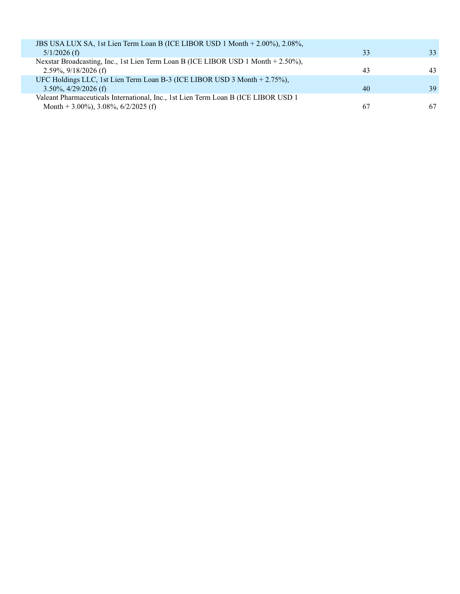| JBS USA LUX SA, 1st Lien Term Loan B (ICE LIBOR USD 1 Month + 2.00%), 2.08%,        |    |    |
|-------------------------------------------------------------------------------------|----|----|
| $5/1/2026$ (f)                                                                      | 33 | 33 |
| Nexstar Broadcasting, Inc., 1st Lien Term Loan B (ICE LIBOR USD 1 Month + 2.50%),   |    |    |
| 2.59%, $9/18/2026$ (f)                                                              | 43 | 43 |
| UFC Holdings LLC, 1st Lien Term Loan B-3 (ICE LIBOR USD 3 Month + 2.75%),           |    |    |
| $3.50\%$ , 4/29/2026 (f)                                                            | 40 | 39 |
| Valeant Pharmaceuticals International, Inc., 1st Lien Term Loan B (ICE LIBOR USD 1) |    |    |
| Month + 3.00%), 3.08%, $6/2/2025$ (f)                                               | 67 | 67 |
|                                                                                     |    |    |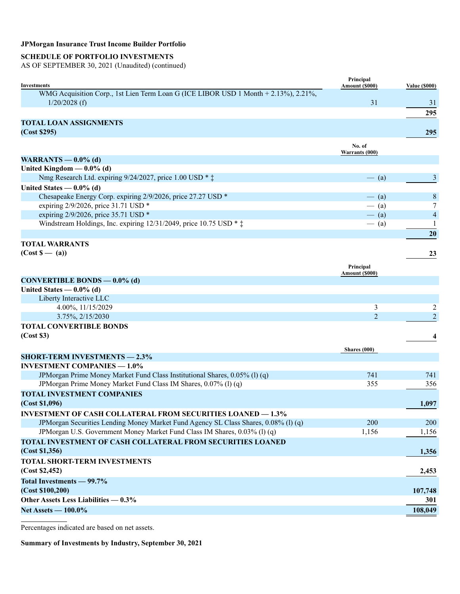### **SCHEDULE OF PORTFOLIO INVESTMENTS**

AS OF SEPTEMBER 30, 2021 (Unaudited) (continued)

| Investments                                                                         | Principal<br>Amount (\$000) | <b>Value (\$000)</b> |
|-------------------------------------------------------------------------------------|-----------------------------|----------------------|
| WMG Acquisition Corp., 1st Lien Term Loan G (ICE LIBOR USD 1 Month + 2.13%), 2.21%, |                             |                      |
| $1/20/2028$ (f)                                                                     | 31                          | 31                   |
|                                                                                     |                             | 295                  |
| <b>TOTAL LOAN ASSIGNMENTS</b>                                                       |                             |                      |
| (Cost \$295)                                                                        |                             | 295                  |
|                                                                                     |                             |                      |
|                                                                                     | No. of                      |                      |
| WARRANTS $-$ 0.0% (d)                                                               | Warrants (000)              |                      |
| United Kingdom $-$ 0.0% (d)                                                         |                             |                      |
| Nmg Research Ltd. expiring 9/24/2027, price 1.00 USD * $\ddagger$                   | $-$ (a)                     | 3                    |
| United States $-0.0\%$ (d)                                                          |                             |                      |
| Chesapeake Energy Corp. expiring 2/9/2026, price 27.27 USD *                        | $-$ (a)                     | 8                    |
| expiring 2/9/2026, price 31.71 USD *                                                | $-$ (a)                     | 7                    |
| expiring 2/9/2026, price 35.71 USD *                                                | $-$ (a)                     | $\overline{4}$       |
| Windstream Holdings, Inc. expiring $12/31/2049$ , price $10.75$ USD $*$ $\ddagger$  | $-$ (a)                     | 1                    |
|                                                                                     |                             | 20                   |
|                                                                                     |                             |                      |
| <b>TOTAL WARRANTS</b>                                                               |                             |                      |
| $(Cost \S - (a))$                                                                   |                             | 23                   |
|                                                                                     | Principal                   |                      |
|                                                                                     | Amount (\$000)              |                      |
| CONVERTIBLE BONDS $-0.0\%$ (d)                                                      |                             |                      |
| United States $-0.0\%$ (d)                                                          |                             |                      |
| Liberty Interactive LLC<br>4.00%, 11/15/2029                                        |                             |                      |
| 3.75%, 2/15/2030                                                                    | 3<br>$\overline{2}$         | 2<br>$\overline{c}$  |
|                                                                                     |                             |                      |
| <b>TOTAL CONVERTIBLE BONDS</b>                                                      |                             |                      |
| (Cost \$3)                                                                          |                             | 4                    |
|                                                                                     | Shares (000)                |                      |
| <b>SHORT-TERM INVESTMENTS - 2.3%</b>                                                |                             |                      |
| <b>INVESTMENT COMPANIES - 1.0%</b>                                                  |                             |                      |
| JPMorgan Prime Money Market Fund Class Institutional Shares, 0.05% (l) (q)          | 741                         | 741                  |
| JPMorgan Prime Money Market Fund Class IM Shares, 0.07% (1) (q)                     | 355                         | 356                  |
| TOTAL INVESTMENT COMPANIES                                                          |                             |                      |
| (Cost \$1,096)                                                                      |                             | 1,097                |
| <b>INVESTMENT OF CASH COLLATERAL FROM SECURITIES LOANED - 1.3%</b>                  |                             |                      |
| JPMorgan Securities Lending Money Market Fund Agency SL Class Shares, 0.08% (1) (q) | 200                         | 200                  |
| JPMorgan U.S. Government Money Market Fund Class IM Shares, 0.03% (l) (q)           | 1,156                       | 1,156                |
| TOTAL INVESTMENT OF CASH COLLATERAL FROM SECURITIES LOANED                          |                             |                      |
| (Cost \$1,356)                                                                      |                             | 1,356                |
| TOTAL SHORT-TERM INVESTMENTS                                                        |                             |                      |
| (Cost \$2,452)                                                                      |                             | 2,453                |
| Total Investments - 99.7%                                                           |                             |                      |
| (Cost \$100, 200)                                                                   |                             |                      |
| Other Assets Less Liabilities - 0.3%                                                |                             | 107,748              |
|                                                                                     |                             | 301                  |
| Net Assets — 100.0%                                                                 |                             | 108,049              |

Percentages indicated are based on net assets.

**Summary of Investments by Industry, September 30, 2021**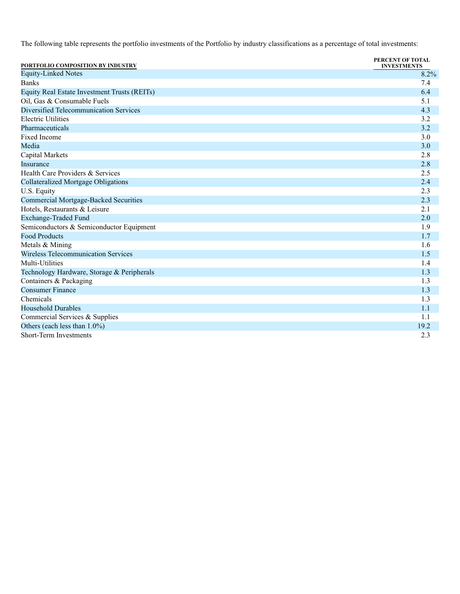The following table represents the portfolio investments of the Portfolio by industry classifications as a percentage of total investments:

| PORTFOLIO COMPOSITION BY INDUSTRY            | PERCENT OF TOTAL<br><b>INVESTMENTS</b> |
|----------------------------------------------|----------------------------------------|
| <b>Equity-Linked Notes</b>                   | $8.2\%$                                |
| <b>Banks</b>                                 | 7.4                                    |
| Equity Real Estate Investment Trusts (REITs) | 6.4                                    |
| Oil, Gas & Consumable Fuels                  | 5.1                                    |
| Diversified Telecommunication Services       | 4.3                                    |
| <b>Electric Utilities</b>                    | 3.2                                    |
| Pharmaceuticals                              | 3.2                                    |
| <b>Fixed Income</b>                          | 3.0                                    |
| Media                                        | 3.0                                    |
| Capital Markets                              | 2.8                                    |
| Insurance                                    | 2.8                                    |
| Health Care Providers & Services             | 2.5                                    |
| Collateralized Mortgage Obligations          | 2.4                                    |
| U.S. Equity                                  | 2.3                                    |
| <b>Commercial Mortgage-Backed Securities</b> | 2.3                                    |
| Hotels, Restaurants & Leisure                | 2.1                                    |
| <b>Exchange-Traded Fund</b>                  | 2.0                                    |
| Semiconductors & Semiconductor Equipment     | 1.9                                    |
| <b>Food Products</b>                         | 1.7                                    |
| Metals & Mining                              | 1.6                                    |
| <b>Wireless Telecommunication Services</b>   | 1.5                                    |
| Multi-Utilities                              | 1.4                                    |
| Technology Hardware, Storage & Peripherals   | 1.3                                    |
| Containers & Packaging                       | 1.3                                    |
| <b>Consumer Finance</b>                      | 1.3                                    |
| Chemicals                                    | 1.3                                    |
| <b>Household Durables</b>                    | 1.1                                    |
| Commercial Services & Supplies               | 1.1                                    |
| Others (each less than 1.0%)                 | 19.2                                   |
| <b>Short-Term Investments</b>                | 2.3                                    |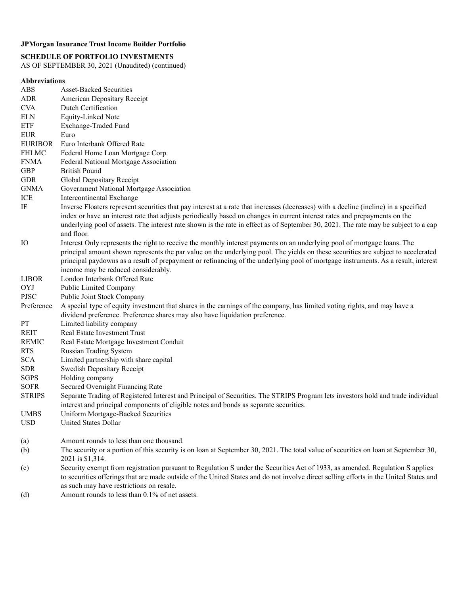### **SCHEDULE OF PORTFOLIO INVESTMENTS**

AS OF SEPTEMBER 30, 2021 (Unaudited) (continued)

## **Abbreviations**

| ABS            | <b>Asset-Backed Securities</b>                                                                                                                                                                                                                                                                                     |
|----------------|--------------------------------------------------------------------------------------------------------------------------------------------------------------------------------------------------------------------------------------------------------------------------------------------------------------------|
| <b>ADR</b>     | American Depositary Receipt                                                                                                                                                                                                                                                                                        |
| <b>CVA</b>     | Dutch Certification                                                                                                                                                                                                                                                                                                |
| <b>ELN</b>     | Equity-Linked Note                                                                                                                                                                                                                                                                                                 |
| <b>ETF</b>     | Exchange-Traded Fund                                                                                                                                                                                                                                                                                               |
| <b>EUR</b>     | Euro                                                                                                                                                                                                                                                                                                               |
| <b>EURIBOR</b> | Euro Interbank Offered Rate                                                                                                                                                                                                                                                                                        |
| <b>FHLMC</b>   | Federal Home Loan Mortgage Corp.                                                                                                                                                                                                                                                                                   |
| <b>FNMA</b>    | Federal National Mortgage Association                                                                                                                                                                                                                                                                              |
| <b>GBP</b>     | <b>British Pound</b>                                                                                                                                                                                                                                                                                               |
| <b>GDR</b>     | Global Depositary Receipt                                                                                                                                                                                                                                                                                          |
| <b>GNMA</b>    | Government National Mortgage Association                                                                                                                                                                                                                                                                           |
| ICE            | Intercontinental Exchange                                                                                                                                                                                                                                                                                          |
| $_{\rm IF}$    | Inverse Floaters represent securities that pay interest at a rate that increases (decreases) with a decline (incline) in a specified                                                                                                                                                                               |
|                | index or have an interest rate that adjusts periodically based on changes in current interest rates and prepayments on the                                                                                                                                                                                         |
|                | underlying pool of assets. The interest rate shown is the rate in effect as of September 30, 2021. The rate may be subject to a cap                                                                                                                                                                                |
|                | and floor.                                                                                                                                                                                                                                                                                                         |
| IO             | Interest Only represents the right to receive the monthly interest payments on an underlying pool of mortgage loans. The                                                                                                                                                                                           |
|                | principal amount shown represents the par value on the underlying pool. The yields on these securities are subject to accelerated                                                                                                                                                                                  |
|                | principal paydowns as a result of prepayment or refinancing of the underlying pool of mortgage instruments. As a result, interest                                                                                                                                                                                  |
|                | income may be reduced considerably.                                                                                                                                                                                                                                                                                |
| <b>LIBOR</b>   | London Interbank Offered Rate                                                                                                                                                                                                                                                                                      |
| OYJ            | Public Limited Company                                                                                                                                                                                                                                                                                             |
| <b>PJSC</b>    | Public Joint Stock Company                                                                                                                                                                                                                                                                                         |
| Preference     | A special type of equity investment that shares in the earnings of the company, has limited voting rights, and may have a                                                                                                                                                                                          |
|                | dividend preference. Preference shares may also have liquidation preference.                                                                                                                                                                                                                                       |
| <b>PT</b>      | Limited liability company                                                                                                                                                                                                                                                                                          |
| <b>REIT</b>    | Real Estate Investment Trust                                                                                                                                                                                                                                                                                       |
| <b>REMIC</b>   | Real Estate Mortgage Investment Conduit                                                                                                                                                                                                                                                                            |
| <b>RTS</b>     | <b>Russian Trading System</b>                                                                                                                                                                                                                                                                                      |
| <b>SCA</b>     | Limited partnership with share capital                                                                                                                                                                                                                                                                             |
| <b>SDR</b>     | <b>Swedish Depositary Receipt</b>                                                                                                                                                                                                                                                                                  |
| <b>SGPS</b>    | Holding company                                                                                                                                                                                                                                                                                                    |
| <b>SOFR</b>    | Secured Overnight Financing Rate                                                                                                                                                                                                                                                                                   |
| <b>STRIPS</b>  | Separate Trading of Registered Interest and Principal of Securities. The STRIPS Program lets investors hold and trade individual                                                                                                                                                                                   |
|                | interest and principal components of eligible notes and bonds as separate securities.                                                                                                                                                                                                                              |
| <b>UMBS</b>    | Uniform Mortgage-Backed Securities                                                                                                                                                                                                                                                                                 |
| <b>USD</b>     | <b>United States Dollar</b>                                                                                                                                                                                                                                                                                        |
| (a)            | Amount rounds to less than one thousand.                                                                                                                                                                                                                                                                           |
| (b)            | The security or a portion of this security is on loan at September 30, 2021. The total value of securities on loan at September 30,<br>2021 is \$1,314.                                                                                                                                                            |
| (c)            | Security exempt from registration pursuant to Regulation S under the Securities Act of 1933, as amended. Regulation S applies<br>to securities offerings that are made outside of the United States and do not involve direct selling efforts in the United States and<br>as such may have restrictions on resale. |
| (A)            | $\Delta$ mount rounds to less than $0.1\%$ of net assets                                                                                                                                                                                                                                                           |

(d) Amount rounds to less than 0.1% of net assets.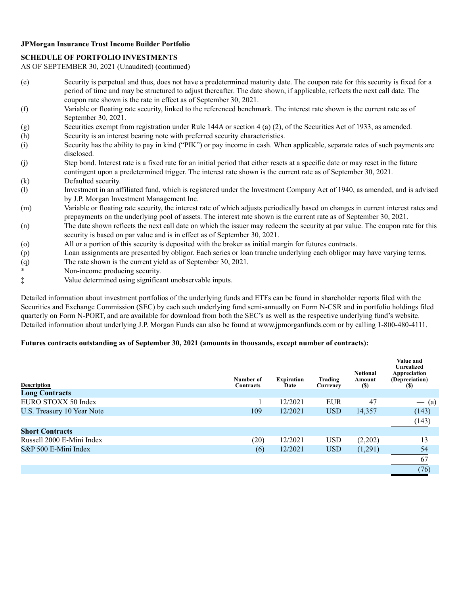#### **SCHEDULE OF PORTFOLIO INVESTMENTS**

AS OF SEPTEMBER 30, 2021 (Unaudited) (continued)

- (e) Security is perpetual and thus, does not have a predetermined maturity date. The coupon rate for this security is fixed for a period of time and may be structured to adjust thereafter. The date shown, if applicable, reflects the next call date. The coupon rate shown is the rate in effect as of September 30, 2021.
- (f) Variable or floating rate security, linked to the referenced benchmark. The interest rate shown is the current rate as of September 30, 2021.
- (g) Securities exempt from registration under Rule 144A or section 4 (a) (2), of the Securities Act of 1933, as amended.
- (h) Security is an interest bearing note with preferred security characteristics.
- (i) Security has the ability to pay in kind ("PIK") or pay income in cash. When applicable, separate rates of such payments are disclosed.
- (j) Step bond. Interest rate is a fixed rate for an initial period that either resets at a specific date or may reset in the future contingent upon a predetermined trigger. The interest rate shown is the current rate as of September 30, 2021.
- (k) Defaulted security.
- (l) Investment in an affiliated fund, which is registered under the Investment Company Act of 1940, as amended, and is advised by J.P. Morgan Investment Management Inc.
- (m) Variable or floating rate security, the interest rate of which adjusts periodically based on changes in current interest rates and prepayments on the underlying pool of assets. The interest rate shown is the current rate as of September 30, 2021.
- (n) The date shown reflects the next call date on which the issuer may redeem the security at par value. The coupon rate for this security is based on par value and is in effect as of September 30, 2021.
- (o) All or a portion of this security is deposited with the broker as initial margin for futures contracts.
- (p) Loan assignments are presented by obligor. Each series or loan tranche underlying each obligor may have varying terms.
- (q) The rate shown is the current yield as of September 30, 2021.
- \* Non-income producing security.
- ‡ Value determined using significant unobservable inputs.

Detailed information about investment portfolios of the underlying funds and ETFs can be found in shareholder reports filed with the Securities and Exchange Commission (SEC) by each such underlying fund semi-annually on Form N-CSR and in portfolio holdings filed quarterly on Form N-PORT, and are available for download from both the SEC's as well as the respective underlying fund's website. Detailed information about underlying J.P. Morgan Funds can also be found at www.jpmorganfunds.com or by calling 1-800-480-4111.

#### **Futures contracts outstanding as of September 30, 2021 (amounts in thousands, except number of contracts):**

| <b>Description</b>         | Number of<br>Contracts | <b>Expiration</b><br>Date | Trading<br>Currency | <b>Notional</b><br>Amount<br>(\$) | Value and<br><b>Unrealized</b><br>Appreciation<br>(Depreciation)<br><b>(\$)</b> |
|----------------------------|------------------------|---------------------------|---------------------|-----------------------------------|---------------------------------------------------------------------------------|
| <b>Long Contracts</b>      |                        |                           |                     |                                   |                                                                                 |
| EURO STOXX 50 Index        |                        | 12/2021                   | <b>EUR</b>          | 47                                | $-$ (a)                                                                         |
| U.S. Treasury 10 Year Note | 109                    | 12/2021                   | <b>USD</b>          | 14,357                            | (143)                                                                           |
|                            |                        |                           |                     |                                   | (143)                                                                           |
| <b>Short Contracts</b>     |                        |                           |                     |                                   |                                                                                 |
| Russell 2000 E-Mini Index  | (20)                   | 12/2021                   | <b>USD</b>          | (2,202)                           | 13                                                                              |
| S&P 500 E-Mini Index       | (6)                    | 12/2021                   | <b>USD</b>          | (1,291)                           | 54                                                                              |
|                            |                        |                           |                     |                                   | 67                                                                              |
|                            |                        |                           |                     |                                   | (76)                                                                            |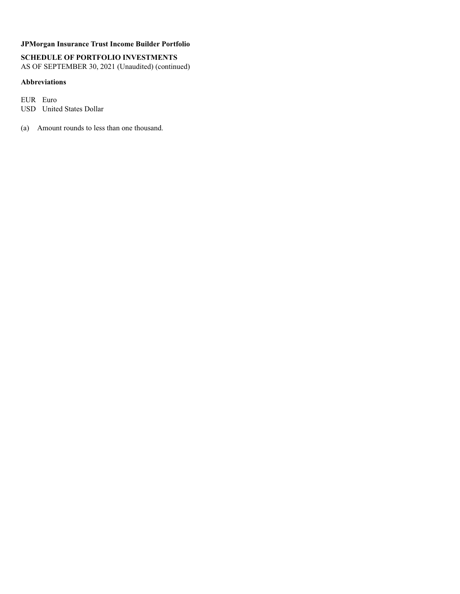### **SCHEDULE OF PORTFOLIO INVESTMENTS**

AS OF SEPTEMBER 30, 2021 (Unaudited) (continued)

#### **Abbreviations**

EUR Euro USD United States Dollar

(a) Amount rounds to less than one thousand.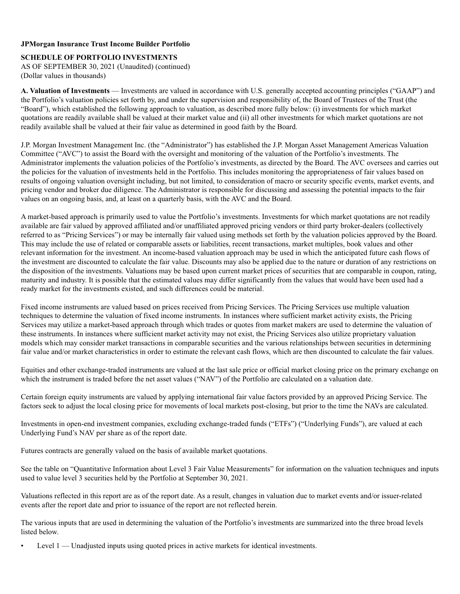#### **SCHEDULE OF PORTFOLIO INVESTMENTS**

AS OF SEPTEMBER 30, 2021 (Unaudited) (continued) (Dollar values in thousands)

**A. Valuation of Investments** — Investments are valued in accordance with U.S. generally accepted accounting principles ("GAAP") and the Portfolio's valuation policies set forth by, and under the supervision and responsibility of, the Board of Trustees of the Trust (the "Board"), which established the following approach to valuation, as described more fully below: (i) investments for which market quotations are readily available shall be valued at their market value and (ii) all other investments for which market quotations are not readily available shall be valued at their fair value as determined in good faith by the Board.

J.P. Morgan Investment Management Inc. (the "Administrator") has established the J.P. Morgan Asset Management Americas Valuation Committee ("AVC") to assist the Board with the oversight and monitoring of the valuation of the Portfolio's investments. The Administrator implements the valuation policies of the Portfolio's investments, as directed by the Board. The AVC oversees and carries out the policies for the valuation of investments held in the Portfolio. This includes monitoring the appropriateness of fair values based on results of ongoing valuation oversight including, but not limited, to consideration of macro or security specific events, market events, and pricing vendor and broker due diligence. The Administrator is responsible for discussing and assessing the potential impacts to the fair values on an ongoing basis, and, at least on a quarterly basis, with the AVC and the Board.

A market-based approach is primarily used to value the Portfolio's investments. Investments for which market quotations are not readily available are fair valued by approved affiliated and/or unaffiliated approved pricing vendors or third party broker-dealers (collectively referred to as "Pricing Services") or may be internally fair valued using methods set forth by the valuation policies approved by the Board. This may include the use of related or comparable assets or liabilities, recent transactions, market multiples, book values and other relevant information for the investment. An income-based valuation approach may be used in which the anticipated future cash flows of the investment are discounted to calculate the fair value. Discounts may also be applied due to the nature or duration of any restrictions on the disposition of the investments. Valuations may be based upon current market prices of securities that are comparable in coupon, rating, maturity and industry. It is possible that the estimated values may differ significantly from the values that would have been used had a ready market for the investments existed, and such differences could be material.

Fixed income instruments are valued based on prices received from Pricing Services. The Pricing Services use multiple valuation techniques to determine the valuation of fixed income instruments. In instances where sufficient market activity exists, the Pricing Services may utilize a market-based approach through which trades or quotes from market makers are used to determine the valuation of these instruments. In instances where sufficient market activity may not exist, the Pricing Services also utilize proprietary valuation models which may consider market transactions in comparable securities and the various relationships between securities in determining fair value and/or market characteristics in order to estimate the relevant cash flows, which are then discounted to calculate the fair values.

Equities and other exchange-traded instruments are valued at the last sale price or official market closing price on the primary exchange on which the instrument is traded before the net asset values ("NAV") of the Portfolio are calculated on a valuation date.

Certain foreign equity instruments are valued by applying international fair value factors provided by an approved Pricing Service. The factors seek to adjust the local closing price for movements of local markets post-closing, but prior to the time the NAVs are calculated.

Investments in open-end investment companies, excluding exchange-traded funds ("ETFs") ("Underlying Funds"), are valued at each Underlying Fund's NAV per share as of the report date.

Futures contracts are generally valued on the basis of available market quotations.

See the table on "Quantitative Information about Level 3 Fair Value Measurements" for information on the valuation techniques and inputs used to value level 3 securities held by the Portfolio at September 30, 2021.

Valuations reflected in this report are as of the report date. As a result, changes in valuation due to market events and/or issuer-related events after the report date and prior to issuance of the report are not reflected herein.

The various inputs that are used in determining the valuation of the Portfolio's investments are summarized into the three broad levels listed below.

• Level 1 — Unadjusted inputs using quoted prices in active markets for identical investments.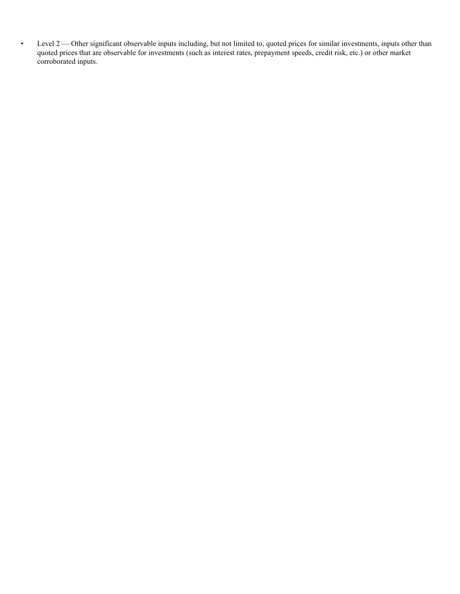• Level 2 — Other significant observable inputs including, but not limited to, quoted prices for similar investments, inputs other than quoted prices that are observable for investments (such as interest rates, prepayment speeds, credit risk, etc.) or other market corroborated inputs.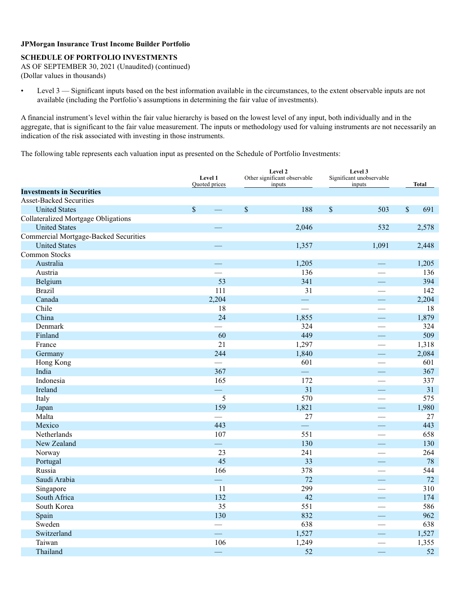## **SCHEDULE OF PORTFOLIO INVESTMENTS**

AS OF SEPTEMBER 30, 2021 (Unaudited) (continued) (Dollar values in thousands)

• Level 3 — Significant inputs based on the best information available in the circumstances, to the extent observable inputs are not available (including the Portfolio's assumptions in determining the fair value of investments).

A financial instrument's level within the fair value hierarchy is based on the lowest level of any input, both individually and in the aggregate, that is significant to the fair value measurement. The inputs or methodology used for valuing instruments are not necessarily an indication of the risk associated with investing in those instruments.

The following table represents each valuation input as presented on the Schedule of Portfolio Investments:

|                                              |              | Level 1<br>Quoted prices | Level 2<br>Other significant observable<br>inputs |                          | Level 3<br>Significant unobservable<br>inputs | <b>Total</b>             |              |       |
|----------------------------------------------|--------------|--------------------------|---------------------------------------------------|--------------------------|-----------------------------------------------|--------------------------|--------------|-------|
| <b>Investments in Securities</b>             |              |                          |                                                   |                          |                                               |                          |              |       |
| <b>Asset-Backed Securities</b>               |              |                          |                                                   |                          |                                               |                          |              |       |
| <b>United States</b>                         | $\mathbb{S}$ | $\equiv$                 | $\mathbb{S}$                                      | 188                      | $\mathbb{S}$                                  | 503                      | $\mathbb{S}$ | 691   |
| <b>Collateralized Mortgage Obligations</b>   |              |                          |                                                   |                          |                                               |                          |              |       |
| <b>United States</b>                         |              |                          |                                                   | 2,046                    |                                               | 532                      |              | 2,578 |
| <b>Commercial Mortgage-Backed Securities</b> |              |                          |                                                   |                          |                                               |                          |              |       |
| <b>United States</b>                         |              |                          |                                                   | 1,357                    |                                               | 1,091                    |              | 2,448 |
| Common Stocks                                |              |                          |                                                   |                          |                                               |                          |              |       |
| Australia                                    |              | $\equiv$                 |                                                   | 1,205                    |                                               | $\overline{\phantom{0}}$ |              | 1,205 |
| Austria                                      |              |                          |                                                   | 136                      |                                               |                          |              | 136   |
| Belgium                                      |              | 53                       |                                                   | 341                      |                                               | $\mathbb{R}^2$           |              | 394   |
| <b>Brazil</b>                                |              | 111                      |                                                   | 31                       |                                               |                          |              | 142   |
| Canada                                       |              | 2,204                    |                                                   | $\overline{\phantom{0}}$ |                                               |                          |              | 2,204 |
| Chile                                        |              | 18                       |                                                   | and a                    |                                               |                          |              | 18    |
| China                                        |              | 24                       |                                                   | 1,855                    |                                               | $\mathbb{R}^n$           |              | 1,879 |
| Denmark                                      |              |                          |                                                   | 324                      |                                               |                          |              | 324   |
| Finland                                      |              | 60                       |                                                   | 449                      |                                               |                          |              | 509   |
| France                                       |              | 21                       |                                                   | 1,297                    |                                               | $\overline{\phantom{a}}$ |              | 1,318 |
| Germany                                      |              | 244                      |                                                   | 1,840                    |                                               | $\frac{1}{2}$            |              | 2,084 |
| Hong Kong                                    |              | $\overline{\phantom{0}}$ |                                                   | 601                      |                                               |                          |              | 601   |
| India                                        |              | 367                      |                                                   | $\overline{\phantom{a}}$ |                                               | $\overline{\phantom{0}}$ |              | 367   |
| Indonesia                                    |              | 165                      |                                                   | 172                      |                                               | $\overline{\phantom{0}}$ |              | 337   |
| Ireland                                      |              | $\frac{1}{1}$            |                                                   | 31                       |                                               |                          |              | 31    |
| Italy                                        |              | 5                        |                                                   | 570                      |                                               |                          |              | 575   |
| Japan                                        |              | 159                      |                                                   | 1,821                    |                                               | $\overline{\phantom{0}}$ |              | 1,980 |
| Malta                                        |              | $\overline{\phantom{0}}$ |                                                   | 27                       |                                               |                          |              | 27    |
| Mexico                                       |              | 443                      |                                                   | $\overline{\phantom{0}}$ |                                               |                          |              | 443   |
| Netherlands                                  |              | 107                      |                                                   | 551                      |                                               | $\overline{\phantom{0}}$ |              | 658   |
| New Zealand                                  |              | $\equiv$                 |                                                   | 130                      |                                               | $\overline{\phantom{a}}$ |              | 130   |
| Norway                                       |              | 23                       |                                                   | 241                      |                                               | $\overline{\phantom{0}}$ |              | 264   |
| Portugal                                     |              | 45                       |                                                   | 33                       |                                               | $\overline{\phantom{0}}$ |              | 78    |
| Russia                                       |              | 166                      |                                                   | 378                      |                                               | $\overline{\phantom{a}}$ |              | 544   |
| Saudi Arabia                                 |              | $\frac{1}{2}$            |                                                   | 72                       |                                               | $\equiv$                 |              | 72    |
| Singapore                                    |              | 11                       |                                                   | 299                      |                                               | $\overline{\phantom{0}}$ |              | 310   |
| South Africa                                 |              | 132                      |                                                   | 42                       |                                               |                          |              | 174   |
| South Korea                                  |              | 35                       |                                                   | 551                      |                                               | $\overline{\phantom{a}}$ |              | 586   |
| Spain                                        |              | 130                      |                                                   | 832                      |                                               | $\mathbb{Z}^2$           |              | 962   |
| Sweden                                       |              | $\qquad \qquad$          |                                                   | 638                      |                                               | $\overline{\phantom{0}}$ |              | 638   |
| Switzerland                                  |              | $\equiv$                 |                                                   | 1,527                    |                                               |                          |              | 1,527 |
| Taiwan                                       |              | 106                      |                                                   | 1,249                    |                                               |                          |              | 1,355 |
| Thailand                                     |              |                          |                                                   | 52                       |                                               |                          |              | 52    |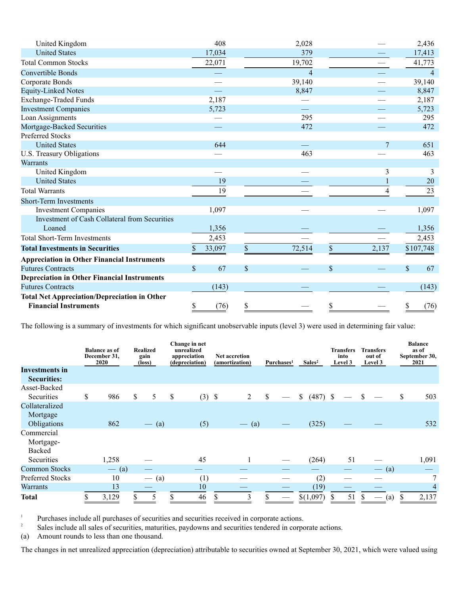| United Kingdom                                      |               | 408    |              | 2,028  |               |                | 2,436              |
|-----------------------------------------------------|---------------|--------|--------------|--------|---------------|----------------|--------------------|
| <b>United States</b>                                |               | 17,034 |              | 379    |               |                | 17,413             |
| <b>Total Common Stocks</b>                          |               | 22,071 |              | 19,702 |               |                | 41,773             |
| <b>Convertible Bonds</b>                            |               |        |              | 4      |               |                | $\overline{4}$     |
| Corporate Bonds                                     |               |        |              | 39,140 |               |                | 39,140             |
| <b>Equity-Linked Notes</b>                          |               |        |              | 8,847  |               |                | 8,847              |
| <b>Exchange-Traded Funds</b>                        |               | 2,187  |              |        |               |                | 2,187              |
| <b>Investment Companies</b>                         |               | 5,723  |              |        |               |                | 5,723              |
| Loan Assignments                                    |               |        |              | 295    |               |                | 295                |
| Mortgage-Backed Securities                          |               |        |              | 472    |               |                | 472                |
| <b>Preferred Stocks</b>                             |               |        |              |        |               |                |                    |
| <b>United States</b>                                |               | 644    |              |        |               | $\overline{7}$ | 651                |
| U.S. Treasury Obligations                           |               |        |              | 463    |               |                | 463                |
| <b>Warrants</b>                                     |               |        |              |        |               |                |                    |
| United Kingdom                                      |               |        |              |        |               | 3              | 3                  |
| <b>United States</b>                                |               | 19     |              |        |               |                | 20                 |
| <b>Total Warrants</b>                               |               | 19     |              |        |               | 4              | 23                 |
| <b>Short-Term Investments</b>                       |               |        |              |        |               |                |                    |
| <b>Investment Companies</b>                         |               | 1,097  |              |        |               |                | 1,097              |
| Investment of Cash Collateral from Securities       |               |        |              |        |               |                |                    |
| Loaned                                              |               | 1,356  |              |        |               |                | 1,356              |
| <b>Total Short-Term Investments</b>                 |               | 2,453  |              |        |               |                | 2,453              |
| <b>Total Investments in Securities</b>              | \$            | 33,097 | $\mathbb{S}$ | 72,514 | \$            | 2,137          | \$107,748          |
| <b>Appreciation in Other Financial Instruments</b>  |               |        |              |        |               |                |                    |
| <b>Futures Contracts</b>                            | $\mathcal{S}$ | 67     | $\mathbb{S}$ |        | $\mathcal{S}$ |                | $\mathbb{S}$<br>67 |
| <b>Depreciation in Other Financial Instruments</b>  |               |        |              |        |               |                |                    |
| <b>Futures Contracts</b>                            |               | (143)  |              |        |               |                | (143)              |
| <b>Total Net Appreciation/Depreciation in Other</b> |               |        |              |        |               |                |                    |
| <b>Financial Instruments</b>                        | S             | (76)   | \$           |        | S             |                | (76)               |

The following is a summary of investments for which significant unobservable inputs (level 3) were used in determining fair value:

| <b>Investments in</b><br><b>Securities:</b> | <b>Balance as of</b><br>December 31,<br>2020 |         | <b>Realized</b><br>gain<br>(loss) |                                 |    | Change in net<br>unrealized<br>appreciation<br>(depreciation) | <b>Net accretion</b><br>(amortization) |    | Purchases <sup>1</sup> | Sales <sup>2</sup> |            | <b>Transfers</b><br>into<br>Level 3 |    | <b>Transfers</b><br>out of<br>Level 3 |         | <b>Balance</b><br>as of<br>September 30,<br>2021 |
|---------------------------------------------|----------------------------------------------|---------|-----------------------------------|---------------------------------|----|---------------------------------------------------------------|----------------------------------------|----|------------------------|--------------------|------------|-------------------------------------|----|---------------------------------------|---------|--------------------------------------------------|
| Asset-Backed                                |                                              |         |                                   |                                 |    |                                                               |                                        |    |                        |                    |            |                                     |    |                                       |         |                                                  |
| Securities                                  | \$                                           | 986     | \$                                | 5                               | \$ | $(3)$ \$                                                      | 2                                      | \$ |                        | \$                 | $(487)$ \$ |                                     |    | \$.                                   |         | \$<br>503                                        |
| Collateralized                              |                                              |         |                                   |                                 |    |                                                               |                                        |    |                        |                    |            |                                     |    |                                       |         |                                                  |
| Mortgage                                    |                                              |         |                                   |                                 |    |                                                               |                                        |    |                        |                    |            |                                     |    |                                       |         |                                                  |
| Obligations                                 |                                              | 862     |                                   | (a)<br>$\hspace{0.05cm}$        |    | (5)                                                           | $-$ (a)                                |    |                        |                    | (325)      |                                     |    |                                       |         | 532                                              |
| Commercial                                  |                                              |         |                                   |                                 |    |                                                               |                                        |    |                        |                    |            |                                     |    |                                       |         |                                                  |
| Mortgage-                                   |                                              |         |                                   |                                 |    |                                                               |                                        |    |                        |                    |            |                                     |    |                                       |         |                                                  |
| Backed                                      |                                              |         |                                   |                                 |    |                                                               |                                        |    |                        |                    |            |                                     |    |                                       |         |                                                  |
| Securities                                  |                                              | 1,258   |                                   |                                 |    | 45                                                            |                                        |    |                        |                    | (264)      |                                     | 51 |                                       |         | 1,091                                            |
| <b>Common Stocks</b>                        |                                              | $-$ (a) |                                   |                                 |    |                                                               |                                        |    |                        |                    |            |                                     |    |                                       | $-$ (a) |                                                  |
| Preferred Stocks                            |                                              | 10      |                                   | (a)<br>$\overline{\phantom{m}}$ |    | (1)                                                           |                                        |    |                        |                    | (2)        |                                     |    |                                       |         | $\tau$                                           |
| <b>Warrants</b>                             |                                              | 13      |                                   |                                 |    | 10                                                            |                                        |    |                        |                    | (19)       |                                     |    |                                       |         | $\overline{4}$                                   |
| Total                                       | \$                                           | 3,129   | \$.                               | 5                               | \$ | 46                                                            | \$<br>3                                | S  |                        |                    | \$(1,097)  | S                                   | 51 | S                                     | (a)     | \$<br>2,137                                      |

<sup>1</sup> Purchases include all purchases of securities and securities received in corporate actions.<br><sup>2</sup> Seles include all seles of securities meturities paydowns and securities tendered in corporation

Sales include all sales of securities, maturities, paydowns and securities tendered in corporate actions.

(a) Amount rounds to less than one thousand.

The changes in net unrealized appreciation (depreciation) attributable to securities owned at September 30, 2021, which were valued using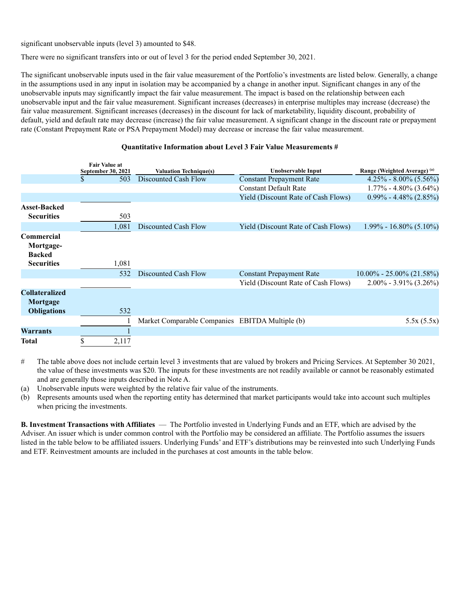significant unobservable inputs (level 3) amounted to \$48.

There were no significant transfers into or out of level 3 for the period ended September 30, 2021.

The significant unobservable inputs used in the fair value measurement of the Portfolio's investments are listed below. Generally, a change in the assumptions used in any input in isolation may be accompanied by a change in another input. Significant changes in any of the unobservable inputs may significantly impact the fair value measurement. The impact is based on the relationship between each unobservable input and the fair value measurement. Significant increases (decreases) in enterprise multiples may increase (decrease) the fair value measurement. Significant increases (decreases) in the discount for lack of marketability, liquidity discount, probability of default, yield and default rate may decrease (increase) the fair value measurement. A significant change in the discount rate or prepayment rate (Constant Prepayment Rate or PSA Prepayment Model) may decrease or increase the fair value measurement.

#### **Quantitative Information about Level 3 Fair Value Measurements #**

|                                                 | <b>Fair Value at</b> |                                                 |                                     | Range (Weighted Average) (a)  |  |  |  |  |
|-------------------------------------------------|----------------------|-------------------------------------------------|-------------------------------------|-------------------------------|--|--|--|--|
|                                                 | September 30, 2021   | <b>Valuation Technique(s)</b>                   | Unobservable Input                  |                               |  |  |  |  |
|                                                 | 503<br>\$            | Discounted Cash Flow                            | <b>Constant Prepayment Rate</b>     | $4.25\% - 8.00\% (5.56\%)$    |  |  |  |  |
|                                                 |                      |                                                 | <b>Constant Default Rate</b>        | $1.77\%$ - 4.80% (3.64%)      |  |  |  |  |
|                                                 |                      |                                                 | Yield (Discount Rate of Cash Flows) | $0.99\% - 4.48\% (2.85\%)$    |  |  |  |  |
| <b>Asset-Backed</b>                             |                      |                                                 |                                     |                               |  |  |  |  |
| <b>Securities</b>                               | 503                  |                                                 |                                     |                               |  |  |  |  |
|                                                 | 1,081                | Discounted Cash Flow                            | Yield (Discount Rate of Cash Flows) | $1.99\% - 16.80\% (5.10\%)$   |  |  |  |  |
| <b>Commercial</b><br>Mortgage-<br><b>Backed</b> |                      |                                                 |                                     |                               |  |  |  |  |
| <b>Securities</b>                               | 1,081                |                                                 |                                     |                               |  |  |  |  |
|                                                 | 532                  | Discounted Cash Flow                            | <b>Constant Prepayment Rate</b>     | $10.00\% - 25.00\% (21.58\%)$ |  |  |  |  |
|                                                 |                      |                                                 | Yield (Discount Rate of Cash Flows) | $2.00\% - 3.91\% (3.26\%)$    |  |  |  |  |
| <b>Collateralized</b><br>Mortgage               |                      |                                                 |                                     |                               |  |  |  |  |
| <b>Obligations</b>                              | 532                  |                                                 |                                     |                               |  |  |  |  |
|                                                 |                      | Market Comparable Companies EBITDA Multiple (b) |                                     | 5.5x(5.5x)                    |  |  |  |  |
| <b>Warrants</b>                                 |                      |                                                 |                                     |                               |  |  |  |  |
| <b>Total</b>                                    | 2,117                |                                                 |                                     |                               |  |  |  |  |

# The table above does not include certain level 3 investments that are valued by brokers and Pricing Services. At September 30 2021, the value of these investments was \$20. The inputs for these investments are not readily available or cannot be reasonably estimated and are generally those inputs described in Note A.

(a) Unobservable inputs were weighted by the relative fair value of the instruments.

(b) Represents amounts used when the reporting entity has determined that market participants would take into account such multiples when pricing the investments.

**B. Investment Transactions with Affiliates** — The Portfolio invested in Underlying Funds and an ETF, which are advised by the Adviser. An issuer which is under common control with the Portfolio may be considered an affiliate. The Portfolio assumes the issuers listed in the table below to be affiliated issuers. Underlying Funds' and ETF's distributions may be reinvested into such Underlying Funds and ETF. Reinvestment amounts are included in the purchases at cost amounts in the table below.